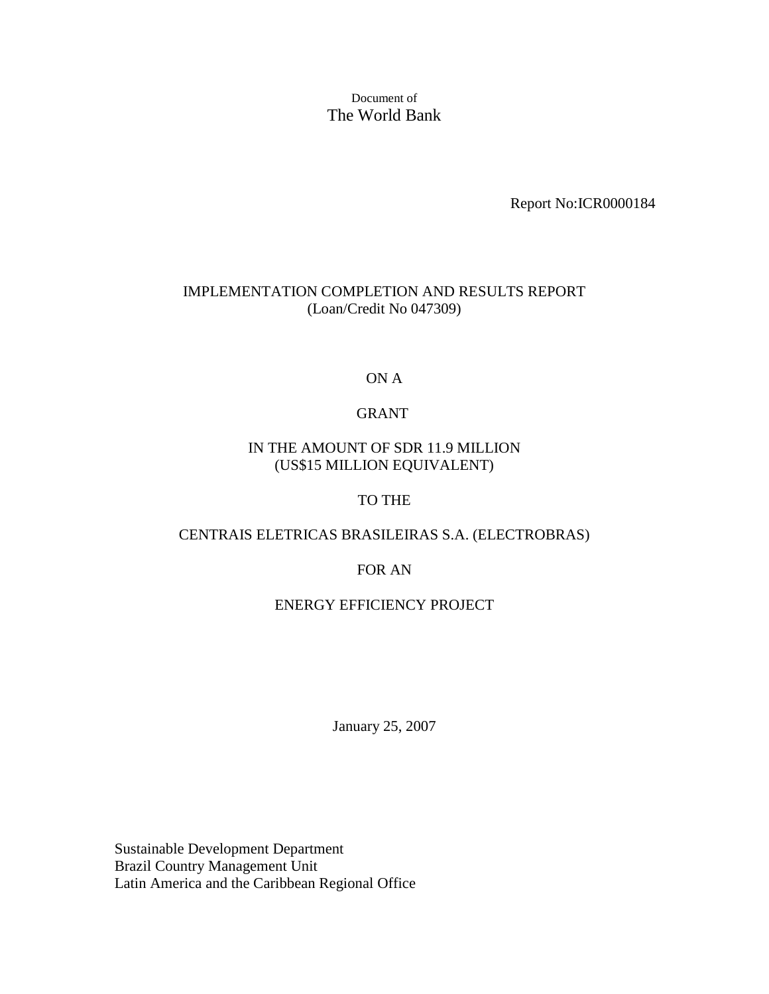Document of The World Bank

Report No:ICR0000184

## IMPLEMENTATION COMPLETION AND RESULTS REPORT (Loan/Credit No 047309)

ON A

## GRANT

## IN THE AMOUNT OF SDR 11.9 MILLION (US\$15 MILLION EQUIVALENT)

## TO THE

## CENTRAIS ELETRICAS BRASILEIRAS S.A. (ELECTROBRAS)

#### FOR AN

#### ENERGY EFFICIENCY PROJECT

January 25, 2007

Sustainable Development Department Brazil Country Management Unit Latin America and the Caribbean Regional Office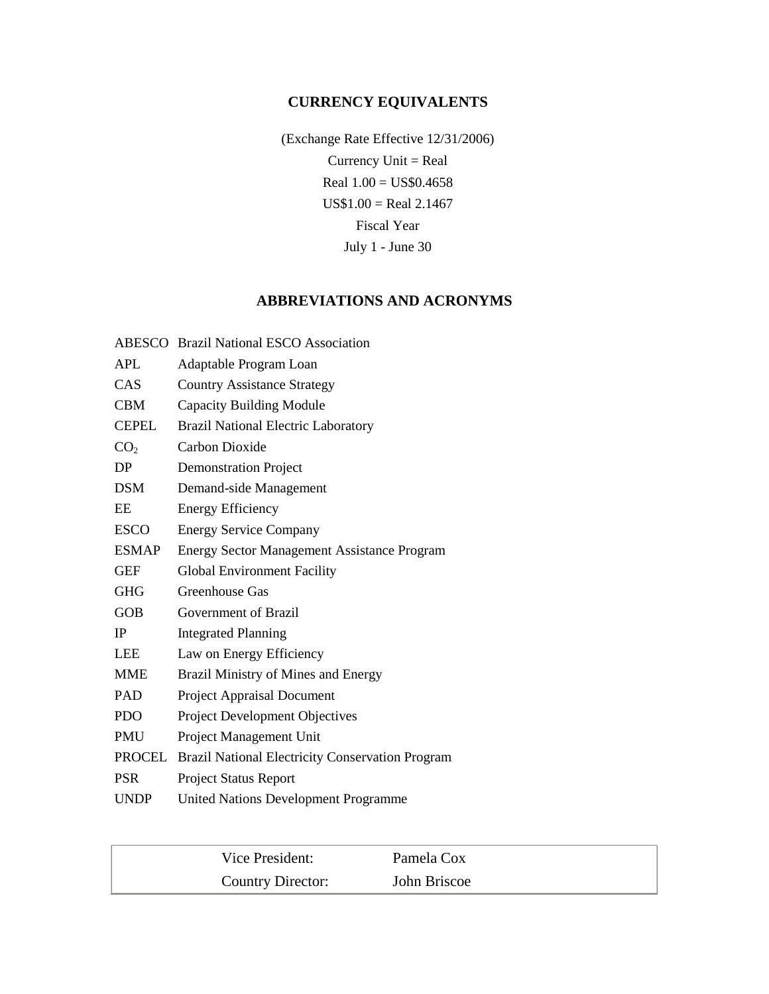## **CURRENCY EQUIVALENTS**

(Exchange Rate Effective 12/31/2006) Currency Unit = Real Real 1.00 = US\$0.4658  $US$1.00 = Real 2.1467$ Fiscal Year July 1 - June 30

## **ABBREVIATIONS AND ACRONYMS**

|                 | <b>ABESCO</b> Brazil National ESCO Association     |
|-----------------|----------------------------------------------------|
| <b>APL</b>      | Adaptable Program Loan                             |
| CAS             | <b>Country Assistance Strategy</b>                 |
| <b>CBM</b>      | <b>Capacity Building Module</b>                    |
| <b>CEPEL</b>    | <b>Brazil National Electric Laboratory</b>         |
| CO <sub>2</sub> | Carbon Dioxide                                     |
| DP              | <b>Demonstration Project</b>                       |
| <b>DSM</b>      | Demand-side Management                             |
| EE              | <b>Energy Efficiency</b>                           |
| <b>ESCO</b>     | <b>Energy Service Company</b>                      |
| <b>ESMAP</b>    | <b>Energy Sector Management Assistance Program</b> |
| <b>GEF</b>      | <b>Global Environment Facility</b>                 |
| <b>GHG</b>      | Greenhouse Gas                                     |
| <b>GOB</b>      | Government of Brazil                               |
| <b>IP</b>       | <b>Integrated Planning</b>                         |
| <b>LEE</b>      | Law on Energy Efficiency                           |
| <b>MME</b>      | Brazil Ministry of Mines and Energy                |
| PAD             | <b>Project Appraisal Document</b>                  |
| <b>PDO</b>      | Project Development Objectives                     |
| <b>PMU</b>      | Project Management Unit                            |
| PROCEL          | Brazil National Electricity Conservation Program   |
| <b>PSR</b>      | <b>Project Status Report</b>                       |
| <b>UNDP</b>     | <b>United Nations Development Programme</b>        |

| Vice President:   | Pamela Cox   |
|-------------------|--------------|
| Country Director: | John Briscoe |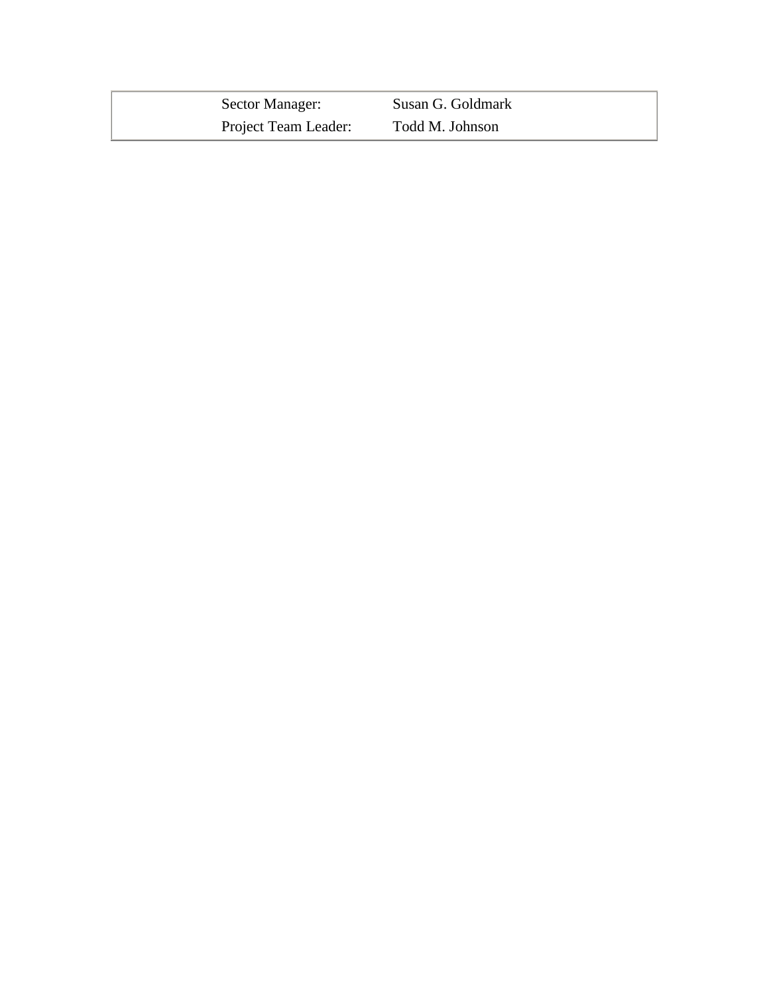| Sector Manager:      | Susan G. Goldmark |
|----------------------|-------------------|
| Project Team Leader: | Todd M. Johnson   |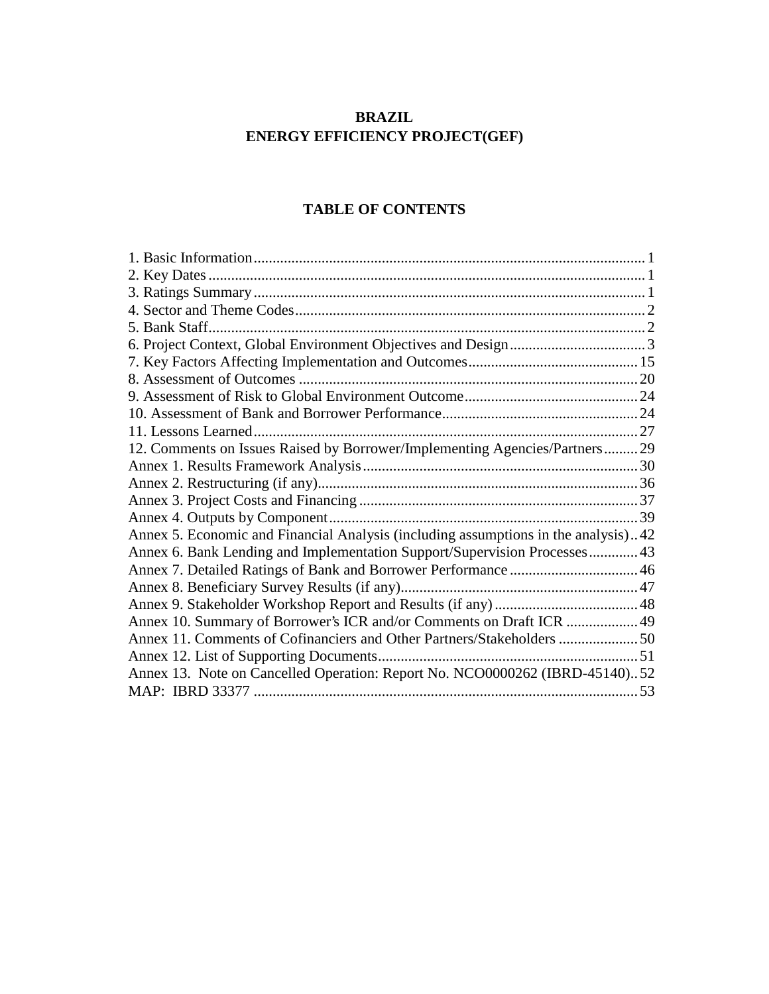## **BRAZIL ENERGY EFFICIENCY PROJECT(GEF)**

## **TABLE OF CONTENTS**

| 12. Comments on Issues Raised by Borrower/Implementing Agencies/Partners 29        |
|------------------------------------------------------------------------------------|
|                                                                                    |
|                                                                                    |
|                                                                                    |
|                                                                                    |
| Annex 5. Economic and Financial Analysis (including assumptions in the analysis)42 |
| Annex 6. Bank Lending and Implementation Support/Supervision Processes 43          |
|                                                                                    |
|                                                                                    |
|                                                                                    |
| Annex 10. Summary of Borrower's ICR and/or Comments on Draft ICR  49               |
| Annex 11. Comments of Cofinanciers and Other Partners/Stakeholders  50             |
|                                                                                    |
| Annex 13. Note on Cancelled Operation: Report No. NCO0000262 (IBRD-45140)52        |
|                                                                                    |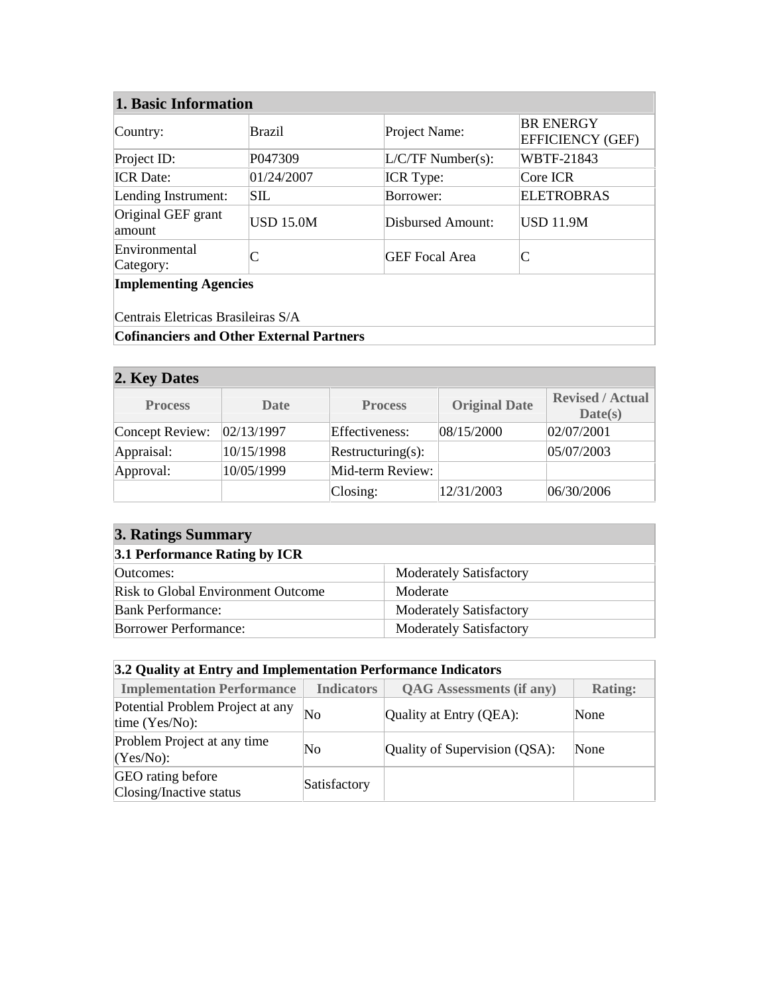| Country:                                                           | Brazil                                          | Project Name:         | <b>BR ENERGY</b><br><b>EFFICIENCY (GEF)</b> |  |  |  |  |  |
|--------------------------------------------------------------------|-------------------------------------------------|-----------------------|---------------------------------------------|--|--|--|--|--|
| Project ID:                                                        | P047309                                         | $L/C/TF$ Number(s):   | <b>WBTF-21843</b>                           |  |  |  |  |  |
| <b>ICR</b> Date:                                                   | 01/24/2007                                      | <b>ICR</b> Type:      | Core ICR                                    |  |  |  |  |  |
| Lending Instrument:                                                | <b>SIL</b>                                      | Borrower:             | <b>ELETROBRAS</b>                           |  |  |  |  |  |
| Original GEF grant<br>amount                                       | <b>USD 15.0M</b>                                | Disbursed Amount:     | <b>USD 11.9M</b>                            |  |  |  |  |  |
| Environmental<br>Category:                                         |                                                 | <b>GEF Focal Area</b> |                                             |  |  |  |  |  |
| <b>Implementing Agencies</b><br>Centrais Eletricas Brasileiras S/A |                                                 |                       |                                             |  |  |  |  |  |
|                                                                    |                                                 |                       |                                             |  |  |  |  |  |
|                                                                    | <b>Cofinanciers and Other External Partners</b> |                       |                                             |  |  |  |  |  |

| 2. Key Dates    |             |                   |                      |                                    |
|-----------------|-------------|-------------------|----------------------|------------------------------------|
| <b>Process</b>  | <b>Date</b> | <b>Process</b>    | <b>Original Date</b> | <b>Revised / Actual</b><br>Date(s) |
| Concept Review: | 02/13/1997  | Effectiveness:    | 08/15/2000           | 02/07/2001                         |
| Appraisal:      | 10/15/1998  | Restructuring(s): |                      | 05/07/2003                         |
| Approval:       | 10/05/1999  | Mid-term Review:  |                      |                                    |
|                 |             | $\text{Closing:}$ | 12/31/2003           | 06/30/2006                         |

| <b>3. Ratings Summary</b>                 |                                |  |  |  |  |
|-------------------------------------------|--------------------------------|--|--|--|--|
| 3.1 Performance Rating by ICR             |                                |  |  |  |  |
| Outcomes:                                 | <b>Moderately Satisfactory</b> |  |  |  |  |
| <b>Risk to Global Environment Outcome</b> | Moderate                       |  |  |  |  |
| <b>Bank Performance:</b>                  | <b>Moderately Satisfactory</b> |  |  |  |  |
| <b>Borrower Performance:</b>              | <b>Moderately Satisfactory</b> |  |  |  |  |

| 3.2 Quality at Entry and Implementation Performance Indicators |                   |                                 |                |  |  |  |  |  |
|----------------------------------------------------------------|-------------------|---------------------------------|----------------|--|--|--|--|--|
| <b>Implementation Performance</b>                              | <b>Indicators</b> | <b>QAG</b> Assessments (if any) | <b>Rating:</b> |  |  |  |  |  |
| Potential Problem Project at any<br>time $(Yes/No)$ :          | No                | Quality at Entry (QEA):         | None           |  |  |  |  |  |
| Problem Project at any time<br>$(Yes/No)$ :                    | No                | Quality of Supervision (QSA):   | None           |  |  |  |  |  |
| GEO rating before<br>Closing/Inactive status                   | Satisfactory      |                                 |                |  |  |  |  |  |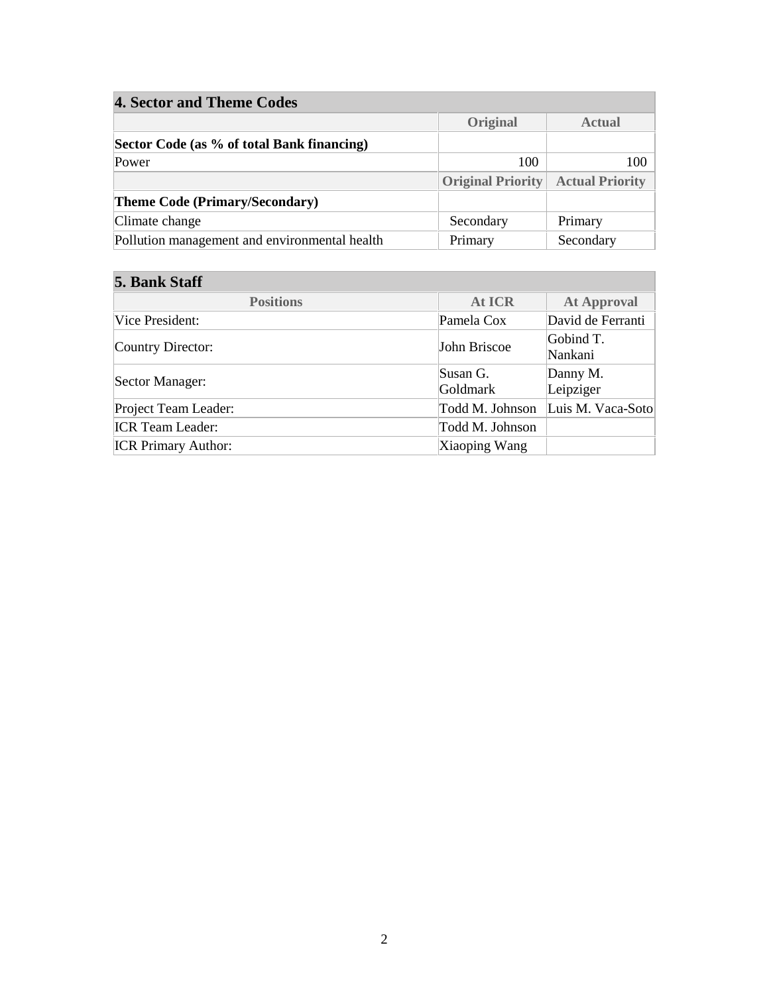| <b>4. Sector and Theme Codes</b>              |                          |                        |  |  |  |  |  |  |
|-----------------------------------------------|--------------------------|------------------------|--|--|--|--|--|--|
|                                               | Original                 | <b>Actual</b>          |  |  |  |  |  |  |
| Sector Code (as % of total Bank financing)    |                          |                        |  |  |  |  |  |  |
| Power                                         | 100                      | 100                    |  |  |  |  |  |  |
|                                               | <b>Original Priority</b> | <b>Actual Priority</b> |  |  |  |  |  |  |
| <b>Theme Code (Primary/Secondary)</b>         |                          |                        |  |  |  |  |  |  |
| Climate change                                | Secondary                | Primary                |  |  |  |  |  |  |
| Pollution management and environmental health | Primary                  | Secondary              |  |  |  |  |  |  |

## **5. Bank Staff**

| <b>Positions</b>           | <b>At ICR</b>        | <b>At Approval</b>    |  |  |
|----------------------------|----------------------|-----------------------|--|--|
| Vice President:            | Pamela Cox           | David de Ferranti     |  |  |
| Country Director:          | John Briscoe         | Gobind T.<br>Nankani  |  |  |
| Sector Manager:            | Susan G.<br>Goldmark | Danny M.<br>Leipziger |  |  |
| Project Team Leader:       | Todd M. Johnson      | Luis M. Vaca-Soto     |  |  |
| <b>ICR</b> Team Leader:    | Todd M. Johnson      |                       |  |  |
| <b>ICR Primary Author:</b> | Xiaoping Wang        |                       |  |  |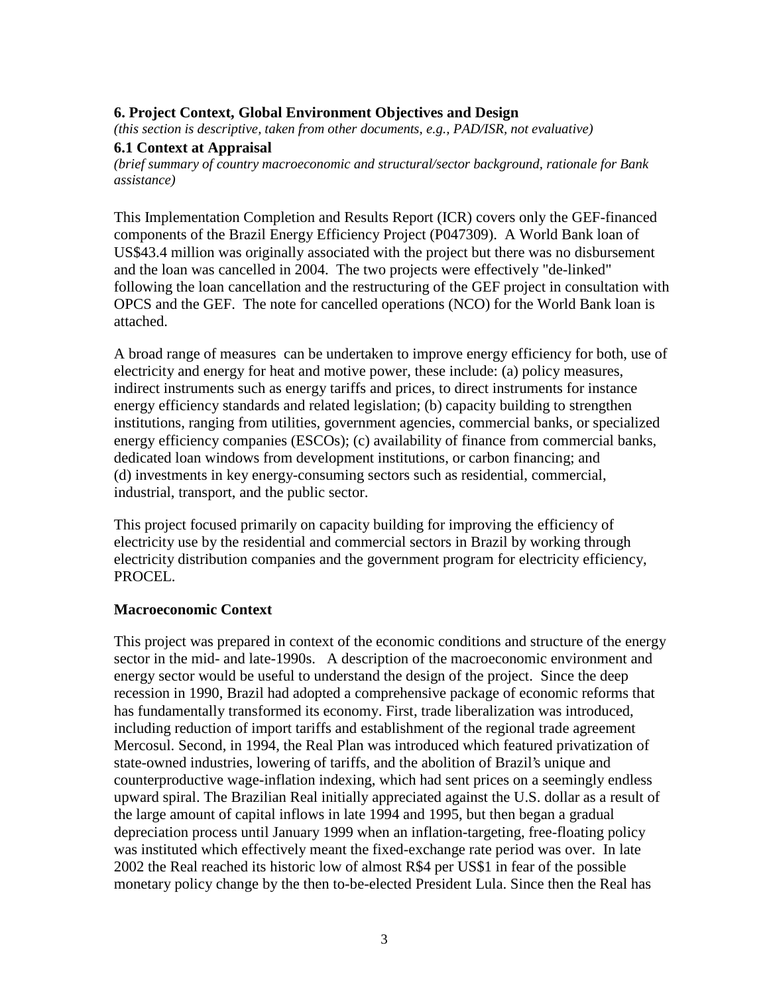## **6. Project Context, Global Environment Objectives and Design**

*(this section is descriptive, taken from other documents, e.g., PAD/ISR, not evaluative)*

#### **6.1 Context at Appraisal**

*(brief summary of country macroeconomic and structural/sector background, rationale for Bank assistance)*

This Implementation Completion and Results Report (ICR) covers only the GEF-financed components of the Brazil Energy Efficiency Project (P047309). A World Bank loan of US\$43.4 million was originally associated with the project but there was no disbursement and the loan was cancelled in 2004. The two projects were effectively "de-linked" following the loan cancellation and the restructuring of the GEF project in consultation with OPCS and the GEF. The note for cancelled operations (NCO) for the World Bank loan is attached.

A broad range of measures can be undertaken to improve energy efficiency for both, use of electricity and energy for heat and motive power, these include: (a) policy measures, indirect instruments such as energy tariffs and prices, to direct instruments for instance energy efficiency standards and related legislation; (b) capacity building to strengthen institutions, ranging from utilities, government agencies, commercial banks, or specialized energy efficiency companies (ESCOs); (c) availability of finance from commercial banks, dedicated loan windows from development institutions, or carbon financing; and (d) investments in key energy-consuming sectors such as residential, commercial, industrial, transport, and the public sector.

This project focused primarily on capacity building for improving the efficiency of electricity use by the residential and commercial sectors in Brazil by working through electricity distribution companies and the government program for electricity efficiency, PROCEL.

#### **Macroeconomic Context**

This project was prepared in context of the economic conditions and structure of the energy sector in the mid- and late-1990s. A description of the macroeconomic environment and energy sector would be useful to understand the design of the project. Since the deep recession in 1990, Brazil had adopted a comprehensive package of economic reforms that has fundamentally transformed its economy. First, trade liberalization was introduced, including reduction of import tariffs and establishment of the regional trade agreement Mercosul. Second, in 1994, the Real Plan was introduced which featured privatization of state-owned industries, lowering of tariffs, and the abolition of Brazil's unique and counterproductive wage-inflation indexing, which had sent prices on a seemingly endless upward spiral. The Brazilian Real initially appreciated against the U.S. dollar as a result of the large amount of capital inflows in late 1994 and 1995, but then began a gradual depreciation process until January 1999 when an inflation-targeting, free-floating policy was instituted which effectively meant the fixed-exchange rate period was over. In late 2002 the Real reached its historic low of almost R\$4 per US\$1 in fear of the possible monetary policy change by the then to-be-elected President Lula. Since then the Real has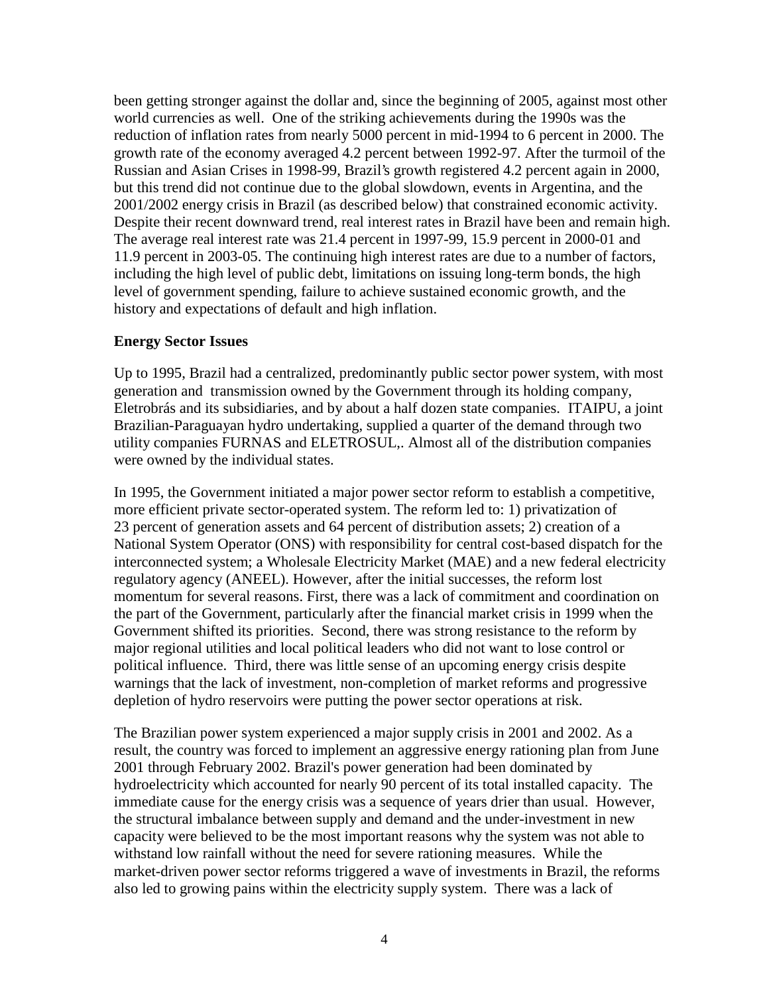been getting stronger against the dollar and, since the beginning of 2005, against most other world currencies as well. One of the striking achievements during the 1990s was the reduction of inflation rates from nearly 5000 percent in mid-1994 to 6 percent in 2000. The growth rate of the economy averaged 4.2 percent between 1992-97. After the turmoil of the Russian and Asian Crises in 1998-99, Brazil's growth registered 4.2 percent again in 2000, but this trend did not continue due to the global slowdown, events in Argentina, and the 2001/2002 energy crisis in Brazil (as described below) that constrained economic activity. Despite their recent downward trend, real interest rates in Brazil have been and remain high. The average real interest rate was 21.4 percent in 1997-99, 15.9 percent in 2000-01 and 11.9 percent in 2003-05. The continuing high interest rates are due to a number of factors, including the high level of public debt, limitations on issuing long-term bonds, the high level of government spending, failure to achieve sustained economic growth, and the history and expectations of default and high inflation.

#### **Energy Sector Issues**

Up to 1995, Brazil had a centralized, predominantly public sector power system, with most generation and transmission owned by the Government through its holding company, Eletrobrás and its subsidiaries, and by about a half dozen state companies. ITAIPU, a joint Brazilian-Paraguayan hydro undertaking, supplied a quarter of the demand through two utility companies FURNAS and ELETROSUL,. Almost all of the distribution companies were owned by the individual states.

In 1995, the Government initiated a major power sector reform to establish a competitive, more efficient private sector-operated system. The reform led to: 1) privatization of 23 percent of generation assets and 64 percent of distribution assets; 2) creation of a National System Operator (ONS) with responsibility for central cost-based dispatch for the interconnected system; a Wholesale Electricity Market (MAE) and a new federal electricity regulatory agency (ANEEL). However, after the initial successes, the reform lost momentum for several reasons. First, there was a lack of commitment and coordination on the part of the Government, particularly after the financial market crisis in 1999 when the Government shifted its priorities. Second, there was strong resistance to the reform by major regional utilities and local political leaders who did not want to lose control or political influence. Third, there was little sense of an upcoming energy crisis despite warnings that the lack of investment, non-completion of market reforms and progressive depletion of hydro reservoirs were putting the power sector operations at risk.

The Brazilian power system experienced a major supply crisis in 2001 and 2002. As a result, the country was forced to implement an aggressive energy rationing plan from June 2001 through February 2002. Brazil's power generation had been dominated by hydroelectricity which accounted for nearly 90 percent of its total installed capacity. The immediate cause for the energy crisis was a sequence of years drier than usual. However, the structural imbalance between supply and demand and the under-investment in new capacity were believed to be the most important reasons why the system was not able to withstand low rainfall without the need for severe rationing measures. While the market-driven power sector reforms triggered a wave of investments in Brazil, the reforms also led to growing pains within the electricity supply system. There was a lack of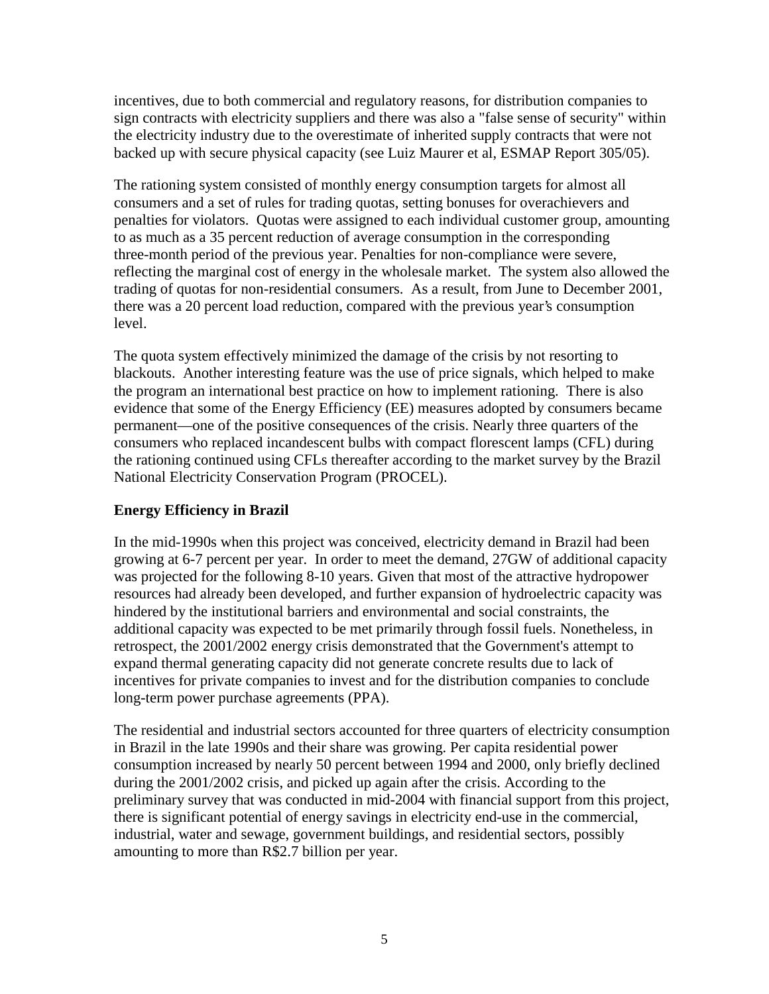incentives, due to both commercial and regulatory reasons, for distribution companies to sign contracts with electricity suppliers and there was also a "false sense of security" within the electricity industry due to the overestimate of inherited supply contracts that were not backed up with secure physical capacity (see Luiz Maurer et al, ESMAP Report 305/05).

The rationing system consisted of monthly energy consumption targets for almost all consumers and a set of rules for trading quotas, setting bonuses for overachievers and penalties for violators. Quotas were assigned to each individual customer group, amounting to as much as a 35 percent reduction of average consumption in the corresponding three-month period of the previous year. Penalties for non-compliance were severe, reflecting the marginal cost of energy in the wholesale market. The system also allowed the trading of quotas for non-residential consumers. As a result, from June to December 2001, there was a 20 percent load reduction, compared with the previous year's consumption level.

The quota system effectively minimized the damage of the crisis by not resorting to blackouts. Another interesting feature was the use of price signals, which helped to make the program an international best practice on how to implement rationing. There is also evidence that some of the Energy Efficiency (EE) measures adopted by consumers became permanent—one of the positive consequences of the crisis. Nearly three quarters of the consumers who replaced incandescent bulbs with compact florescent lamps (CFL) during the rationing continued using CFLs thereafter according to the market survey by the Brazil National Electricity Conservation Program (PROCEL).

## **Energy Efficiency in Brazil**

In the mid-1990s when this project was conceived, electricity demand in Brazil had been growing at 6-7 percent per year. In order to meet the demand, 27GW of additional capacity was projected for the following 8-10 years. Given that most of the attractive hydropower resources had already been developed, and further expansion of hydroelectric capacity was hindered by the institutional barriers and environmental and social constraints, the additional capacity was expected to be met primarily through fossil fuels. Nonetheless, in retrospect, the 2001/2002 energy crisis demonstrated that the Government's attempt to expand thermal generating capacity did not generate concrete results due to lack of incentives for private companies to invest and for the distribution companies to conclude long-term power purchase agreements (PPA).

The residential and industrial sectors accounted for three quarters of electricity consumption in Brazil in the late 1990s and their share was growing. Per capita residential power consumption increased by nearly 50 percent between 1994 and 2000, only briefly declined during the 2001/2002 crisis, and picked up again after the crisis. According to the preliminary survey that was conducted in mid-2004 with financial support from this project, there is significant potential of energy savings in electricity end-use in the commercial, industrial, water and sewage, government buildings, and residential sectors, possibly amounting to more than R\$2.7 billion per year.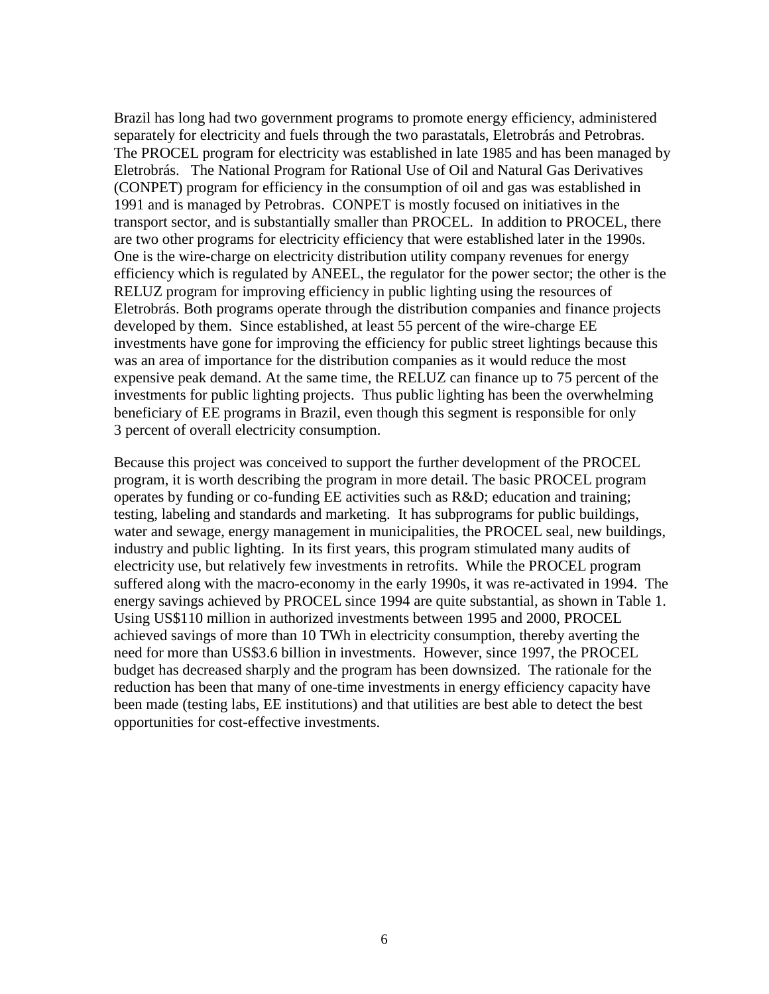Brazil has long had two government programs to promote energy efficiency, administered separately for electricity and fuels through the two parastatals, Eletrobrás and Petrobras. The PROCEL program for electricity was established in late 1985 and has been managed by Eletrobrás. The National Program for Rational Use of Oil and Natural Gas Derivatives (CONPET) program for efficiency in the consumption of oil and gas was established in 1991 and is managed by Petrobras. CONPET is mostly focused on initiatives in the transport sector, and is substantially smaller than PROCEL. In addition to PROCEL, there are two other programs for electricity efficiency that were established later in the 1990s. One is the wire-charge on electricity distribution utility company revenues for energy efficiency which is regulated by ANEEL, the regulator for the power sector; the other is the RELUZ program for improving efficiency in public lighting using the resources of Eletrobrás. Both programs operate through the distribution companies and finance projects developed by them. Since established, at least 55 percent of the wire-charge EE investments have gone for improving the efficiency for public street lightings because this was an area of importance for the distribution companies as it would reduce the most expensive peak demand. At the same time, the RELUZ can finance up to 75 percent of the investments for public lighting projects. Thus public lighting has been the overwhelming beneficiary of EE programs in Brazil, even though this segment is responsible for only 3 percent of overall electricity consumption.

Because this project was conceived to support the further development of the PROCEL program, it is worth describing the program in more detail. The basic PROCEL program operates by funding or co-funding EE activities such as R&D; education and training; testing, labeling and standards and marketing. It has subprograms for public buildings, water and sewage, energy management in municipalities, the PROCEL seal, new buildings, industry and public lighting. In its first years, this program stimulated many audits of electricity use, but relatively few investments in retrofits. While the PROCEL program suffered along with the macro-economy in the early 1990s, it was re-activated in 1994. The energy savings achieved by PROCEL since 1994 are quite substantial, as shown in Table 1. Using US\$110 million in authorized investments between 1995 and 2000, PROCEL achieved savings of more than 10 TWh in electricity consumption, thereby averting the need for more than US\$3.6 billion in investments. However, since 1997, the PROCEL budget has decreased sharply and the program has been downsized. The rationale for the reduction has been that many of one-time investments in energy efficiency capacity have been made (testing labs, EE institutions) and that utilities are best able to detect the best opportunities for cost-effective investments.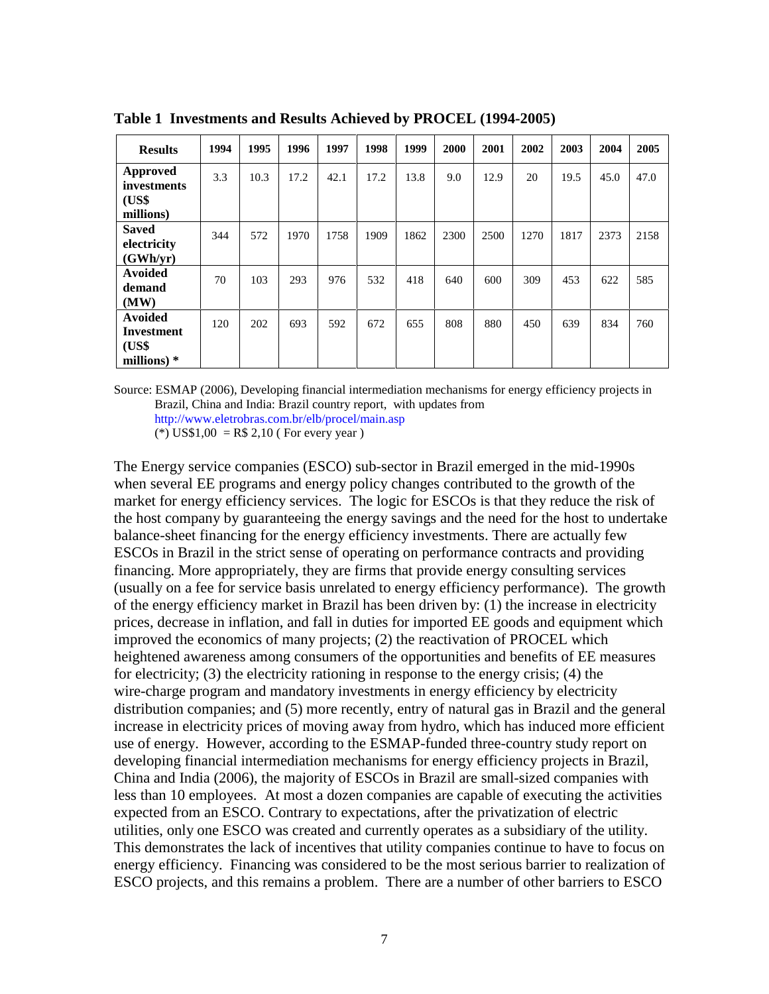| <b>Results</b>                   | 1994 | 1995 | 1996 | 1997 | 1998 | 1999 | 2000 | 2001 | 2002 | 2003 | 2004 | 2005 |
|----------------------------------|------|------|------|------|------|------|------|------|------|------|------|------|
| <b>Approved</b><br>investments   | 3.3  | 10.3 | 17.2 | 42.1 | 17.2 | 13.8 | 9.0  | 12.9 | 20   | 19.5 | 45.0 | 47.0 |
| (US\$<br>millions)               |      |      |      |      |      |      |      |      |      |      |      |      |
| <b>Saved</b><br>electricity      | 344  | 572  | 1970 | 1758 | 1909 | 1862 | 2300 | 2500 | 1270 | 1817 | 2373 | 2158 |
| (GWh/yr)                         |      |      |      |      |      |      |      |      |      |      |      |      |
| <b>Avoided</b><br>demand<br>(MW) | 70   | 103  | 293  | 976  | 532  | 418  | 640  | 600  | 309  | 453  | 622  | 585  |
| <b>Avoided</b>                   |      |      |      |      |      |      |      |      |      |      |      |      |
| Investment                       | 120  | 202  | 693  | 592  | 672  | 655  | 808  | 880  | 450  | 639  | 834  | 760  |
| (US\$<br>millions) $*$           |      |      |      |      |      |      |      |      |      |      |      |      |

**Table 1 Investments and Results Achieved by PROCEL (1994-2005)** 

Source: ESMAP (2006), Developing financial intermediation mechanisms for energy efficiency projects in Brazil, China and India: Brazil country report, with updates from http://www.eletrobras.com.br/elb/procel/main.asp

(\*) US\$1,00 = R\$ 2,10 (For every year)

The Energy service companies (ESCO) sub-sector in Brazil emerged in the mid-1990s when several EE programs and energy policy changes contributed to the growth of the market for energy efficiency services. The logic for ESCOs is that they reduce the risk of the host company by guaranteeing the energy savings and the need for the host to undertake balance-sheet financing for the energy efficiency investments. There are actually few ESCOs in Brazil in the strict sense of operating on performance contracts and providing financing. More appropriately, they are firms that provide energy consulting services (usually on a fee for service basis unrelated to energy efficiency performance). The growth of the energy efficiency market in Brazil has been driven by: (1) the increase in electricity prices, decrease in inflation, and fall in duties for imported EE goods and equipment which improved the economics of many projects; (2) the reactivation of PROCEL which heightened awareness among consumers of the opportunities and benefits of EE measures for electricity; (3) the electricity rationing in response to the energy crisis; (4) the wire-charge program and mandatory investments in energy efficiency by electricity distribution companies; and (5) more recently, entry of natural gas in Brazil and the general increase in electricity prices of moving away from hydro, which has induced more efficient use of energy. However, according to the ESMAP-funded three-country study report on developing financial intermediation mechanisms for energy efficiency projects in Brazil, China and India (2006), the majority of ESCOs in Brazil are small-sized companies with less than 10 employees. At most a dozen companies are capable of executing the activities expected from an ESCO. Contrary to expectations, after the privatization of electric utilities, only one ESCO was created and currently operates as a subsidiary of the utility. This demonstrates the lack of incentives that utility companies continue to have to focus on energy efficiency. Financing was considered to be the most serious barrier to realization of ESCO projects, and this remains a problem. There are a number of other barriers to ESCO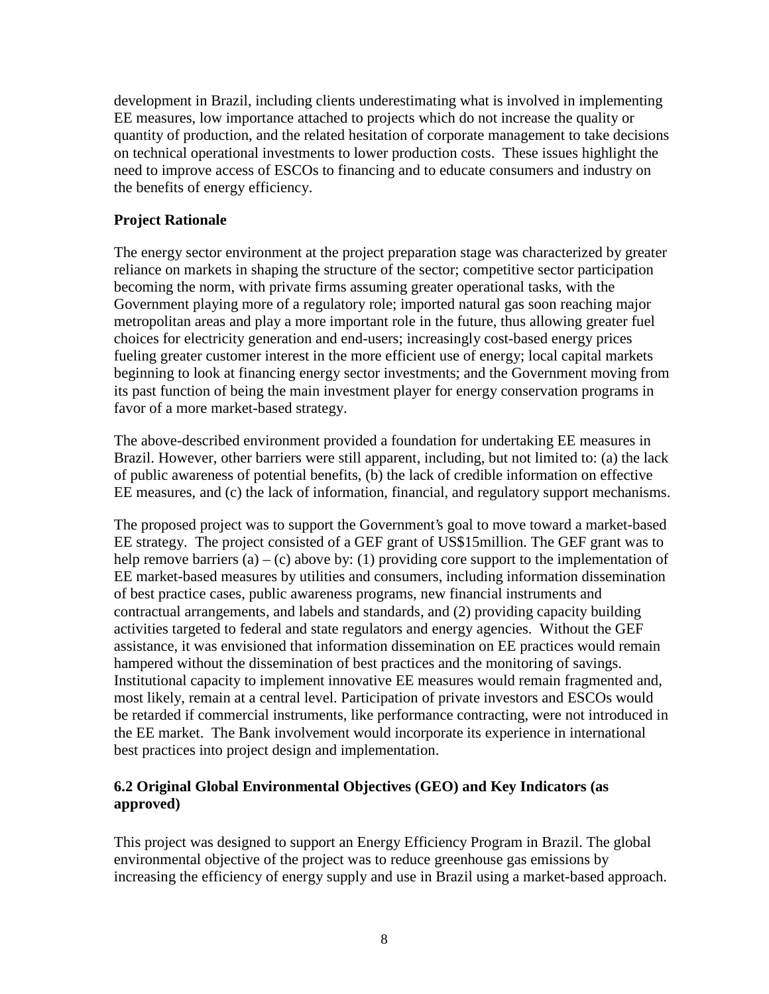development in Brazil, including clients underestimating what is involved in implementing EE measures, low importance attached to projects which do not increase the quality or quantity of production, and the related hesitation of corporate management to take decisions on technical operational investments to lower production costs. These issues highlight the need to improve access of ESCOs to financing and to educate consumers and industry on the benefits of energy efficiency.

## **Project Rationale**

The energy sector environment at the project preparation stage was characterized by greater reliance on markets in shaping the structure of the sector; competitive sector participation becoming the norm, with private firms assuming greater operational tasks, with the Government playing more of a regulatory role; imported natural gas soon reaching major metropolitan areas and play a more important role in the future, thus allowing greater fuel choices for electricity generation and end-users; increasingly cost-based energy prices fueling greater customer interest in the more efficient use of energy; local capital markets beginning to look at financing energy sector investments; and the Government moving from its past function of being the main investment player for energy conservation programs in favor of a more market-based strategy.

The above-described environment provided a foundation for undertaking EE measures in Brazil. However, other barriers were still apparent, including, but not limited to: (a) the lack of public awareness of potential benefits, (b) the lack of credible information on effective EE measures, and (c) the lack of information, financial, and regulatory support mechanisms.

The proposed project was to support the Government's goal to move toward a market-based EE strategy. The project consisted of a GEF grant of US\$15million. The GEF grant was to help remove barriers (a) – (c) above by: (1) providing core support to the implementation of EE market-based measures by utilities and consumers, including information dissemination of best practice cases, public awareness programs, new financial instruments and contractual arrangements, and labels and standards, and (2) providing capacity building activities targeted to federal and state regulators and energy agencies. Without the GEF assistance, it was envisioned that information dissemination on EE practices would remain hampered without the dissemination of best practices and the monitoring of savings. Institutional capacity to implement innovative EE measures would remain fragmented and, most likely, remain at a central level. Participation of private investors and ESCOs would be retarded if commercial instruments, like performance contracting, were not introduced in the EE market. The Bank involvement would incorporate its experience in international best practices into project design and implementation.

## **6.2 Original Global Environmental Objectives (GEO) and Key Indicators (as approved)**

This project was designed to support an Energy Efficiency Program in Brazil. The global environmental objective of the project was to reduce greenhouse gas emissions by increasing the efficiency of energy supply and use in Brazil using a market-based approach.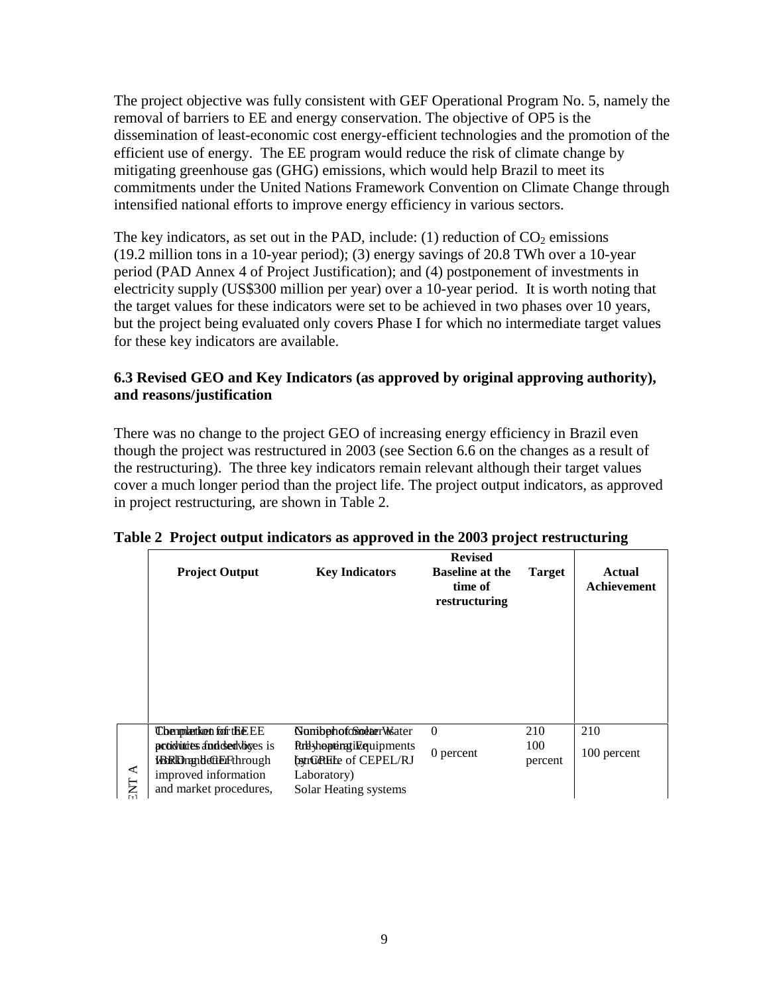The project objective was fully consistent with GEF Operational Program No. 5, namely the removal of barriers to EE and energy conservation. The objective of OP5 is the dissemination of least-economic cost energy-efficient technologies and the promotion of the efficient use of energy. The EE program would reduce the risk of climate change by mitigating greenhouse gas (GHG) emissions, which would help Brazil to meet its commitments under the United Nations Framework Convention on Climate Change through intensified national efforts to improve energy efficiency in various sectors.

The key indicators, as set out in the PAD, include: (1) reduction of  $CO<sub>2</sub>$  emissions (19.2 million tons in a 10-year period); (3) energy savings of 20.8 TWh over a 10-year period (PAD Annex 4 of Project Justification); and (4) postponement of investments in electricity supply (US\$300 million per year) over a 10-year period. It is worth noting that the target values for these indicators were set to be achieved in two phases over 10 years, but the project being evaluated only covers Phase I for which no intermediate target values for these key indicators are available.

## **6.3 Revised GEO and Key Indicators (as approved by original approving authority), and reasons/justification**

There was no change to the project GEO of increasing energy efficiency in Brazil even though the project was restructured in 2003 (see Section 6.6 on the changes as a result of the restructuring). The three key indicators remain relevant although their target values cover a much longer period than the project life. The project output indicators, as approved in project restructuring, are shown in Table 2.

|                  | <b>Project Output</b>                                                                            | <b>Key Indicators</b>                                                                    | <b>Revised</b><br><b>Baseline at the</b><br>time of<br>restructuring | <b>Target</b>         | <b>Actual</b><br>Achievement |
|------------------|--------------------------------------------------------------------------------------------------|------------------------------------------------------------------------------------------|----------------------------------------------------------------------|-----------------------|------------------------------|
|                  | <b>Chempketken fof the EE</b><br>production and deal violets is<br><b>WEREDmandeftErFthrough</b> | <b>NombphofoSodaerWater</b><br><b>Rrtlyhoptingilizquipments</b><br>bstrGPHFe of CEPEL/RJ | $\Omega$<br>0 percent                                                | 210<br>100<br>percent | 210<br>100 percent           |
| ≺<br><b>TA</b> E | improved information<br>and market procedures,                                                   | Laboratory)<br>Solar Heating systems                                                     |                                                                      |                       |                              |

#### **Table 2 Project output indicators as approved in the 2003 project restructuring**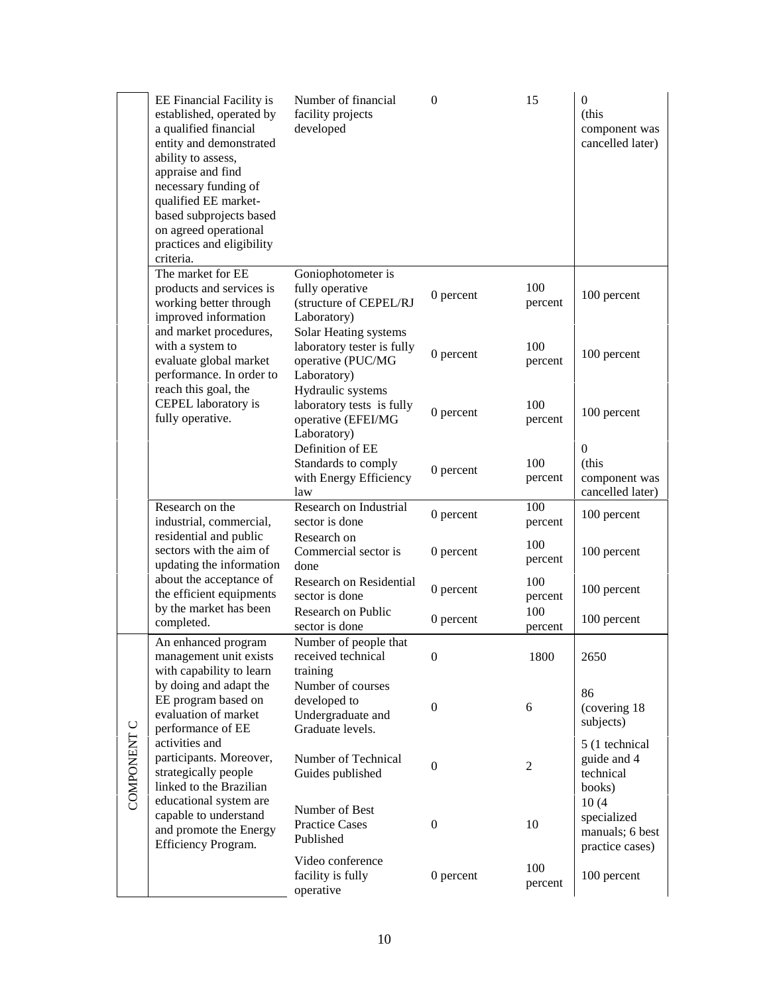|             | EE Financial Facility is<br>established, operated by<br>a qualified financial<br>entity and demonstrated<br>ability to assess,<br>appraise and find<br>necessary funding of<br>qualified EE market-<br>based subprojects based<br>on agreed operational<br>practices and eligibility<br>criteria. | Number of financial<br>facility projects<br>developed                                   | $\mathbf{0}$     | 15             | $\boldsymbol{0}$<br>(this<br>component was<br>cancelled later) |
|-------------|---------------------------------------------------------------------------------------------------------------------------------------------------------------------------------------------------------------------------------------------------------------------------------------------------|-----------------------------------------------------------------------------------------|------------------|----------------|----------------------------------------------------------------|
|             | The market for EE<br>products and services is<br>working better through<br>improved information                                                                                                                                                                                                   | Goniophotometer is<br>fully operative<br>(structure of CEPEL/RJ<br>Laboratory)          | 0 percent        | 100<br>percent | 100 percent                                                    |
|             | and market procedures,<br>with a system to<br>evaluate global market<br>performance. In order to                                                                                                                                                                                                  | Solar Heating systems<br>laboratory tester is fully<br>operative (PUC/MG<br>Laboratory) | 0 percent        | 100<br>percent | 100 percent                                                    |
|             | reach this goal, the<br>CEPEL laboratory is<br>fully operative.                                                                                                                                                                                                                                   | Hydraulic systems<br>laboratory tests is fully<br>operative (EFEI/MG<br>Laboratory)     | 0 percent        | 100<br>percent | 100 percent                                                    |
|             |                                                                                                                                                                                                                                                                                                   | Definition of EE<br>Standards to comply<br>with Energy Efficiency<br>law                | 0 percent        | 100<br>percent | $\mathbf{0}$<br>(this<br>component was<br>cancelled later)     |
|             | Research on the<br>industrial, commercial,                                                                                                                                                                                                                                                        | Research on Industrial<br>sector is done                                                | 0 percent        | 100<br>percent | 100 percent                                                    |
|             | residential and public<br>sectors with the aim of<br>updating the information                                                                                                                                                                                                                     | Research on<br>Commercial sector is<br>done                                             | 0 percent        | 100<br>percent | 100 percent                                                    |
|             | about the acceptance of<br>the efficient equipments<br>by the market has been                                                                                                                                                                                                                     | Research on Residential<br>sector is done                                               | 0 percent        | 100<br>percent | 100 percent                                                    |
|             | completed.                                                                                                                                                                                                                                                                                        | <b>Research on Public</b><br>sector is done                                             | 0 percent        | 100<br>percent | 100 percent                                                    |
|             | An enhanced program<br>management unit exists<br>with capability to learn                                                                                                                                                                                                                         | Number of people that<br>received technical<br>training                                 | $\mathbf 0$      | 1800           | 2650                                                           |
| COMPONENT C | by doing and adapt the<br>EE program based on<br>evaluation of market<br>performance of EE                                                                                                                                                                                                        | Number of courses<br>developed to<br>Undergraduate and<br>Graduate levels.              | $\boldsymbol{0}$ | 6              | 86<br>(covering 18)<br>subjects)                               |
|             | activities and<br>participants. Moreover,<br>strategically people<br>linked to the Brazilian                                                                                                                                                                                                      | Number of Technical<br>Guides published                                                 | $\boldsymbol{0}$ | 2              | 5 (1 technical<br>guide and 4<br>technical<br>books)           |
|             | educational system are<br>capable to understand<br>and promote the Energy<br>Efficiency Program.                                                                                                                                                                                                  | Number of Best<br><b>Practice Cases</b><br>Published                                    | $\boldsymbol{0}$ | 10             | 10(4)<br>specialized<br>manuals; 6 best<br>practice cases)     |
|             |                                                                                                                                                                                                                                                                                                   | Video conference<br>facility is fully<br>operative                                      | 0 percent        | 100<br>percent | 100 percent                                                    |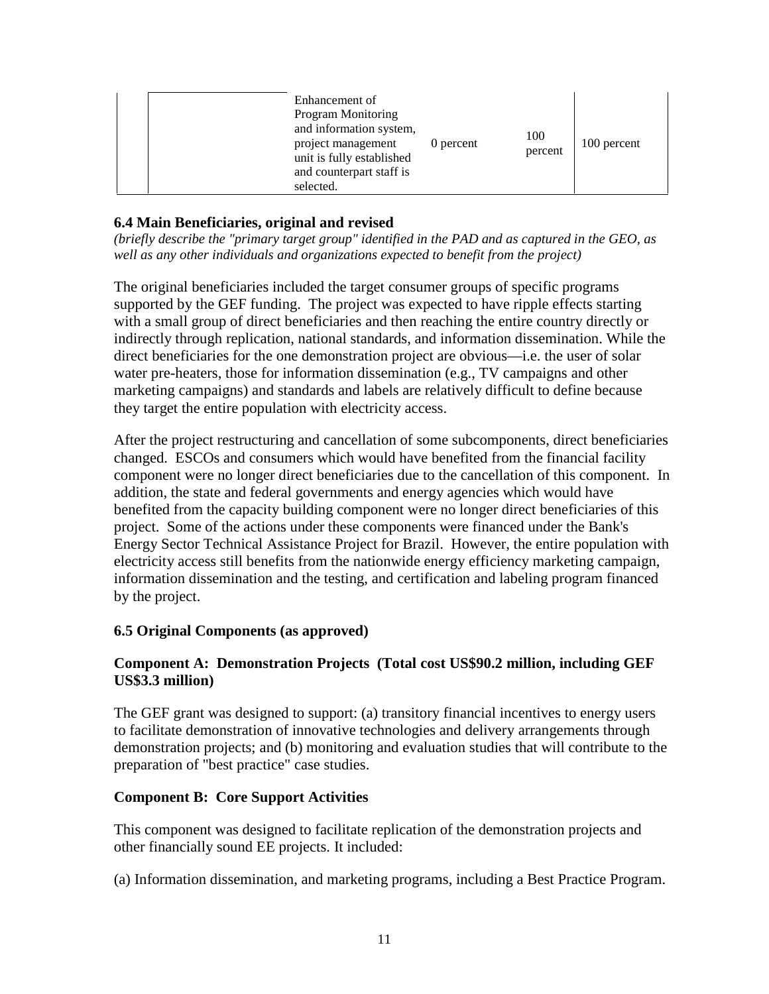|  | Enhancement of<br><b>Program Monitoring</b><br>and information system,<br>project management<br>0 percent<br>unit is fully established<br>and counterpart staff is<br>selected. | 100<br>percent | 100 percent |
|--|---------------------------------------------------------------------------------------------------------------------------------------------------------------------------------|----------------|-------------|
|--|---------------------------------------------------------------------------------------------------------------------------------------------------------------------------------|----------------|-------------|

## **6.4 Main Beneficiaries, original and revised**

*(briefly describe the "primary target group" identified in the PAD and as captured in the GEO, as well as any other individuals and organizations expected to benefit from the project)* 

The original beneficiaries included the target consumer groups of specific programs supported by the GEF funding. The project was expected to have ripple effects starting with a small group of direct beneficiaries and then reaching the entire country directly or indirectly through replication, national standards, and information dissemination. While the direct beneficiaries for the one demonstration project are obvious—i.e. the user of solar water pre-heaters, those for information dissemination (e.g., TV campaigns and other marketing campaigns) and standards and labels are relatively difficult to define because they target the entire population with electricity access.

After the project restructuring and cancellation of some subcomponents, direct beneficiaries changed. ESCOs and consumers which would have benefited from the financial facility component were no longer direct beneficiaries due to the cancellation of this component. In addition, the state and federal governments and energy agencies which would have benefited from the capacity building component were no longer direct beneficiaries of this project. Some of the actions under these components were financed under the Bank's Energy Sector Technical Assistance Project for Brazil. However, the entire population with electricity access still benefits from the nationwide energy efficiency marketing campaign, information dissemination and the testing, and certification and labeling program financed by the project.

#### **6.5 Original Components (as approved)**

## **Component A: Demonstration Projects (Total cost US\$90.2 million, including GEF US\$3.3 million)**

The GEF grant was designed to support: (a) transitory financial incentives to energy users to facilitate demonstration of innovative technologies and delivery arrangements through demonstration projects; and (b) monitoring and evaluation studies that will contribute to the preparation of "best practice" case studies.

#### **Component B: Core Support Activities**

This component was designed to facilitate replication of the demonstration projects and other financially sound EE projects. It included:

(a) Information dissemination, and marketing programs, including a Best Practice Program.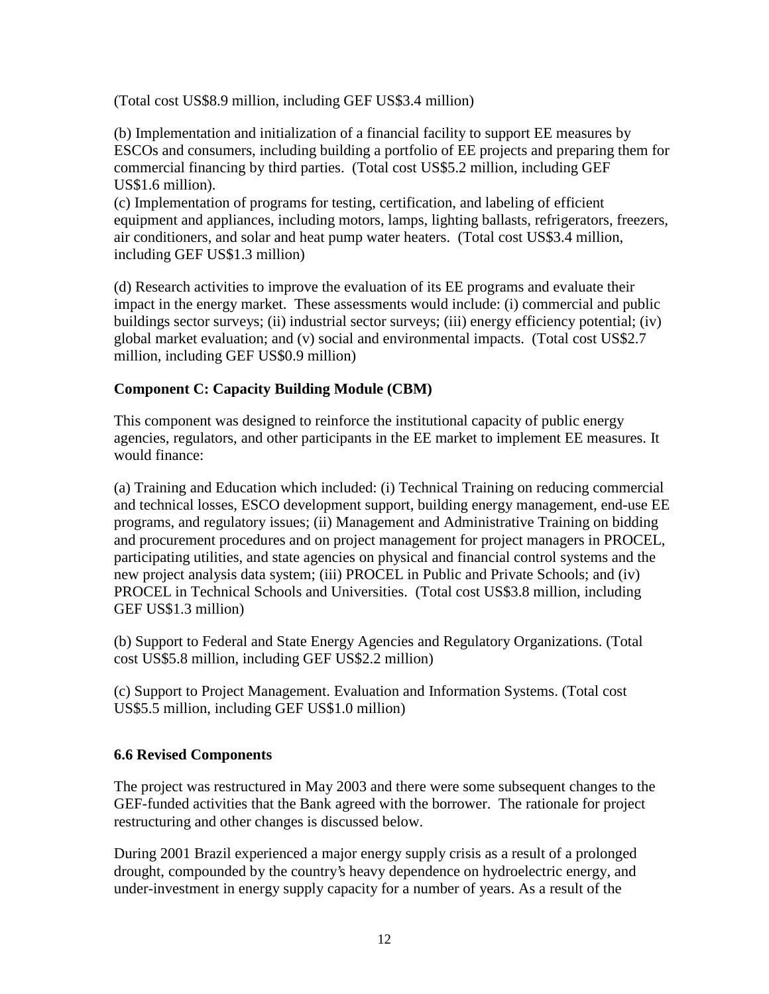(Total cost US\$8.9 million, including GEF US\$3.4 million)

(b) Implementation and initialization of a financial facility to support EE measures by ESCOs and consumers, including building a portfolio of EE projects and preparing them for commercial financing by third parties. (Total cost US\$5.2 million, including GEF US\$1.6 million).

(c) Implementation of programs for testing, certification, and labeling of efficient equipment and appliances, including motors, lamps, lighting ballasts, refrigerators, freezers, air conditioners, and solar and heat pump water heaters. (Total cost US\$3.4 million, including GEF US\$1.3 million)

(d) Research activities to improve the evaluation of its EE programs and evaluate their impact in the energy market. These assessments would include: (i) commercial and public buildings sector surveys; (ii) industrial sector surveys; (iii) energy efficiency potential; (iv) global market evaluation; and (v) social and environmental impacts. (Total cost US\$2.7 million, including GEF US\$0.9 million)

## **Component C: Capacity Building Module (CBM)**

This component was designed to reinforce the institutional capacity of public energy agencies, regulators, and other participants in the EE market to implement EE measures. It would finance:

(a) Training and Education which included: (i) Technical Training on reducing commercial and technical losses, ESCO development support, building energy management, end-use EE programs, and regulatory issues; (ii) Management and Administrative Training on bidding and procurement procedures and on project management for project managers in PROCEL, participating utilities, and state agencies on physical and financial control systems and the new project analysis data system; (iii) PROCEL in Public and Private Schools; and (iv) PROCEL in Technical Schools and Universities. (Total cost US\$3.8 million, including GEF US\$1.3 million)

(b) Support to Federal and State Energy Agencies and Regulatory Organizations. (Total cost US\$5.8 million, including GEF US\$2.2 million)

(c) Support to Project Management. Evaluation and Information Systems. (Total cost US\$5.5 million, including GEF US\$1.0 million)

## **6.6 Revised Components**

The project was restructured in May 2003 and there were some subsequent changes to the GEF-funded activities that the Bank agreed with the borrower. The rationale for project restructuring and other changes is discussed below.

During 2001 Brazil experienced a major energy supply crisis as a result of a prolonged drought, compounded by the country's heavy dependence on hydroelectric energy, and under-investment in energy supply capacity for a number of years. As a result of the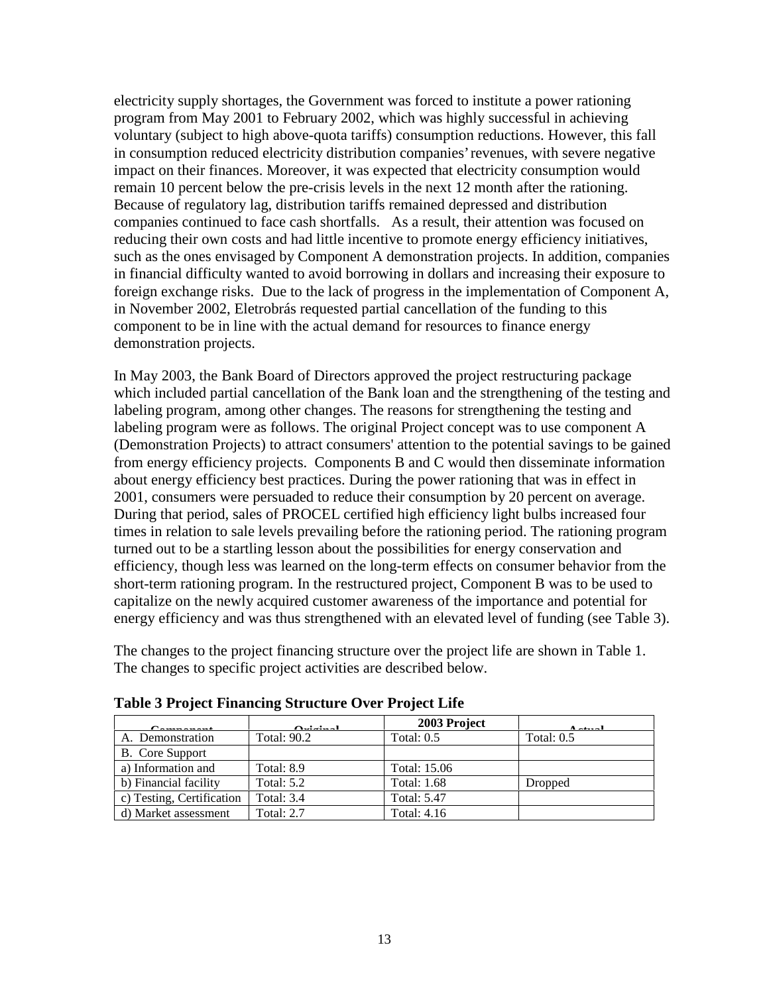electricity supply shortages, the Government was forced to institute a power rationing program from May 2001 to February 2002, which was highly successful in achieving voluntary (subject to high above-quota tariffs) consumption reductions. However, this fall in consumption reduced electricity distribution companies' revenues, with severe negative impact on their finances. Moreover, it was expected that electricity consumption would remain 10 percent below the pre-crisis levels in the next 12 month after the rationing. Because of regulatory lag, distribution tariffs remained depressed and distribution companies continued to face cash shortfalls. As a result, their attention was focused on reducing their own costs and had little incentive to promote energy efficiency initiatives, such as the ones envisaged by Component A demonstration projects. In addition, companies in financial difficulty wanted to avoid borrowing in dollars and increasing their exposure to foreign exchange risks. Due to the lack of progress in the implementation of Component A, in November 2002, Eletrobrás requested partial cancellation of the funding to this component to be in line with the actual demand for resources to finance energy demonstration projects.

In May 2003, the Bank Board of Directors approved the project restructuring package which included partial cancellation of the Bank loan and the strengthening of the testing and labeling program, among other changes. The reasons for strengthening the testing and labeling program were as follows. The original Project concept was to use component A (Demonstration Projects) to attract consumers' attention to the potential savings to be gained from energy efficiency projects. Components B and C would then disseminate information about energy efficiency best practices. During the power rationing that was in effect in 2001, consumers were persuaded to reduce their consumption by 20 percent on average. During that period, sales of PROCEL certified high efficiency light bulbs increased four times in relation to sale levels prevailing before the rationing period. The rationing program turned out to be a startling lesson about the possibilities for energy conservation and efficiency, though less was learned on the long-term effects on consumer behavior from the short-term rationing program. In the restructured project, Component B was to be used to capitalize on the newly acquired customer awareness of the importance and potential for energy efficiency and was thus strengthened with an elevated level of funding (see Table 3).

The changes to the project financing structure over the project life are shown in Table 1. The changes to specific project activities are described below.

| $\Gamma$ and $\Gamma$ and $\Gamma$ | $0.11 - 1$        | 2003 Project       | $A = 4 - 1$  |
|------------------------------------|-------------------|--------------------|--------------|
| A. Demonstration                   | Total: 90.2       | Total: $0.5$       | Total: $0.5$ |
| B. Core Support                    |                   |                    |              |
| a) Information and                 | Total: 8.9        | Total: 15.06       |              |
| b) Financial facility              | <b>Total: 5.2</b> | <b>Total: 1.68</b> | Dropped      |
| c) Testing, Certification          | <b>Total: 3.4</b> | <b>Total: 5.47</b> |              |
| d) Market assessment               | <b>Total: 2.7</b> | <b>Total: 4.16</b> |              |

**Table 3 Project Financing Structure Over Project Life**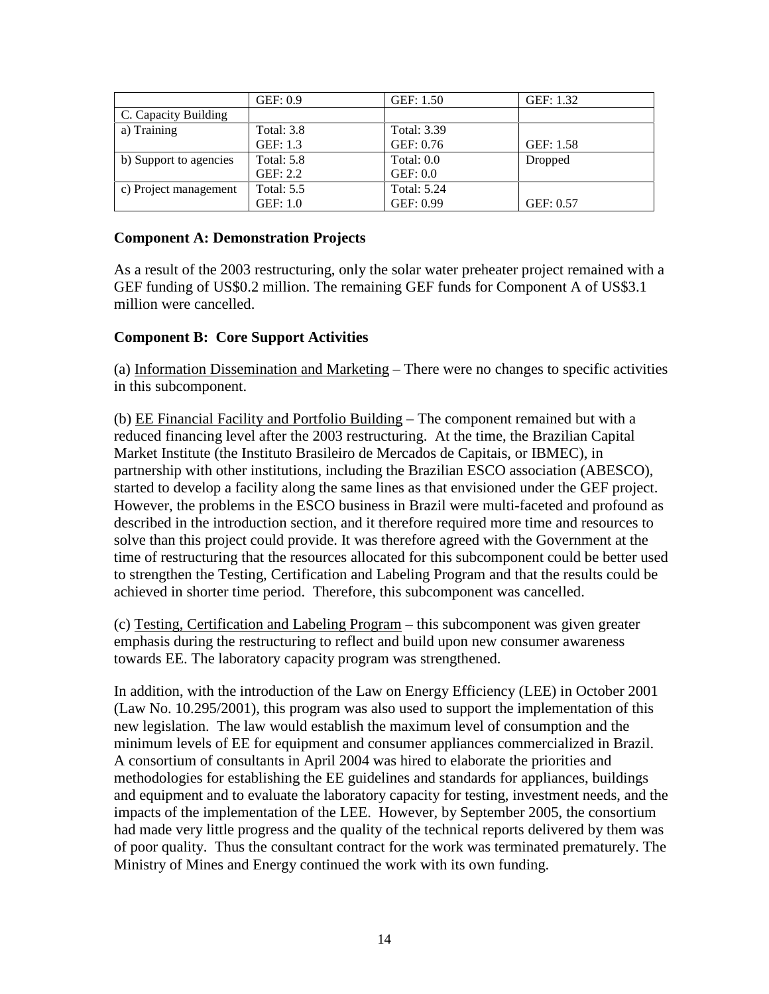|                        | GEF: 0.9          | GEF: 1.50          | GEF: 1.32 |
|------------------------|-------------------|--------------------|-----------|
| C. Capacity Building   |                   |                    |           |
| a) Training            | <b>Total: 3.8</b> | <b>Total: 3.39</b> |           |
|                        | GEF: 1.3          | GEF: 0.76          | GEF: 1.58 |
| b) Support to agencies | <b>Total: 5.8</b> | Total: 0.0         | Dropped   |
|                        | GEF: 2.2          | GEF: 0.0           |           |
| c) Project management  | <b>Total: 5.5</b> | <b>Total: 5.24</b> |           |
|                        | GEF: 1.0          | GEF: 0.99          | GEF: 0.57 |

## **Component A: Demonstration Projects**

As a result of the 2003 restructuring, only the solar water preheater project remained with a GEF funding of US\$0.2 million. The remaining GEF funds for Component A of US\$3.1 million were cancelled.

## **Component B: Core Support Activities**

(a) Information Dissemination and Marketing – There were no changes to specific activities in this subcomponent.

(b) EE Financial Facility and Portfolio Building – The component remained but with a reduced financing level after the 2003 restructuring. At the time, the Brazilian Capital Market Institute (the Instituto Brasileiro de Mercados de Capitais, or IBMEC), in partnership with other institutions, including the Brazilian ESCO association (ABESCO), started to develop a facility along the same lines as that envisioned under the GEF project. However, the problems in the ESCO business in Brazil were multi-faceted and profound as described in the introduction section, and it therefore required more time and resources to solve than this project could provide. It was therefore agreed with the Government at the time of restructuring that the resources allocated for this subcomponent could be better used to strengthen the Testing, Certification and Labeling Program and that the results could be achieved in shorter time period. Therefore, this subcomponent was cancelled.

(c) Testing, Certification and Labeling Program – this subcomponent was given greater emphasis during the restructuring to reflect and build upon new consumer awareness towards EE. The laboratory capacity program was strengthened.

In addition, with the introduction of the Law on Energy Efficiency (LEE) in October 2001 (Law No. 10.295/2001), this program was also used to support the implementation of this new legislation. The law would establish the maximum level of consumption and the minimum levels of EE for equipment and consumer appliances commercialized in Brazil. A consortium of consultants in April 2004 was hired to elaborate the priorities and methodologies for establishing the EE guidelines and standards for appliances, buildings and equipment and to evaluate the laboratory capacity for testing, investment needs, and the impacts of the implementation of the LEE. However, by September 2005, the consortium had made very little progress and the quality of the technical reports delivered by them was of poor quality. Thus the consultant contract for the work was terminated prematurely. The Ministry of Mines and Energy continued the work with its own funding.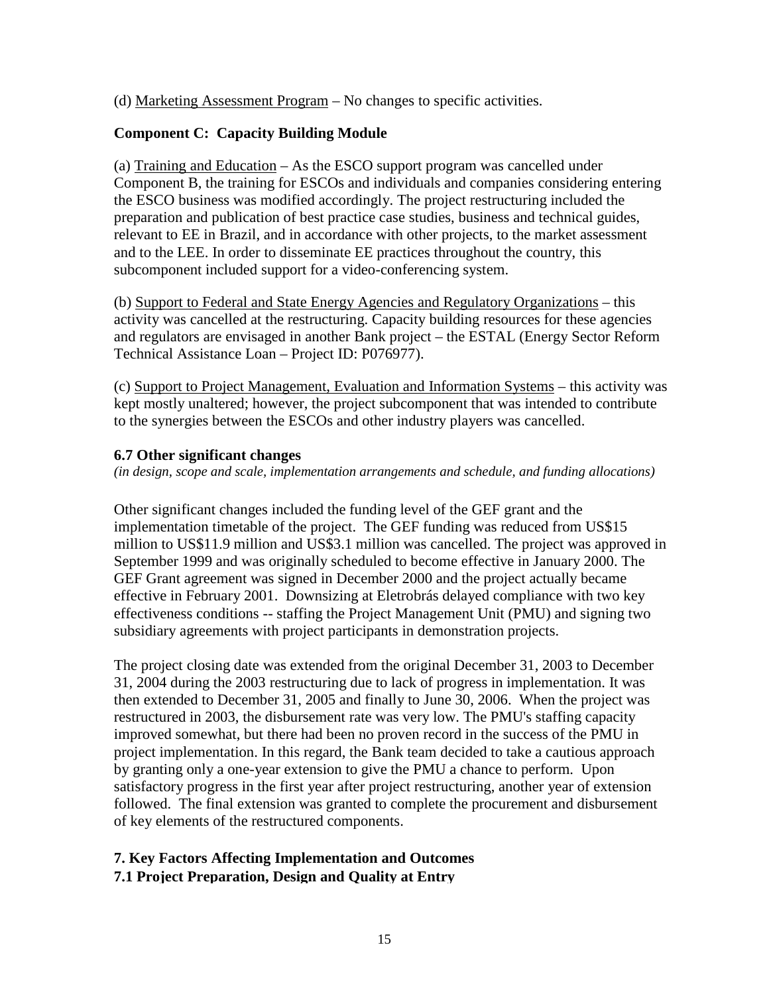(d) Marketing Assessment Program – No changes to specific activities.

## **Component C: Capacity Building Module**

(a) Training and Education – As the ESCO support program was cancelled under Component B, the training for ESCOs and individuals and companies considering entering the ESCO business was modified accordingly. The project restructuring included the preparation and publication of best practice case studies, business and technical guides, relevant to EE in Brazil, and in accordance with other projects, to the market assessment and to the LEE. In order to disseminate EE practices throughout the country, this subcomponent included support for a video-conferencing system.

(b) Support to Federal and State Energy Agencies and Regulatory Organizations – this activity was cancelled at the restructuring. Capacity building resources for these agencies and regulators are envisaged in another Bank project – the ESTAL (Energy Sector Reform Technical Assistance Loan – Project ID: P076977).

(c) Support to Project Management, Evaluation and Information Systems – this activity was kept mostly unaltered; however, the project subcomponent that was intended to contribute to the synergies between the ESCOs and other industry players was cancelled.

#### **6.7 Other significant changes**

*(in design, scope and scale, implementation arrangements and schedule, and funding allocations)*

Other significant changes included the funding level of the GEF grant and the implementation timetable of the project. The GEF funding was reduced from US\$15 million to US\$11.9 million and US\$3.1 million was cancelled. The project was approved in September 1999 and was originally scheduled to become effective in January 2000. The GEF Grant agreement was signed in December 2000 and the project actually became effective in February 2001. Downsizing at Eletrobrás delayed compliance with two key effectiveness conditions -- staffing the Project Management Unit (PMU) and signing two subsidiary agreements with project participants in demonstration projects.

The project closing date was extended from the original December 31, 2003 to December 31, 2004 during the 2003 restructuring due to lack of progress in implementation. It was then extended to December 31, 2005 and finally to June 30, 2006. When the project was restructured in 2003, the disbursement rate was very low. The PMU's staffing capacity improved somewhat, but there had been no proven record in the success of the PMU in project implementation. In this regard, the Bank team decided to take a cautious approach by granting only a one-year extension to give the PMU a chance to perform. Upon satisfactory progress in the first year after project restructuring, another year of extension followed. The final extension was granted to complete the procurement and disbursement of key elements of the restructured components.

## **7. Key Factors Affecting Implementation and Outcomes 7.1 Project Preparation, Design and Quality at Entry**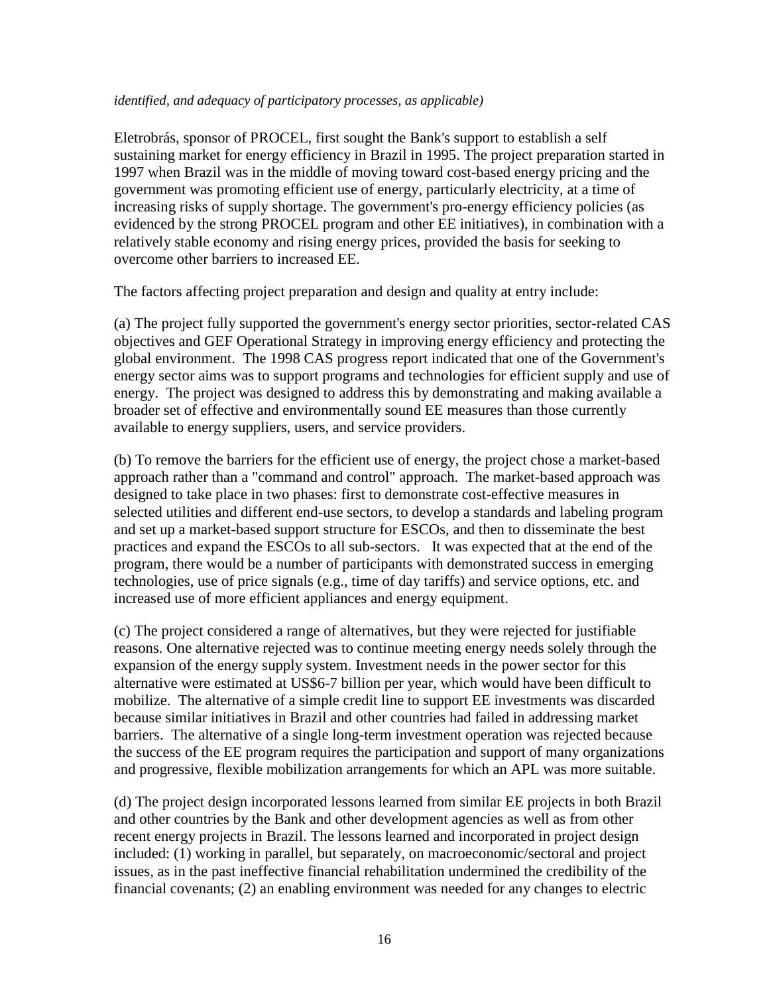#### *identified, and adequacy of participatory processes, as applicable)*

Eletrobrás, sponsor of PROCEL, first sought the Bank's support to establish a self sustaining market for energy efficiency in Brazil in 1995. The project preparation started in 1997 when Brazil was in the middle of moving toward cost-based energy pricing and the government was promoting efficient use of energy, particularly electricity, at a time of increasing risks of supply shortage. The government's pro-energy efficiency policies (as evidenced by the strong PROCEL program and other EE initiatives), in combination with a relatively stable economy and rising energy prices, provided the basis for seeking to overcome other barriers to increased EE.

The factors affecting project preparation and design and quality at entry include:

(a) The project fully supported the government's energy sector priorities, sector-related CAS objectives and GEF Operational Strategy in improving energy efficiency and protecting the global environment. The 1998 CAS progress report indicated that one of the Government's energy sector aims was to support programs and technologies for efficient supply and use of energy. The project was designed to address this by demonstrating and making available a broader set of effective and environmentally sound EE measures than those currently available to energy suppliers, users, and service providers.

(b) To remove the barriers for the efficient use of energy, the project chose a market-based approach rather than a "command and control" approach. The market-based approach was designed to take place in two phases: first to demonstrate cost-effective measures in selected utilities and different end-use sectors, to develop a standards and labeling program and set up a market-based support structure for ESCOs, and then to disseminate the best practices and expand the ESCOs to all sub-sectors. It was expected that at the end of the program, there would be a number of participants with demonstrated success in emerging technologies, use of price signals (e.g., time of day tariffs) and service options, etc. and increased use of more efficient appliances and energy equipment.

(c) The project considered a range of alternatives, but they were rejected for justifiable reasons. One alternative rejected was to continue meeting energy needs solely through the expansion of the energy supply system. Investment needs in the power sector for this alternative were estimated at US\$6-7 billion per year, which would have been difficult to mobilize. The alternative of a simple credit line to support EE investments was discarded because similar initiatives in Brazil and other countries had failed in addressing market barriers. The alternative of a single long-term investment operation was rejected because the success of the EE program requires the participation and support of many organizations and progressive, flexible mobilization arrangements for which an APL was more suitable.

(d) The project design incorporated lessons learned from similar EE projects in both Brazil and other countries by the Bank and other development agencies as well as from other recent energy projects in Brazil. The lessons learned and incorporated in project design included: (1) working in parallel, but separately, on macroeconomic/sectoral and project issues, as in the past ineffective financial rehabilitation undermined the credibility of the financial covenants; (2) an enabling environment was needed for any changes to electric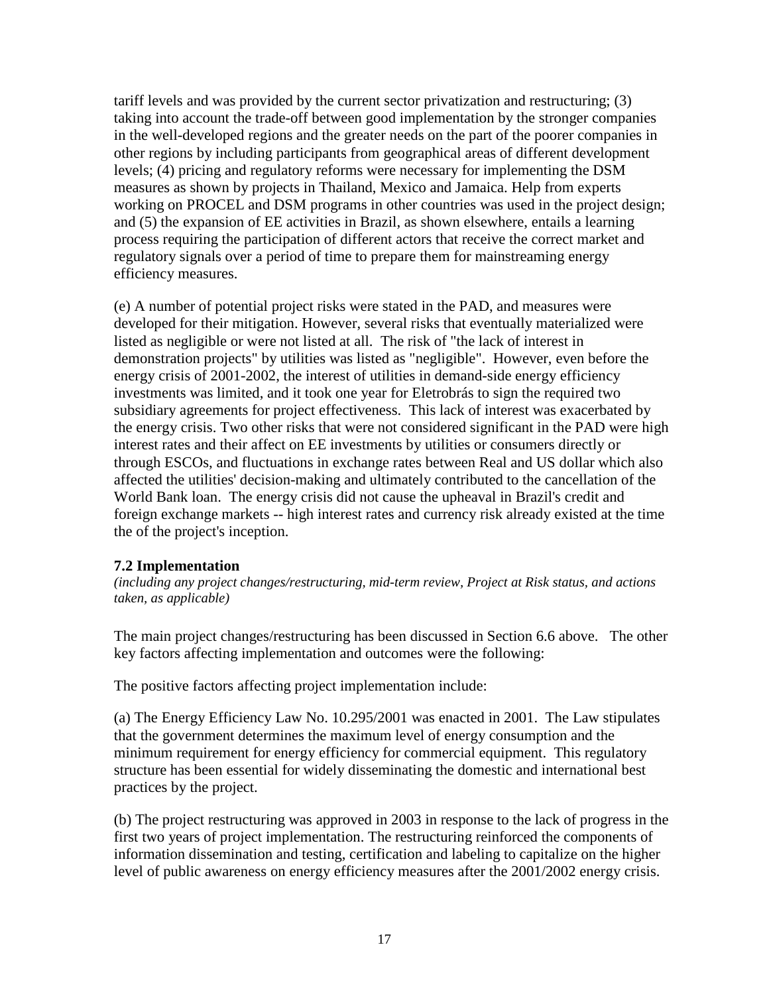tariff levels and was provided by the current sector privatization and restructuring; (3) taking into account the trade-off between good implementation by the stronger companies in the well-developed regions and the greater needs on the part of the poorer companies in other regions by including participants from geographical areas of different development levels; (4) pricing and regulatory reforms were necessary for implementing the DSM measures as shown by projects in Thailand, Mexico and Jamaica. Help from experts working on PROCEL and DSM programs in other countries was used in the project design; and (5) the expansion of EE activities in Brazil, as shown elsewhere, entails a learning process requiring the participation of different actors that receive the correct market and regulatory signals over a period of time to prepare them for mainstreaming energy efficiency measures.

(e) A number of potential project risks were stated in the PAD, and measures were developed for their mitigation. However, several risks that eventually materialized were listed as negligible or were not listed at all. The risk of "the lack of interest in demonstration projects" by utilities was listed as "negligible". However, even before the energy crisis of 2001-2002, the interest of utilities in demand-side energy efficiency investments was limited, and it took one year for Eletrobrás to sign the required two subsidiary agreements for project effectiveness. This lack of interest was exacerbated by the energy crisis. Two other risks that were not considered significant in the PAD were high interest rates and their affect on EE investments by utilities or consumers directly or through ESCOs, and fluctuations in exchange rates between Real and US dollar which also affected the utilities' decision-making and ultimately contributed to the cancellation of the World Bank loan. The energy crisis did not cause the upheaval in Brazil's credit and foreign exchange markets -- high interest rates and currency risk already existed at the time the of the project's inception.

#### **7.2 Implementation**

*(including any project changes/restructuring, mid-term review, Project at Risk status, and actions taken, as applicable)* 

The main project changes/restructuring has been discussed in Section 6.6 above. The other key factors affecting implementation and outcomes were the following:

The positive factors affecting project implementation include:

(a) The Energy Efficiency Law No. 10.295/2001 was enacted in 2001. The Law stipulates that the government determines the maximum level of energy consumption and the minimum requirement for energy efficiency for commercial equipment. This regulatory structure has been essential for widely disseminating the domestic and international best practices by the project.

(b) The project restructuring was approved in 2003 in response to the lack of progress in the first two years of project implementation. The restructuring reinforced the components of information dissemination and testing, certification and labeling to capitalize on the higher level of public awareness on energy efficiency measures after the 2001/2002 energy crisis.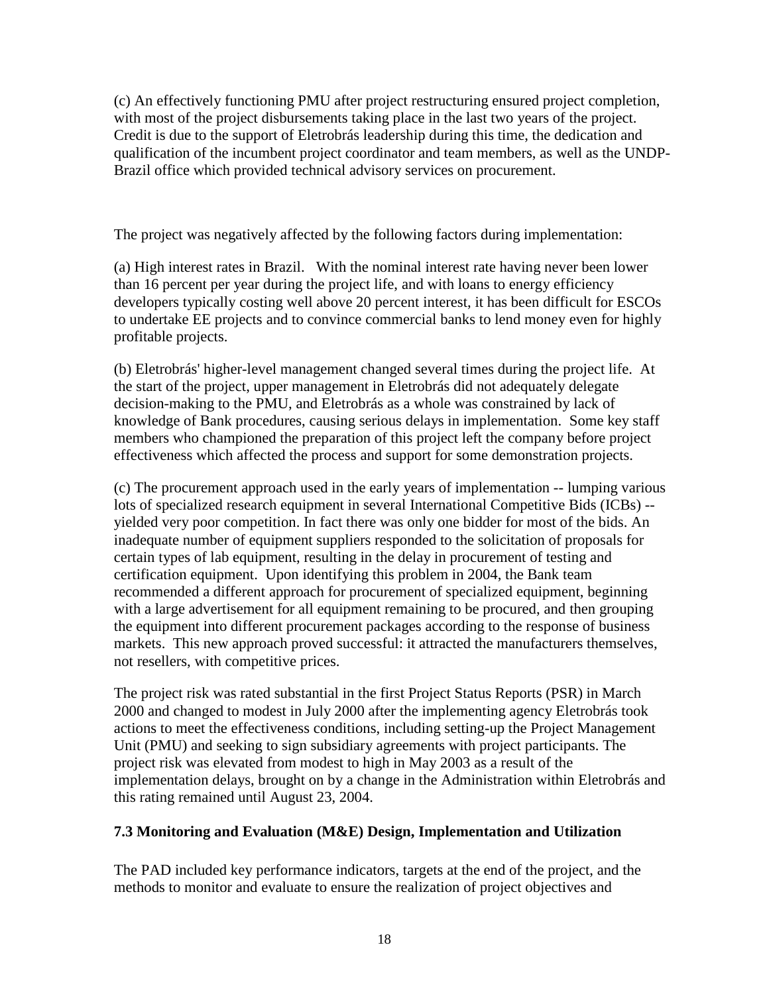(c) An effectively functioning PMU after project restructuring ensured project completion, with most of the project disbursements taking place in the last two years of the project. Credit is due to the support of Eletrobrás leadership during this time, the dedication and qualification of the incumbent project coordinator and team members, as well as the UNDP-Brazil office which provided technical advisory services on procurement.

The project was negatively affected by the following factors during implementation:

(a) High interest rates in Brazil. With the nominal interest rate having never been lower than 16 percent per year during the project life, and with loans to energy efficiency developers typically costing well above 20 percent interest, it has been difficult for ESCOs to undertake EE projects and to convince commercial banks to lend money even for highly profitable projects.

(b) Eletrobrás' higher-level management changed several times during the project life. At the start of the project, upper management in Eletrobrás did not adequately delegate decision-making to the PMU, and Eletrobrás as a whole was constrained by lack of knowledge of Bank procedures, causing serious delays in implementation. Some key staff members who championed the preparation of this project left the company before project effectiveness which affected the process and support for some demonstration projects.

(c) The procurement approach used in the early years of implementation -- lumping various lots of specialized research equipment in several International Competitive Bids (ICBs) - yielded very poor competition. In fact there was only one bidder for most of the bids. An inadequate number of equipment suppliers responded to the solicitation of proposals for certain types of lab equipment, resulting in the delay in procurement of testing and certification equipment. Upon identifying this problem in 2004, the Bank team recommended a different approach for procurement of specialized equipment, beginning with a large advertisement for all equipment remaining to be procured, and then grouping the equipment into different procurement packages according to the response of business markets. This new approach proved successful: it attracted the manufacturers themselves, not resellers, with competitive prices.

The project risk was rated substantial in the first Project Status Reports (PSR) in March 2000 and changed to modest in July 2000 after the implementing agency Eletrobrás took actions to meet the effectiveness conditions, including setting-up the Project Management Unit (PMU) and seeking to sign subsidiary agreements with project participants. The project risk was elevated from modest to high in May 2003 as a result of the implementation delays, brought on by a change in the Administration within Eletrobrás and this rating remained until August 23, 2004.

## **7.3 Monitoring and Evaluation (M&E) Design, Implementation and Utilization**

The PAD included key performance indicators, targets at the end of the project, and the methods to monitor and evaluate to ensure the realization of project objectives and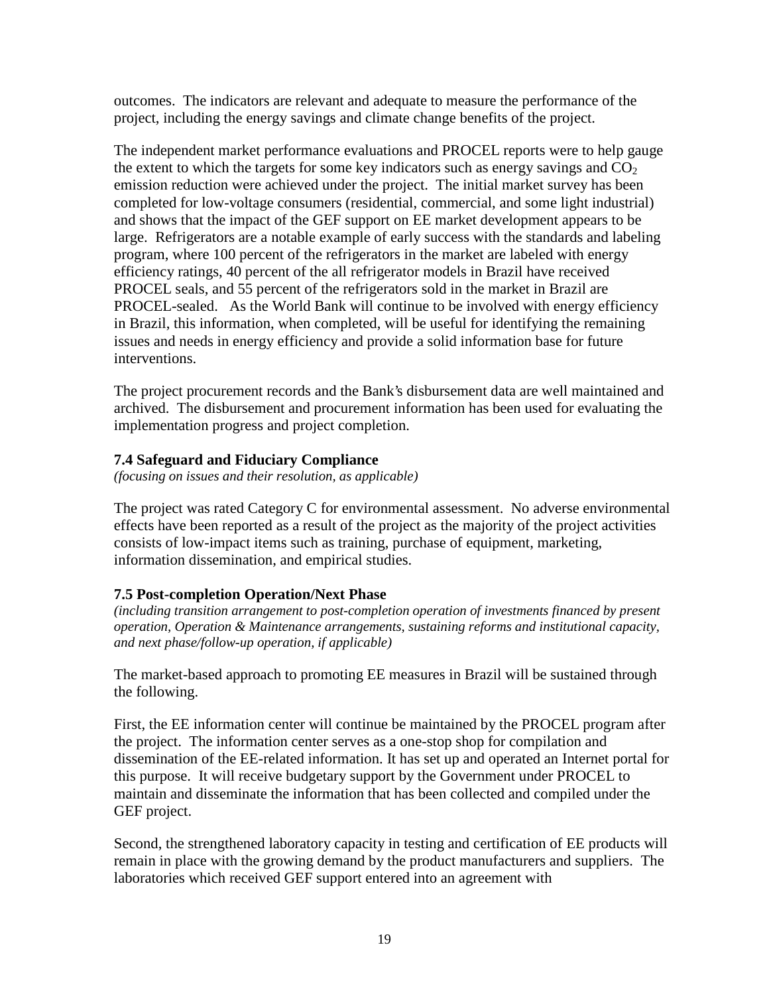outcomes. The indicators are relevant and adequate to measure the performance of the project, including the energy savings and climate change benefits of the project.

The independent market performance evaluations and PROCEL reports were to help gauge the extent to which the targets for some key indicators such as energy savings and  $CO<sub>2</sub>$ emission reduction were achieved under the project. The initial market survey has been completed for low-voltage consumers (residential, commercial, and some light industrial) and shows that the impact of the GEF support on EE market development appears to be large. Refrigerators are a notable example of early success with the standards and labeling program, where 100 percent of the refrigerators in the market are labeled with energy efficiency ratings, 40 percent of the all refrigerator models in Brazil have received PROCEL seals, and 55 percent of the refrigerators sold in the market in Brazil are PROCEL-sealed. As the World Bank will continue to be involved with energy efficiency in Brazil, this information, when completed, will be useful for identifying the remaining issues and needs in energy efficiency and provide a solid information base for future interventions.

The project procurement records and the Bank's disbursement data are well maintained and archived. The disbursement and procurement information has been used for evaluating the implementation progress and project completion.

#### **7.4 Safeguard and Fiduciary Compliance**

*(focusing on issues and their resolution, as applicable)*

The project was rated Category C for environmental assessment. No adverse environmental effects have been reported as a result of the project as the majority of the project activities consists of low-impact items such as training, purchase of equipment, marketing, information dissemination, and empirical studies.

## **7.5 Post-completion Operation/Next Phase**

*(including transition arrangement to post-completion operation of investments financed by present operation, Operation & Maintenance arrangements, sustaining reforms and institutional capacity, and next phase/follow-up operation, if applicable)* 

The market-based approach to promoting EE measures in Brazil will be sustained through the following.

First, the EE information center will continue be maintained by the PROCEL program after the project. The information center serves as a one-stop shop for compilation and dissemination of the EE-related information. It has set up and operated an Internet portal for this purpose. It will receive budgetary support by the Government under PROCEL to maintain and disseminate the information that has been collected and compiled under the GEF project.

Second, the strengthened laboratory capacity in testing and certification of EE products will remain in place with the growing demand by the product manufacturers and suppliers. The laboratories which received GEF support entered into an agreement with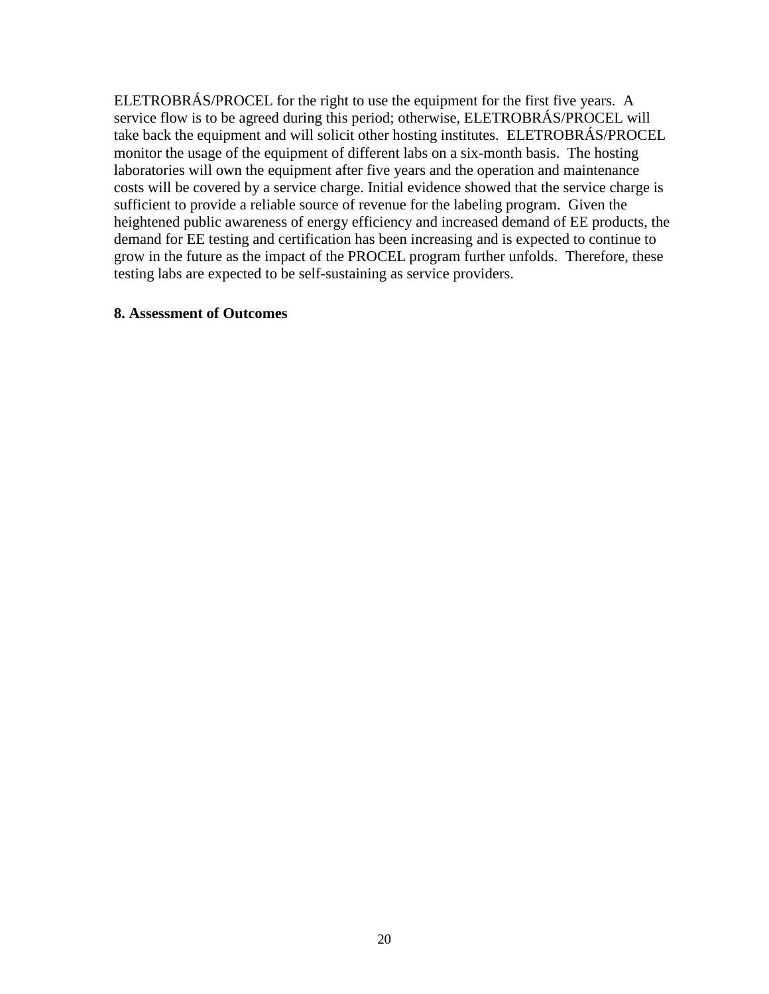ELETROBRÁS/PROCEL for the right to use the equipment for the first five years. A service flow is to be agreed during this period; otherwise, ELETROBRÁS/PROCEL will take back the equipment and will solicit other hosting institutes. ELETROBRÁS/PROCEL monitor the usage of the equipment of different labs on a six-month basis. The hosting laboratories will own the equipment after five years and the operation and maintenance costs will be covered by a service charge. Initial evidence showed that the service charge is sufficient to provide a reliable source of revenue for the labeling program. Given the heightened public awareness of energy efficiency and increased demand of EE products, the demand for EE testing and certification has been increasing and is expected to continue to grow in the future as the impact of the PROCEL program further unfolds. Therefore, these testing labs are expected to be self-sustaining as service providers.

#### **8. Assessment of Outcomes**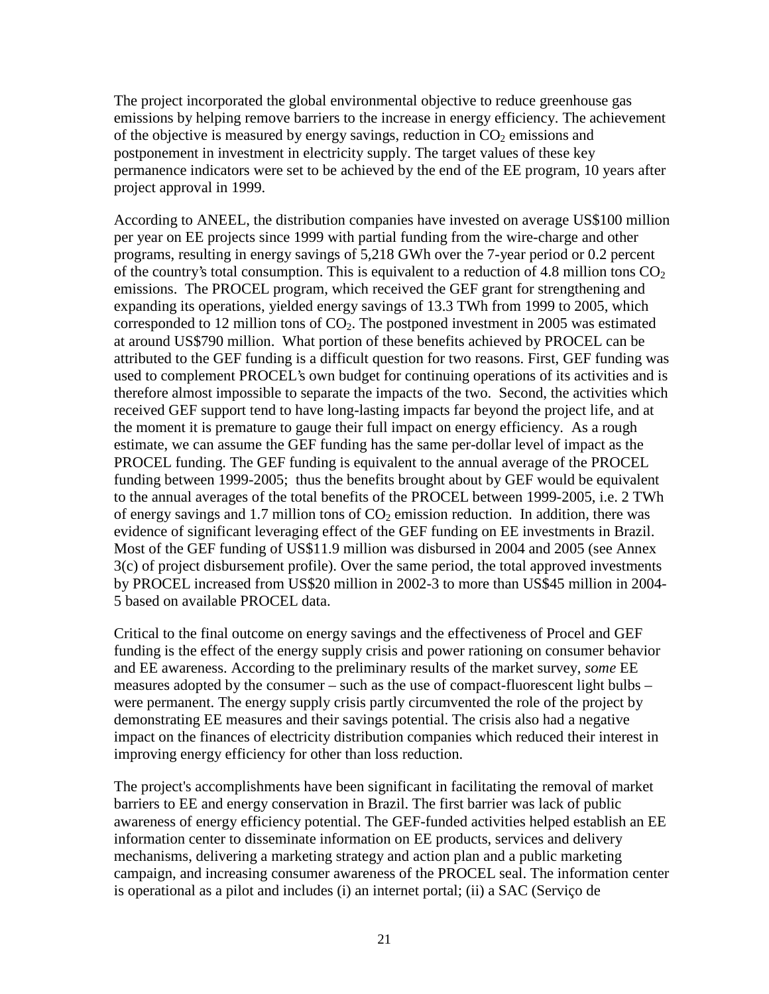The project incorporated the global environmental objective to reduce greenhouse gas emissions by helping remove barriers to the increase in energy efficiency. The achievement of the objective is measured by energy savings, reduction in  $CO<sub>2</sub>$  emissions and postponement in investment in electricity supply. The target values of these key permanence indicators were set to be achieved by the end of the EE program, 10 years after project approval in 1999.

According to ANEEL, the distribution companies have invested on average US\$100 million per year on EE projects since 1999 with partial funding from the wire-charge and other programs, resulting in energy savings of 5,218 GWh over the 7-year period or 0.2 percent of the country's total consumption. This is equivalent to a reduction of 4.8 million tons  $CO<sub>2</sub>$ emissions. The PROCEL program, which received the GEF grant for strengthening and expanding its operations, yielded energy savings of 13.3 TWh from 1999 to 2005, which corresponded to 12 million tons of  $CO<sub>2</sub>$ . The postponed investment in 2005 was estimated at around US\$790 million. What portion of these benefits achieved by PROCEL can be attributed to the GEF funding is a difficult question for two reasons. First, GEF funding was used to complement PROCEL's own budget for continuing operations of its activities and is therefore almost impossible to separate the impacts of the two. Second, the activities which received GEF support tend to have long-lasting impacts far beyond the project life, and at the moment it is premature to gauge their full impact on energy efficiency. As a rough estimate, we can assume the GEF funding has the same per-dollar level of impact as the PROCEL funding. The GEF funding is equivalent to the annual average of the PROCEL funding between 1999-2005; thus the benefits brought about by GEF would be equivalent to the annual averages of the total benefits of the PROCEL between 1999-2005, i.e. 2 TWh of energy savings and 1.7 million tons of  $CO<sub>2</sub>$  emission reduction. In addition, there was evidence of significant leveraging effect of the GEF funding on EE investments in Brazil. Most of the GEF funding of US\$11.9 million was disbursed in 2004 and 2005 (see Annex 3(c) of project disbursement profile). Over the same period, the total approved investments by PROCEL increased from US\$20 million in 2002-3 to more than US\$45 million in 2004- 5 based on available PROCEL data.

Critical to the final outcome on energy savings and the effectiveness of Procel and GEF funding is the effect of the energy supply crisis and power rationing on consumer behavior and EE awareness. According to the preliminary results of the market survey, *some* EE measures adopted by the consumer – such as the use of compact-fluorescent light bulbs – were permanent. The energy supply crisis partly circumvented the role of the project by demonstrating EE measures and their savings potential. The crisis also had a negative impact on the finances of electricity distribution companies which reduced their interest in improving energy efficiency for other than loss reduction.

The project's accomplishments have been significant in facilitating the removal of market barriers to EE and energy conservation in Brazil. The first barrier was lack of public awareness of energy efficiency potential. The GEF-funded activities helped establish an EE information center to disseminate information on EE products, services and delivery mechanisms, delivering a marketing strategy and action plan and a public marketing campaign, and increasing consumer awareness of the PROCEL seal. The information center is operational as a pilot and includes (i) an internet portal; (ii) a SAC (Serviço de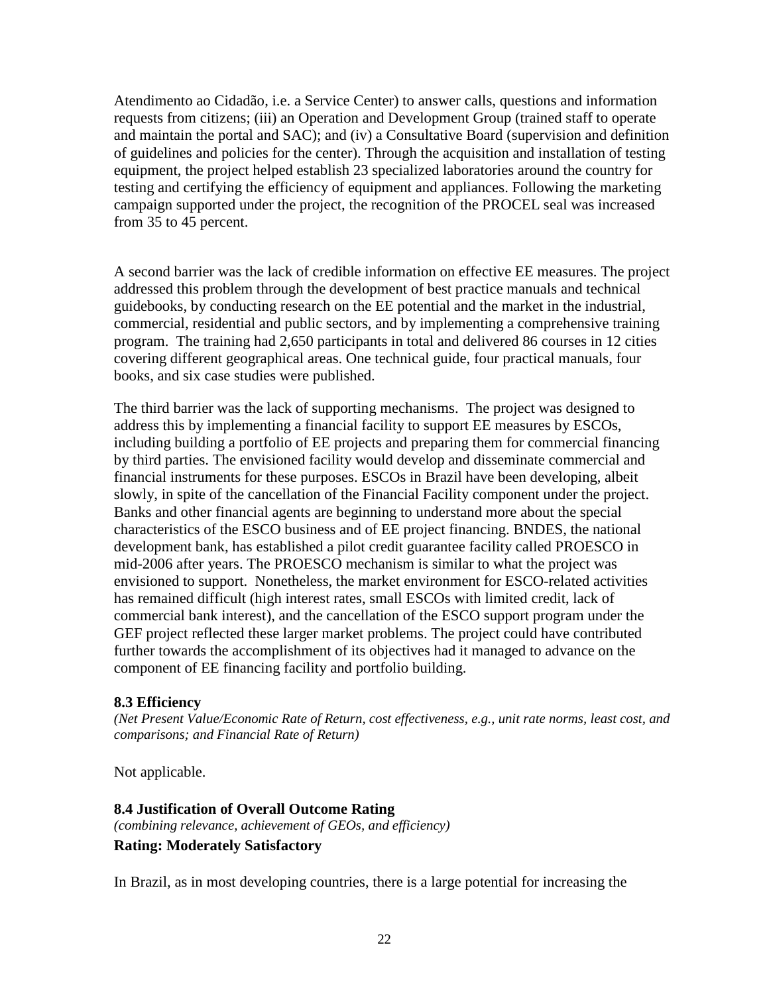Atendimento ao Cidadão, i.e. a Service Center) to answer calls, questions and information requests from citizens; (iii) an Operation and Development Group (trained staff to operate and maintain the portal and SAC); and (iv) a Consultative Board (supervision and definition of guidelines and policies for the center). Through the acquisition and installation of testing equipment, the project helped establish 23 specialized laboratories around the country for testing and certifying the efficiency of equipment and appliances. Following the marketing campaign supported under the project, the recognition of the PROCEL seal was increased from 35 to 45 percent.

A second barrier was the lack of credible information on effective EE measures. The project addressed this problem through the development of best practice manuals and technical guidebooks, by conducting research on the EE potential and the market in the industrial, commercial, residential and public sectors, and by implementing a comprehensive training program. The training had 2,650 participants in total and delivered 86 courses in 12 cities covering different geographical areas. One technical guide, four practical manuals, four books, and six case studies were published.

The third barrier was the lack of supporting mechanisms. The project was designed to address this by implementing a financial facility to support EE measures by ESCOs, including building a portfolio of EE projects and preparing them for commercial financing by third parties. The envisioned facility would develop and disseminate commercial and financial instruments for these purposes. ESCOs in Brazil have been developing, albeit slowly, in spite of the cancellation of the Financial Facility component under the project. Banks and other financial agents are beginning to understand more about the special characteristics of the ESCO business and of EE project financing. BNDES, the national development bank, has established a pilot credit guarantee facility called PROESCO in mid-2006 after years. The PROESCO mechanism is similar to what the project was envisioned to support. Nonetheless, the market environment for ESCO-related activities has remained difficult (high interest rates, small ESCOs with limited credit, lack of commercial bank interest), and the cancellation of the ESCO support program under the GEF project reflected these larger market problems. The project could have contributed further towards the accomplishment of its objectives had it managed to advance on the component of EE financing facility and portfolio building.

#### **8.3 Efficiency**

*(Net Present Value/Economic Rate of Return, cost effectiveness, e.g., unit rate norms, least cost, and comparisons; and Financial Rate of Return)* 

Not applicable.

**8.4 Justification of Overall Outcome Rating**  *(combining relevance, achievement of GEOs, and efficiency)* **Rating: Moderately Satisfactory** 

In Brazil, as in most developing countries, there is a large potential for increasing the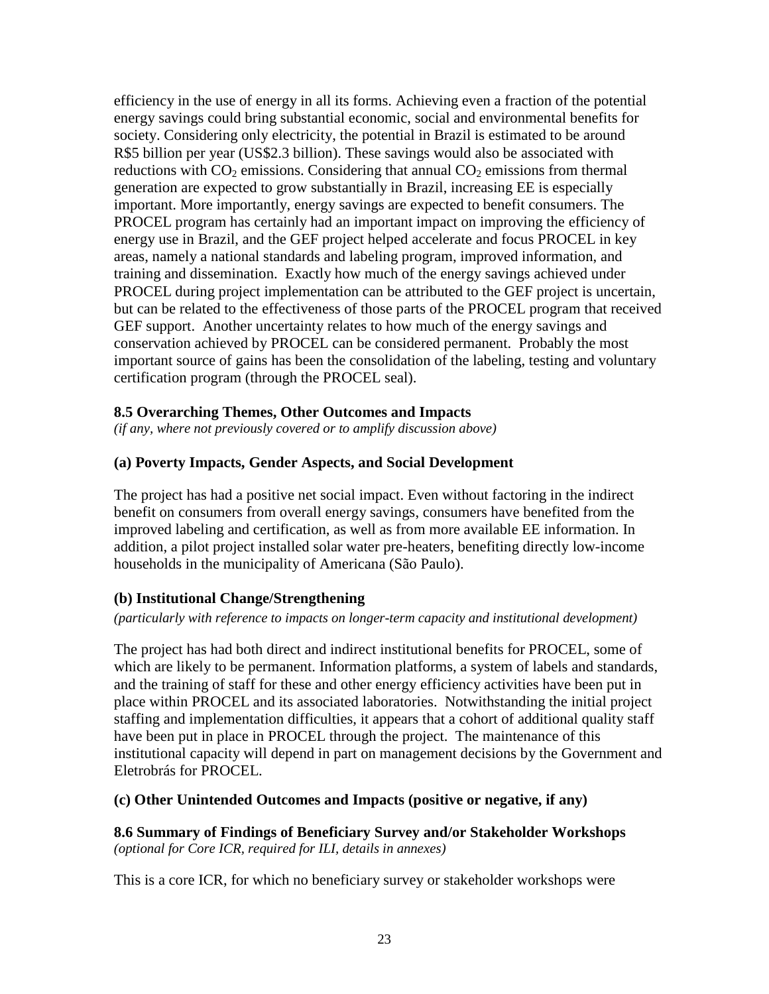efficiency in the use of energy in all its forms. Achieving even a fraction of the potential energy savings could bring substantial economic, social and environmental benefits for society. Considering only electricity, the potential in Brazil is estimated to be around R\$5 billion per year (US\$2.3 billion). These savings would also be associated with reductions with  $CO<sub>2</sub>$  emissions. Considering that annual  $CO<sub>2</sub>$  emissions from thermal generation are expected to grow substantially in Brazil, increasing EE is especially important. More importantly, energy savings are expected to benefit consumers. The PROCEL program has certainly had an important impact on improving the efficiency of energy use in Brazil, and the GEF project helped accelerate and focus PROCEL in key areas, namely a national standards and labeling program, improved information, and training and dissemination. Exactly how much of the energy savings achieved under PROCEL during project implementation can be attributed to the GEF project is uncertain, but can be related to the effectiveness of those parts of the PROCEL program that received GEF support. Another uncertainty relates to how much of the energy savings and conservation achieved by PROCEL can be considered permanent. Probably the most important source of gains has been the consolidation of the labeling, testing and voluntary certification program (through the PROCEL seal).

#### **8.5 Overarching Themes, Other Outcomes and Impacts**

*(if any, where not previously covered or to amplify discussion above)*

#### **(a) Poverty Impacts, Gender Aspects, and Social Development**

The project has had a positive net social impact. Even without factoring in the indirect benefit on consumers from overall energy savings, consumers have benefited from the improved labeling and certification, as well as from more available EE information. In addition, a pilot project installed solar water pre-heaters, benefiting directly low-income households in the municipality of Americana (São Paulo).

#### **(b) Institutional Change/Strengthening**

#### *(particularly with reference to impacts on longer-term capacity and institutional development)*

The project has had both direct and indirect institutional benefits for PROCEL, some of which are likely to be permanent. Information platforms, a system of labels and standards, and the training of staff for these and other energy efficiency activities have been put in place within PROCEL and its associated laboratories. Notwithstanding the initial project staffing and implementation difficulties, it appears that a cohort of additional quality staff have been put in place in PROCEL through the project. The maintenance of this institutional capacity will depend in part on management decisions by the Government and Eletrobrás for PROCEL.

#### **(c) Other Unintended Outcomes and Impacts (positive or negative, if any)**

**8.6 Summary of Findings of Beneficiary Survey and/or Stakeholder Workshops**  *(optional for Core ICR, required for ILI, details in annexes)*

This is a core ICR, for which no beneficiary survey or stakeholder workshops were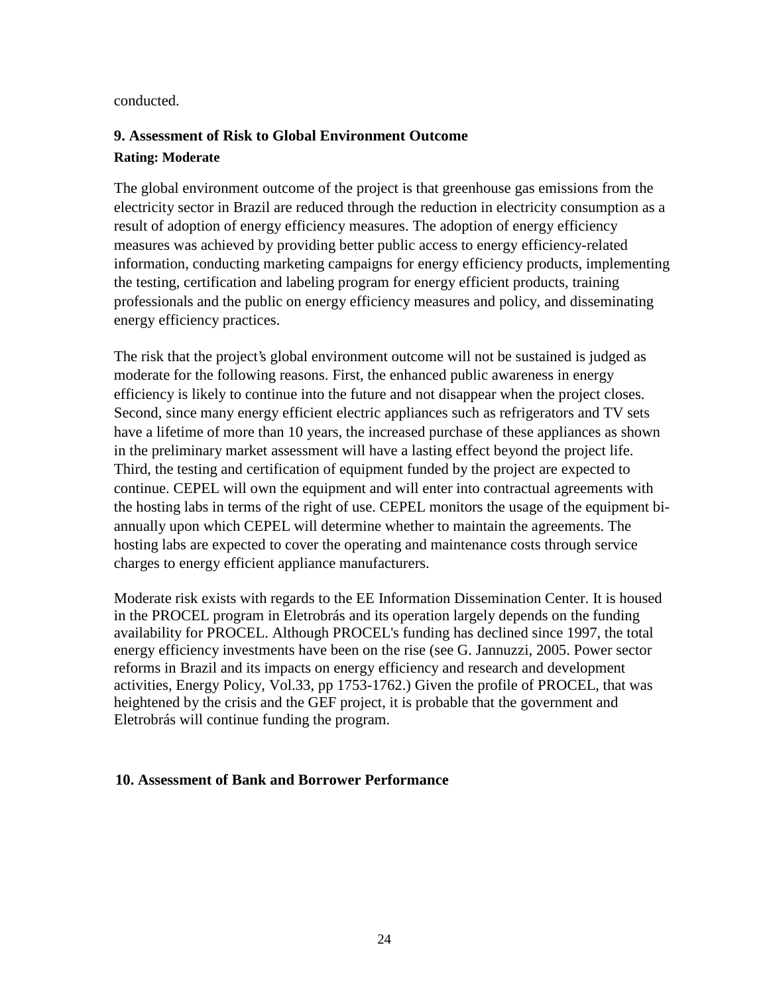#### conducted.

## **9. Assessment of Risk to Global Environment Outcome Rating: Moderate**

The global environment outcome of the project is that greenhouse gas emissions from the electricity sector in Brazil are reduced through the reduction in electricity consumption as a result of adoption of energy efficiency measures. The adoption of energy efficiency measures was achieved by providing better public access to energy efficiency-related information, conducting marketing campaigns for energy efficiency products, implementing the testing, certification and labeling program for energy efficient products, training professionals and the public on energy efficiency measures and policy, and disseminating energy efficiency practices.

The risk that the project's global environment outcome will not be sustained is judged as moderate for the following reasons. First, the enhanced public awareness in energy efficiency is likely to continue into the future and not disappear when the project closes. Second, since many energy efficient electric appliances such as refrigerators and TV sets have a lifetime of more than 10 years, the increased purchase of these appliances as shown in the preliminary market assessment will have a lasting effect beyond the project life. Third, the testing and certification of equipment funded by the project are expected to continue. CEPEL will own the equipment and will enter into contractual agreements with the hosting labs in terms of the right of use. CEPEL monitors the usage of the equipment biannually upon which CEPEL will determine whether to maintain the agreements. The hosting labs are expected to cover the operating and maintenance costs through service charges to energy efficient appliance manufacturers.

Moderate risk exists with regards to the EE Information Dissemination Center. It is housed in the PROCEL program in Eletrobrás and its operation largely depends on the funding availability for PROCEL. Although PROCEL's funding has declined since 1997, the total energy efficiency investments have been on the rise (see G. Jannuzzi, 2005. Power sector reforms in Brazil and its impacts on energy efficiency and research and development activities, Energy Policy, Vol.33, pp 1753-1762.) Given the profile of PROCEL, that was heightened by the crisis and the GEF project, it is probable that the government and Eletrobrás will continue funding the program.

## **10. Assessment of Bank and Borrower Performance**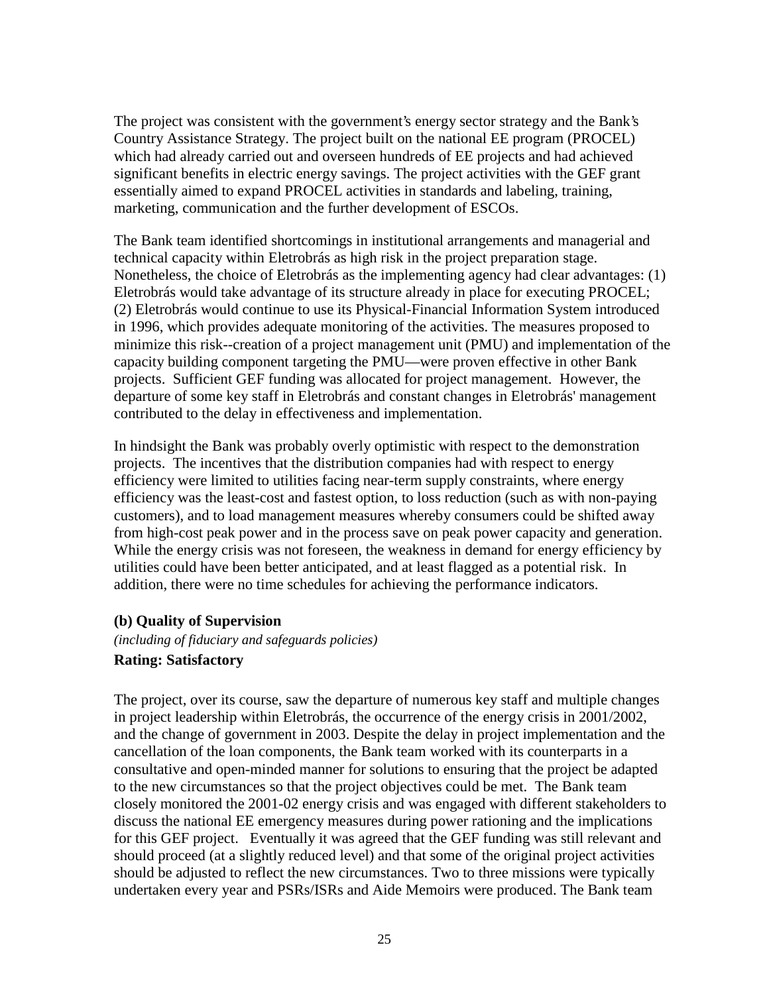The project was consistent with the government's energy sector strategy and the Bank's Country Assistance Strategy. The project built on the national EE program (PROCEL) which had already carried out and overseen hundreds of EE projects and had achieved significant benefits in electric energy savings. The project activities with the GEF grant essentially aimed to expand PROCEL activities in standards and labeling, training, marketing, communication and the further development of ESCOs.

The Bank team identified shortcomings in institutional arrangements and managerial and technical capacity within Eletrobrás as high risk in the project preparation stage. Nonetheless, the choice of Eletrobrás as the implementing agency had clear advantages: (1) Eletrobrás would take advantage of its structure already in place for executing PROCEL; (2) Eletrobrás would continue to use its Physical-Financial Information System introduced in 1996, which provides adequate monitoring of the activities. The measures proposed to minimize this risk--creation of a project management unit (PMU) and implementation of the capacity building component targeting the PMU—were proven effective in other Bank projects. Sufficient GEF funding was allocated for project management. However, the departure of some key staff in Eletrobrás and constant changes in Eletrobrás' management contributed to the delay in effectiveness and implementation.

In hindsight the Bank was probably overly optimistic with respect to the demonstration projects. The incentives that the distribution companies had with respect to energy efficiency were limited to utilities facing near-term supply constraints, where energy efficiency was the least-cost and fastest option, to loss reduction (such as with non-paying customers), and to load management measures whereby consumers could be shifted away from high-cost peak power and in the process save on peak power capacity and generation. While the energy crisis was not foreseen, the weakness in demand for energy efficiency by utilities could have been better anticipated, and at least flagged as a potential risk. In addition, there were no time schedules for achieving the performance indicators.

#### **(b) Quality of Supervision**

*(including of fiduciary and safeguards policies)*

## **Rating: Satisfactory**

The project, over its course, saw the departure of numerous key staff and multiple changes in project leadership within Eletrobrás, the occurrence of the energy crisis in 2001/2002, and the change of government in 2003. Despite the delay in project implementation and the cancellation of the loan components, the Bank team worked with its counterparts in a consultative and open-minded manner for solutions to ensuring that the project be adapted to the new circumstances so that the project objectives could be met. The Bank team closely monitored the 2001-02 energy crisis and was engaged with different stakeholders to discuss the national EE emergency measures during power rationing and the implications for this GEF project. Eventually it was agreed that the GEF funding was still relevant and should proceed (at a slightly reduced level) and that some of the original project activities should be adjusted to reflect the new circumstances. Two to three missions were typically undertaken every year and PSRs/ISRs and Aide Memoirs were produced. The Bank team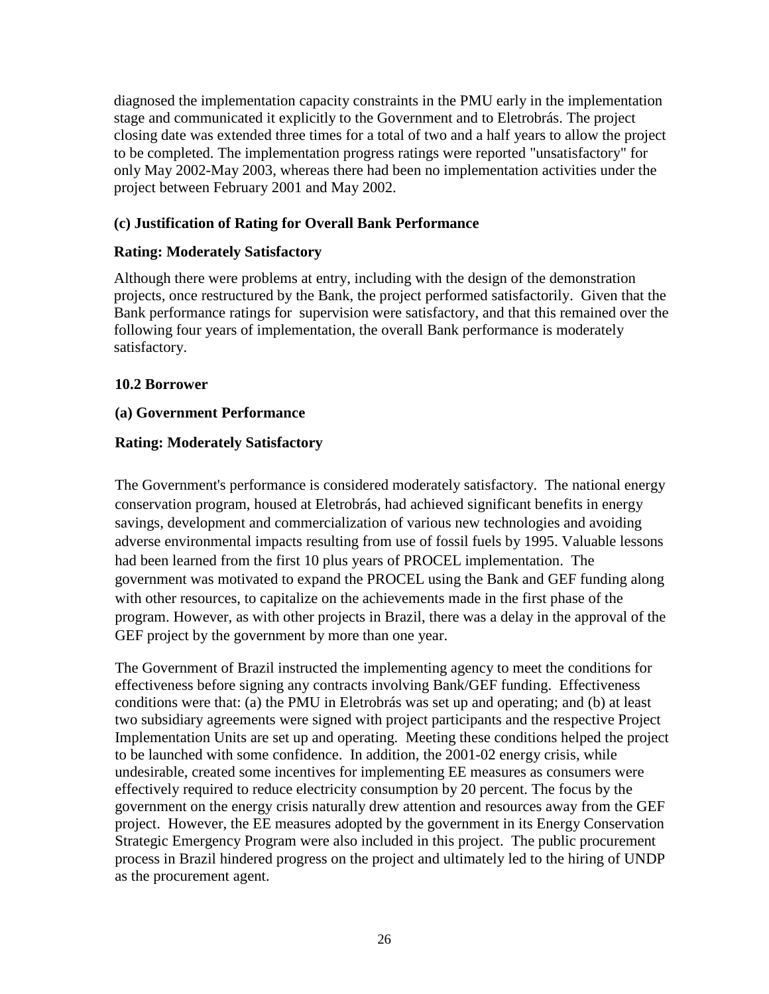diagnosed the implementation capacity constraints in the PMU early in the implementation stage and communicated it explicitly to the Government and to Eletrobrás. The project closing date was extended three times for a total of two and a half years to allow the project to be completed. The implementation progress ratings were reported "unsatisfactory" for only May 2002-May 2003, whereas there had been no implementation activities under the project between February 2001 and May 2002.

## **(c) Justification of Rating for Overall Bank Performance**

## **Rating: Moderately Satisfactory**

Although there were problems at entry, including with the design of the demonstration projects, once restructured by the Bank, the project performed satisfactorily. Given that the Bank performance ratings for supervision were satisfactory, and that this remained over the following four years of implementation, the overall Bank performance is moderately satisfactory.

## **10.2 Borrower**

## **(a) Government Performance**

## **Rating: Moderately Satisfactory**

The Government's performance is considered moderately satisfactory. The national energy conservation program, housed at Eletrobrás, had achieved significant benefits in energy savings, development and commercialization of various new technologies and avoiding adverse environmental impacts resulting from use of fossil fuels by 1995. Valuable lessons had been learned from the first 10 plus years of PROCEL implementation. The government was motivated to expand the PROCEL using the Bank and GEF funding along with other resources, to capitalize on the achievements made in the first phase of the program. However, as with other projects in Brazil, there was a delay in the approval of the GEF project by the government by more than one year.

The Government of Brazil instructed the implementing agency to meet the conditions for effectiveness before signing any contracts involving Bank/GEF funding. Effectiveness conditions were that: (a) the PMU in Eletrobrás was set up and operating; and (b) at least two subsidiary agreements were signed with project participants and the respective Project Implementation Units are set up and operating. Meeting these conditions helped the project to be launched with some confidence. In addition, the 2001-02 energy crisis, while undesirable, created some incentives for implementing EE measures as consumers were effectively required to reduce electricity consumption by 20 percent. The focus by the government on the energy crisis naturally drew attention and resources away from the GEF project. However, the EE measures adopted by the government in its Energy Conservation Strategic Emergency Program were also included in this project. The public procurement process in Brazil hindered progress on the project and ultimately led to the hiring of UNDP as the procurement agent.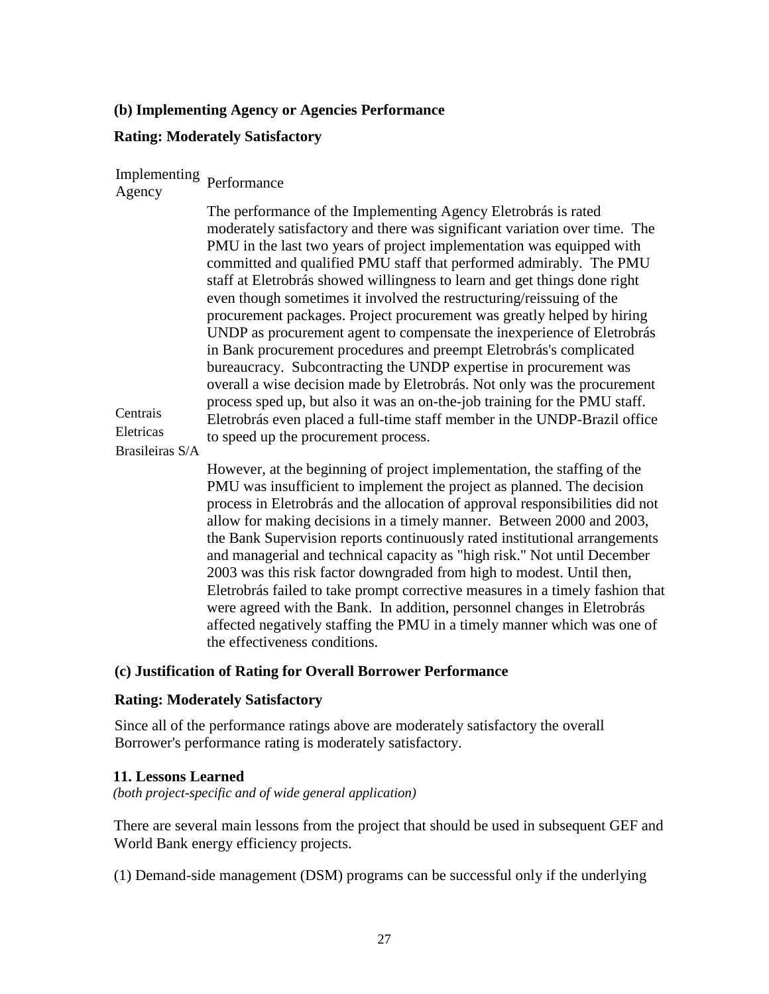## **(b) Implementing Agency or Agencies Performance**

## **Rating: Moderately Satisfactory**

# Implementing Agency Performance

The performance of the Implementing Agency Eletrobrás is rated moderately satisfactory and there was significant variation over time. The PMU in the last two years of project implementation was equipped with committed and qualified PMU staff that performed admirably. The PMU staff at Eletrobrás showed willingness to learn and get things done right even though sometimes it involved the restructuring/reissuing of the procurement packages. Project procurement was greatly helped by hiring UNDP as procurement agent to compensate the inexperience of Eletrobrás in Bank procurement procedures and preempt Eletrobrás's complicated bureaucracy. Subcontracting the UNDP expertise in procurement was overall a wise decision made by Eletrobrás. Not only was the procurement process sped up, but also it was an on-the-job training for the PMU staff. Eletrobrás even placed a full-time staff member in the UNDP-Brazil office to speed up the procurement process.

Brasileiras S/A

**Centrais** Eletricas

> However, at the beginning of project implementation, the staffing of the PMU was insufficient to implement the project as planned. The decision process in Eletrobrás and the allocation of approval responsibilities did not allow for making decisions in a timely manner. Between 2000 and 2003, the Bank Supervision reports continuously rated institutional arrangements and managerial and technical capacity as "high risk." Not until December 2003 was this risk factor downgraded from high to modest. Until then, Eletrobrás failed to take prompt corrective measures in a timely fashion that were agreed with the Bank. In addition, personnel changes in Eletrobrás affected negatively staffing the PMU in a timely manner which was one of the effectiveness conditions.

#### **(c) Justification of Rating for Overall Borrower Performance**

#### **Rating: Moderately Satisfactory**

Since all of the performance ratings above are moderately satisfactory the overall Borrower's performance rating is moderately satisfactory.

#### **11. Lessons Learned**

*(both project-specific and of wide general application)*

There are several main lessons from the project that should be used in subsequent GEF and World Bank energy efficiency projects.

(1) Demand-side management (DSM) programs can be successful only if the underlying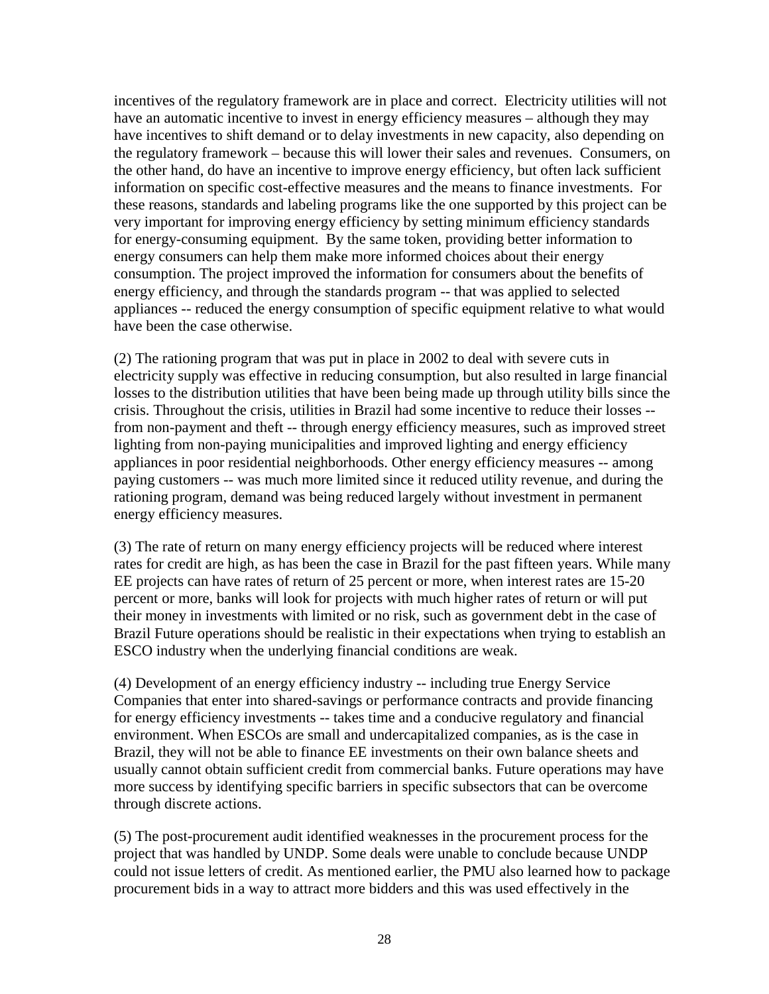incentives of the regulatory framework are in place and correct. Electricity utilities will not have an automatic incentive to invest in energy efficiency measures – although they may have incentives to shift demand or to delay investments in new capacity, also depending on the regulatory framework – because this will lower their sales and revenues. Consumers, on the other hand, do have an incentive to improve energy efficiency, but often lack sufficient information on specific cost-effective measures and the means to finance investments. For these reasons, standards and labeling programs like the one supported by this project can be very important for improving energy efficiency by setting minimum efficiency standards for energy-consuming equipment. By the same token, providing better information to energy consumers can help them make more informed choices about their energy consumption. The project improved the information for consumers about the benefits of energy efficiency, and through the standards program -- that was applied to selected appliances -- reduced the energy consumption of specific equipment relative to what would have been the case otherwise.

(2) The rationing program that was put in place in 2002 to deal with severe cuts in electricity supply was effective in reducing consumption, but also resulted in large financial losses to the distribution utilities that have been being made up through utility bills since the crisis. Throughout the crisis, utilities in Brazil had some incentive to reduce their losses - from non-payment and theft -- through energy efficiency measures, such as improved street lighting from non-paying municipalities and improved lighting and energy efficiency appliances in poor residential neighborhoods. Other energy efficiency measures -- among paying customers -- was much more limited since it reduced utility revenue, and during the rationing program, demand was being reduced largely without investment in permanent energy efficiency measures.

(3) The rate of return on many energy efficiency projects will be reduced where interest rates for credit are high, as has been the case in Brazil for the past fifteen years. While many EE projects can have rates of return of 25 percent or more, when interest rates are 15-20 percent or more, banks will look for projects with much higher rates of return or will put their money in investments with limited or no risk, such as government debt in the case of Brazil Future operations should be realistic in their expectations when trying to establish an ESCO industry when the underlying financial conditions are weak.

(4) Development of an energy efficiency industry -- including true Energy Service Companies that enter into shared-savings or performance contracts and provide financing for energy efficiency investments -- takes time and a conducive regulatory and financial environment. When ESCOs are small and undercapitalized companies, as is the case in Brazil, they will not be able to finance EE investments on their own balance sheets and usually cannot obtain sufficient credit from commercial banks. Future operations may have more success by identifying specific barriers in specific subsectors that can be overcome through discrete actions.

(5) The post-procurement audit identified weaknesses in the procurement process for the project that was handled by UNDP. Some deals were unable to conclude because UNDP could not issue letters of credit. As mentioned earlier, the PMU also learned how to package procurement bids in a way to attract more bidders and this was used effectively in the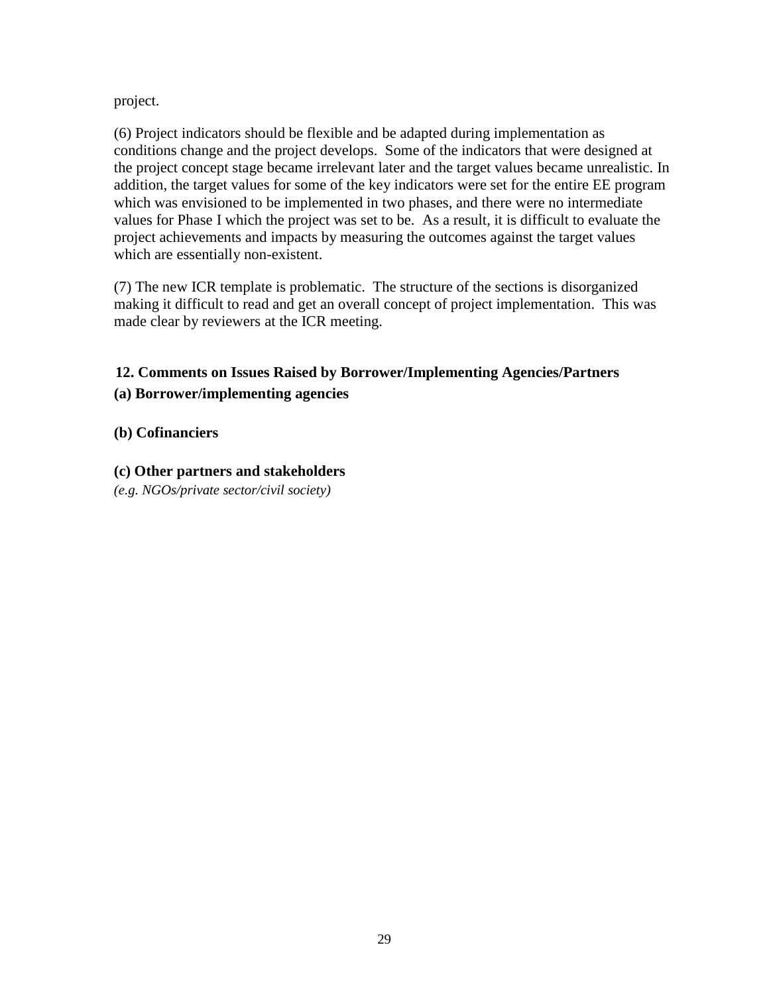project.

(6) Project indicators should be flexible and be adapted during implementation as conditions change and the project develops. Some of the indicators that were designed at the project concept stage became irrelevant later and the target values became unrealistic. In addition, the target values for some of the key indicators were set for the entire EE program which was envisioned to be implemented in two phases, and there were no intermediate values for Phase I which the project was set to be. As a result, it is difficult to evaluate the project achievements and impacts by measuring the outcomes against the target values which are essentially non-existent.

(7) The new ICR template is problematic. The structure of the sections is disorganized making it difficult to read and get an overall concept of project implementation. This was made clear by reviewers at the ICR meeting.

## **12. Comments on Issues Raised by Borrower/Implementing Agencies/Partners (a) Borrower/implementing agencies**

## **(b) Cofinanciers**

**(c) Other partners and stakeholders**

*(e.g. NGOs/private sector/civil society)*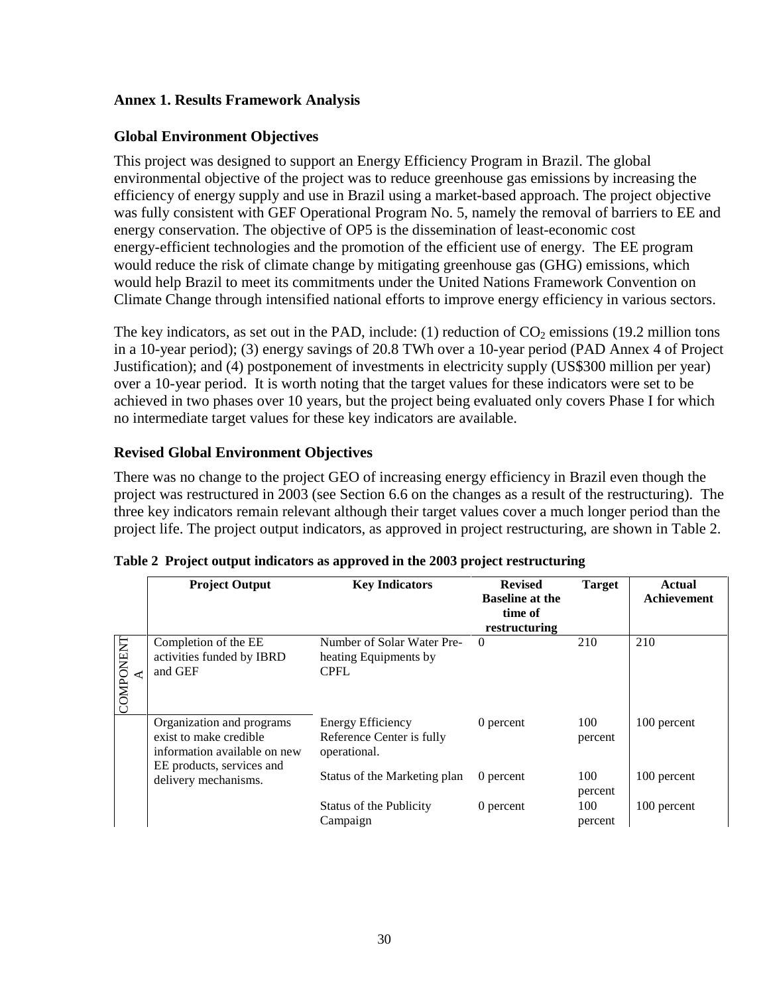## **Annex 1. Results Framework Analysis**

## **Global Environment Objectives**

This project was designed to support an Energy Efficiency Program in Brazil. The global environmental objective of the project was to reduce greenhouse gas emissions by increasing the efficiency of energy supply and use in Brazil using a market-based approach. The project objective was fully consistent with GEF Operational Program No. 5, namely the removal of barriers to EE and energy conservation. The objective of OP5 is the dissemination of least-economic cost energy-efficient technologies and the promotion of the efficient use of energy. The EE program would reduce the risk of climate change by mitigating greenhouse gas (GHG) emissions, which would help Brazil to meet its commitments under the United Nations Framework Convention on Climate Change through intensified national efforts to improve energy efficiency in various sectors.

The key indicators, as set out in the PAD, include: (1) reduction of  $CO<sub>2</sub>$  emissions (19.2 million tons in a 10-year period); (3) energy savings of 20.8 TWh over a 10-year period (PAD Annex 4 of Project Justification); and (4) postponement of investments in electricity supply (US\$300 million per year) over a 10-year period. It is worth noting that the target values for these indicators were set to be achieved in two phases over 10 years, but the project being evaluated only covers Phase I for which no intermediate target values for these key indicators are available.

## **Revised Global Environment Objectives**

There was no change to the project GEO of increasing energy efficiency in Brazil even though the project was restructured in 2003 (see Section 6.6 on the changes as a result of the restructuring). The three key indicators remain relevant although their target values cover a much longer period than the project life. The project output indicators, as approved in project restructuring, are shown in Table 2.

|                  | <b>Project Output</b>                                                                                            | <b>Key Indicators</b>                                              | <b>Revised</b><br><b>Baseline at the</b><br>time of<br>restructuring | <b>Target</b>  | Actual<br><b>Achievement</b> |
|------------------|------------------------------------------------------------------------------------------------------------------|--------------------------------------------------------------------|----------------------------------------------------------------------|----------------|------------------------------|
| <b>COMPONENT</b> | Completion of the EE<br>activities funded by IBRD<br>and GEF                                                     | Number of Solar Water Pre-<br>heating Equipments by<br><b>CPFL</b> | $\Omega$                                                             | 210            | 210                          |
|                  | Organization and programs<br>exist to make credible<br>information available on new<br>EE products, services and | Energy Efficiency<br>Reference Center is fully<br>operational.     | 0 percent                                                            | 100<br>percent | 100 percent                  |
|                  | delivery mechanisms.                                                                                             | Status of the Marketing plan                                       | 0 percent                                                            | 100<br>percent | 100 percent                  |
|                  |                                                                                                                  | Status of the Publicity<br>Campaign                                | 0 percent                                                            | 100<br>percent | 100 percent                  |

|  |  | Table 2 Project output indicators as approved in the 2003 project restructuring |
|--|--|---------------------------------------------------------------------------------|
|  |  |                                                                                 |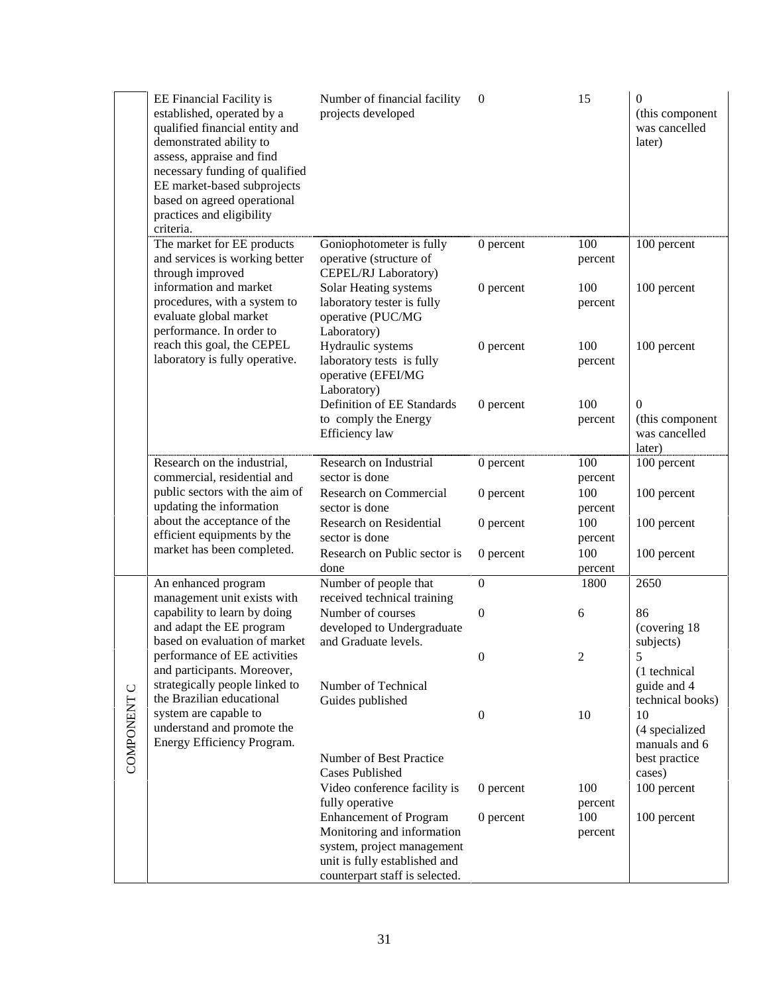| qualified financial entity and<br>demonstrated ability to<br>assess, appraise and find<br>necessary funding of qualified<br>EE market-based subprojects<br>based on agreed operational<br>practices and eligibility<br>criteria. | projects developed                                                                                                                                                                                                                                                                                                                                 |                                                                                                                                                                                                                                                                               |                                                                  | (this component<br>was cancelled<br>later)                           |
|----------------------------------------------------------------------------------------------------------------------------------------------------------------------------------------------------------------------------------|----------------------------------------------------------------------------------------------------------------------------------------------------------------------------------------------------------------------------------------------------------------------------------------------------------------------------------------------------|-------------------------------------------------------------------------------------------------------------------------------------------------------------------------------------------------------------------------------------------------------------------------------|------------------------------------------------------------------|----------------------------------------------------------------------|
| The market for EE products<br>and services is working better<br>through improved                                                                                                                                                 | Goniophotometer is fully<br>operative (structure of<br>CEPEL/RJ Laboratory)                                                                                                                                                                                                                                                                        | 0 percent                                                                                                                                                                                                                                                                     | 100<br>percent                                                   | 100 percent<br>100 percent                                           |
| procedures, with a system to<br>evaluate global market<br>performance. In order to                                                                                                                                               | laboratory tester is fully<br>operative (PUC/MG<br>Laboratory)                                                                                                                                                                                                                                                                                     |                                                                                                                                                                                                                                                                               | percent                                                          |                                                                      |
| laboratory is fully operative.                                                                                                                                                                                                   | laboratory tests is fully<br>operative (EFEI/MG                                                                                                                                                                                                                                                                                                    |                                                                                                                                                                                                                                                                               | percent                                                          | 100 percent                                                          |
|                                                                                                                                                                                                                                  | Definition of EE Standards<br>to comply the Energy<br>Efficiency law                                                                                                                                                                                                                                                                               | 0 percent                                                                                                                                                                                                                                                                     | 100<br>percent                                                   | $\mathbf{0}$<br>(this component<br>was cancelled<br>later)           |
| Research on the industrial,                                                                                                                                                                                                      | Research on Industrial                                                                                                                                                                                                                                                                                                                             | 0 percent                                                                                                                                                                                                                                                                     | 100                                                              | 100 percent                                                          |
| public sectors with the aim of                                                                                                                                                                                                   | <b>Research on Commercial</b>                                                                                                                                                                                                                                                                                                                      | 0 percent                                                                                                                                                                                                                                                                     | 100                                                              | 100 percent                                                          |
| about the acceptance of the                                                                                                                                                                                                      | Research on Residential                                                                                                                                                                                                                                                                                                                            | 0 percent                                                                                                                                                                                                                                                                     | 100                                                              | 100 percent                                                          |
| market has been completed.                                                                                                                                                                                                       | Research on Public sector is                                                                                                                                                                                                                                                                                                                       | 0 percent                                                                                                                                                                                                                                                                     | percent<br>100                                                   | 100 percent                                                          |
|                                                                                                                                                                                                                                  | done                                                                                                                                                                                                                                                                                                                                               |                                                                                                                                                                                                                                                                               | percent                                                          |                                                                      |
| management unit exists with                                                                                                                                                                                                      | received technical training                                                                                                                                                                                                                                                                                                                        |                                                                                                                                                                                                                                                                               |                                                                  | 2650                                                                 |
| capability to learn by doing                                                                                                                                                                                                     | Number of courses                                                                                                                                                                                                                                                                                                                                  | $\boldsymbol{0}$                                                                                                                                                                                                                                                              | 6                                                                | 86                                                                   |
| based on evaluation of market                                                                                                                                                                                                    | and Graduate levels.                                                                                                                                                                                                                                                                                                                               |                                                                                                                                                                                                                                                                               |                                                                  | (covering 18)<br>subjects)                                           |
| performance of EE activities                                                                                                                                                                                                     |                                                                                                                                                                                                                                                                                                                                                    | $\boldsymbol{0}$                                                                                                                                                                                                                                                              | 2                                                                | 5                                                                    |
| strategically people linked to                                                                                                                                                                                                   | Number of Technical                                                                                                                                                                                                                                                                                                                                |                                                                                                                                                                                                                                                                               |                                                                  | (1 technical)<br>guide and 4                                         |
|                                                                                                                                                                                                                                  |                                                                                                                                                                                                                                                                                                                                                    |                                                                                                                                                                                                                                                                               |                                                                  | technical books)<br>10                                               |
| understand and promote the                                                                                                                                                                                                       |                                                                                                                                                                                                                                                                                                                                                    |                                                                                                                                                                                                                                                                               |                                                                  | (4 specialized<br>manuals and 6                                      |
|                                                                                                                                                                                                                                  | Number of Best Practice<br><b>Cases Published</b>                                                                                                                                                                                                                                                                                                  |                                                                                                                                                                                                                                                                               |                                                                  | best practice<br>cases)                                              |
|                                                                                                                                                                                                                                  | Video conference facility is                                                                                                                                                                                                                                                                                                                       | 0 percent                                                                                                                                                                                                                                                                     | 100                                                              | 100 percent                                                          |
|                                                                                                                                                                                                                                  | <b>Enhancement of Program</b>                                                                                                                                                                                                                                                                                                                      | 0 percent                                                                                                                                                                                                                                                                     | 100                                                              | 100 percent                                                          |
|                                                                                                                                                                                                                                  | system, project management<br>unit is fully established and                                                                                                                                                                                                                                                                                        |                                                                                                                                                                                                                                                                               |                                                                  |                                                                      |
|                                                                                                                                                                                                                                  | established, operated by a<br>information and market<br>reach this goal, the CEPEL<br>commercial, residential and<br>updating the information<br>efficient equipments by the<br>An enhanced program<br>and adapt the EE program<br>and participants. Moreover,<br>the Brazilian educational<br>system are capable to<br>Energy Efficiency Program. | Solar Heating systems<br>Hydraulic systems<br>Laboratory)<br>sector is done<br>sector is done<br>sector is done<br>Number of people that<br>developed to Undergraduate<br>Guides published<br>fully operative<br>Monitoring and information<br>counterpart staff is selected. | 0 percent<br>$0$ percent<br>$\boldsymbol{0}$<br>$\boldsymbol{0}$ | 100<br>100<br>percent<br>percent<br>1800<br>10<br>percent<br>percent |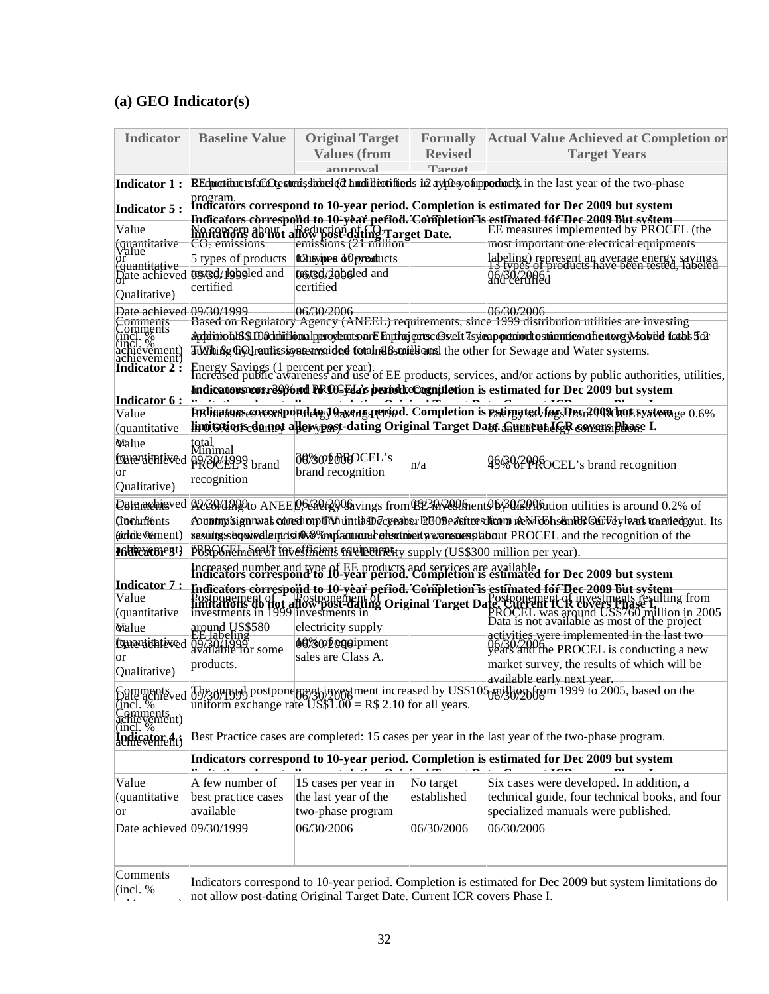## **(a) GEO Indicator(s)**

hievement)

| <b>Indicator</b>                                                                  | <b>Baseline Value</b>                                                                                | <b>Original Target</b>                                                           | <b>Formally</b> | <b>Actual Value Achieved at Completion or</b>                                                                                                                                                                                        |  |  |
|-----------------------------------------------------------------------------------|------------------------------------------------------------------------------------------------------|----------------------------------------------------------------------------------|-----------------|--------------------------------------------------------------------------------------------------------------------------------------------------------------------------------------------------------------------------------------|--|--|
|                                                                                   |                                                                                                      | <b>Values (from</b>                                                              | <b>Revised</b>  | <b>Target Years</b>                                                                                                                                                                                                                  |  |  |
|                                                                                   |                                                                                                      | annroval                                                                         | Target          |                                                                                                                                                                                                                                      |  |  |
| <b>Indicator 1:</b>                                                               |                                                                                                      |                                                                                  |                 | REduction to fact Ogeneds side of a mail devided sin a virte system portion of a last year of the two-phase                                                                                                                          |  |  |
| <b>Indicator 5:</b>                                                               | program.<br>Indicators correspond to 10-year period. Completion is estimated for Dec 2009 but system |                                                                                  |                 |                                                                                                                                                                                                                                      |  |  |
| Value                                                                             |                                                                                                      |                                                                                  |                 | Indicators correspond to 10-year period. Completion is estimated for Dec 2009 But system<br>No govern about a Reduction of the Prace Date E measures implemented by PROCEL (the                                                      |  |  |
|                                                                                   |                                                                                                      | Worgereig about a Reduction date Parget Date.                                    |                 | most important one electrical equipments                                                                                                                                                                                             |  |  |
| tquantitative<br>Value                                                            | 5 types of products                                                                                  | tonsympes of preaducts                                                           |                 |                                                                                                                                                                                                                                      |  |  |
| Guantitative                                                                      | Date achieved <b>tryied</b> logied and                                                               | tosted/dobsled and                                                               |                 | labeling) represent an average energy sayings<br>12 types of products have been tested, labeled<br>Q6/30/2010a                                                                                                                       |  |  |
| Qualitative)                                                                      | certified                                                                                            | certified                                                                        |                 |                                                                                                                                                                                                                                      |  |  |
| Date achieved 09/30/1999                                                          |                                                                                                      | 06/30/2006                                                                       |                 | 06/30/2006                                                                                                                                                                                                                           |  |  |
|                                                                                   |                                                                                                      |                                                                                  |                 | Based on Regulatory Agency (ANEEL) requirements, since 1999 distribution utilities are investing                                                                                                                                     |  |  |
|                                                                                   |                                                                                                      |                                                                                  |                 | Apphiniohl89.100kkhiililoonalperoykaatsarElinphejentscGsvelt7syienpoeteiotdtestinenatiesnafientergyMabile1cabb563                                                                                                                    |  |  |
| Comments<br>Comments<br>Comments<br>Cincl. %<br>achievement)<br>and the strain of |                                                                                                      |                                                                                  |                 | Till Thing Goldranission standard found the standard the other for Sewage and Water systems.                                                                                                                                         |  |  |
| Indicator $2:$                                                                    |                                                                                                      |                                                                                  |                 | Energy Savings (1 percent per year).<br>Increased public awareness and use of EE products, services, and/or actions by public authorities, utilities,                                                                                |  |  |
|                                                                                   |                                                                                                      |                                                                                  |                 | Indicators reserves by and PROCFda's perioduc Cognitletion is estimated for Dec 2009 but system                                                                                                                                      |  |  |
| Indicator 6 :                                                                     |                                                                                                      |                                                                                  |                 |                                                                                                                                                                                                                                      |  |  |
| Value                                                                             |                                                                                                      |                                                                                  |                 | BE line to use so except perfect to the set of the set of the specific of the set of the set of the set of the<br>linoitations do not allew post-dating Original Target Date. Chunnenhave Rowers Bhose I.                            |  |  |
| <i>(quantitative</i> )<br><b>Malue</b>                                            |                                                                                                      |                                                                                  |                 |                                                                                                                                                                                                                                      |  |  |
|                                                                                   | total<br><del>Minimal</del>                                                                          | <b>60% OD MROCEL's</b>                                                           |                 |                                                                                                                                                                                                                                      |  |  |
| or                                                                                | Daventithte ved po 30/1999 brand                                                                     | brand recognition                                                                | n/a             | 963 VPPROCEL's brand recognition                                                                                                                                                                                                     |  |  |
| Qualitative)                                                                      | recognition                                                                                          |                                                                                  |                 |                                                                                                                                                                                                                                      |  |  |
|                                                                                   |                                                                                                      |                                                                                  |                 | Defnachieved A230/dR2to ANEE 0.630/299&vings from LE30/209Aent 06/30/3016tion utilities is around 0.2% of                                                                                                                            |  |  |
| <b>Cochnients</b>                                                                 |                                                                                                      |                                                                                  |                 | e vunny'signnwal constitution untla De cycaber EB06e astrers havm neNEEh sen RR QGEI y leads termiedgyut. Its                                                                                                                        |  |  |
| (ichde %ment)                                                                     |                                                                                                      |                                                                                  |                 | sasuitgsshowedlantosith&%mofaantunabolisatmeity.wonsuesptabout PROCEL and the recognition of the                                                                                                                                     |  |  |
| Hadrewenent)                                                                      |                                                                                                      | PBROGFTE hendered functions in the presention supply (US\$300 million per year). |                 |                                                                                                                                                                                                                                      |  |  |
|                                                                                   |                                                                                                      |                                                                                  |                 | Increased number and type of EE products and services are available<br>Indicators correspond to 10-year period. Completion is estimated for Dec 2009 but system                                                                      |  |  |
| Indicator 7 :                                                                     |                                                                                                      |                                                                                  |                 |                                                                                                                                                                                                                                      |  |  |
| Value                                                                             |                                                                                                      |                                                                                  |                 | Indicators correspond to 10-year period. Completion is estimated for Dec 2009 but system<br>Rostpapement of a nostpapement of a numerical property in the system of the system of the system of the first<br>Investments in 1999 inv |  |  |
| <del>(quantitative)</del><br>Walue                                                |                                                                                                      | electricity supply                                                               |                 | Be Sene for Lexicum US\$760 million in 2005<br>PROCEL was around US\$760 million in 2005                                                                                                                                             |  |  |
|                                                                                   | around US\$580<br>EE Jabeling                                                                        | 00%00 pogetpment                                                                 |                 | activities were implemented in the last two                                                                                                                                                                                          |  |  |
| or                                                                                | Datentifitieved 09/30/1996                                                                           | sales are Class A.                                                               |                 | 06/30/2006<br>Vears and the PROCEL is conducting a new                                                                                                                                                                               |  |  |
| Qualitative)                                                                      | products.                                                                                            |                                                                                  |                 | market survey, the results of which will be                                                                                                                                                                                          |  |  |
|                                                                                   |                                                                                                      |                                                                                  |                 | available early next year.                                                                                                                                                                                                           |  |  |
|                                                                                   |                                                                                                      |                                                                                  |                 | Somments ed d9938mpyad postponement ingrestment increased by US\$105 million from 1999 to 2005, based on the find the<br>finct. %                                                                                                    |  |  |
| Gincl. %<br>Comments<br>achievement)                                              |                                                                                                      |                                                                                  |                 |                                                                                                                                                                                                                                      |  |  |
| Indicator 4;                                                                      |                                                                                                      |                                                                                  |                 | Best Practice cases are completed: 15 cases per year in the last year of the two-phase program.                                                                                                                                      |  |  |
|                                                                                   |                                                                                                      |                                                                                  |                 | Indicators correspond to 10-year period. Completion is estimated for Dec 2009 but system                                                                                                                                             |  |  |
|                                                                                   |                                                                                                      |                                                                                  |                 |                                                                                                                                                                                                                                      |  |  |
| Value                                                                             | A few number of                                                                                      | 15 cases per year in                                                             | No target       | Six cases were developed. In addition, a                                                                                                                                                                                             |  |  |
| (quantitative                                                                     | best practice cases                                                                                  | the last year of the                                                             | established     | technical guide, four technical books, and four                                                                                                                                                                                      |  |  |
| or                                                                                | available                                                                                            | two-phase program                                                                |                 | specialized manuals were published.                                                                                                                                                                                                  |  |  |
| Date achieved 09/30/1999                                                          |                                                                                                      | 06/30/2006                                                                       | 06/30/2006      | 06/30/2006                                                                                                                                                                                                                           |  |  |
|                                                                                   |                                                                                                      |                                                                                  |                 |                                                                                                                                                                                                                                      |  |  |
| Comments                                                                          |                                                                                                      |                                                                                  |                 |                                                                                                                                                                                                                                      |  |  |
| (incl. %                                                                          |                                                                                                      |                                                                                  |                 | Indicators correspond to 10-year period. Completion is estimated for Dec 2009 but system limitations do                                                                                                                              |  |  |
| not allow post-dating Original Target Date. Current ICR covers Phase I.           |                                                                                                      |                                                                                  |                 |                                                                                                                                                                                                                                      |  |  |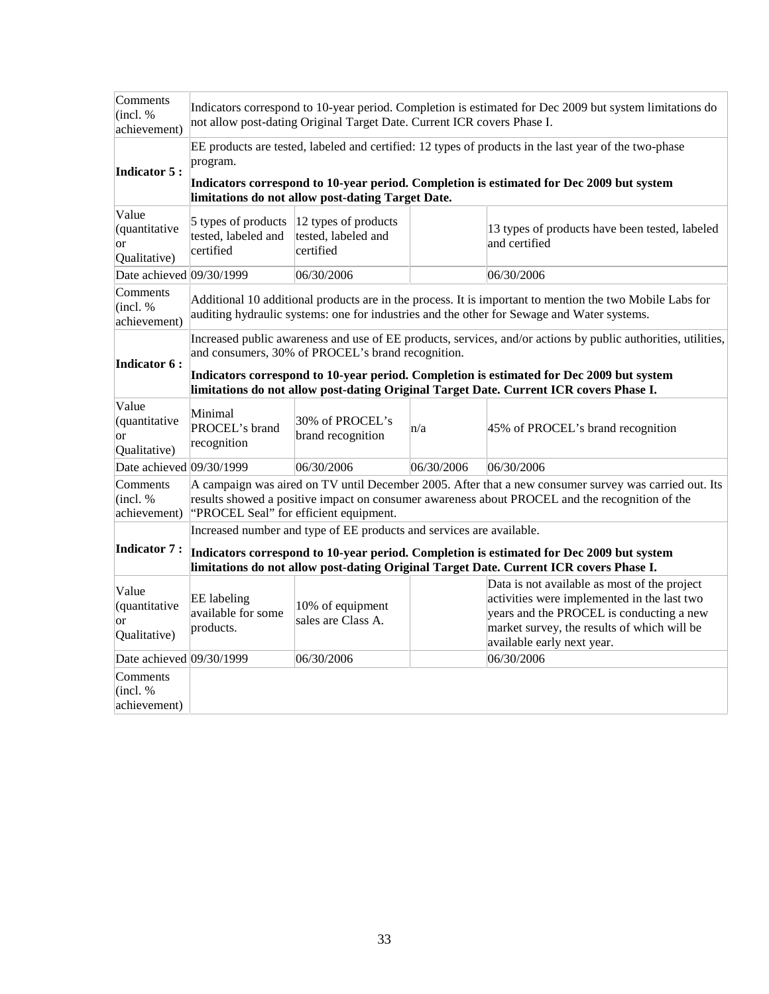| Comments<br>(incl. %<br>achievement)                | Indicators correspond to 10-year period. Completion is estimated for Dec 2009 but system limitations do<br>not allow post-dating Original Target Date. Current ICR covers Phase I.                                                                             |                                                                      |            |                                                                                                                                                                                                                      |  |
|-----------------------------------------------------|----------------------------------------------------------------------------------------------------------------------------------------------------------------------------------------------------------------------------------------------------------------|----------------------------------------------------------------------|------------|----------------------------------------------------------------------------------------------------------------------------------------------------------------------------------------------------------------------|--|
| <b>Indicator 5:</b>                                 | program.                                                                                                                                                                                                                                                       |                                                                      |            | EE products are tested, labeled and certified: 12 types of products in the last year of the two-phase                                                                                                                |  |
|                                                     |                                                                                                                                                                                                                                                                | limitations do not allow post-dating Target Date.                    |            | Indicators correspond to 10-year period. Completion is estimated for Dec 2009 but system                                                                                                                             |  |
| Value<br>(quantitative<br>or<br>Qualitative)        | 5 types of products<br>tested, labeled and<br>certified                                                                                                                                                                                                        | $ 12$ types of products<br>tested, labeled and<br>certified          |            | 13 types of products have been tested, labeled<br>and certified                                                                                                                                                      |  |
| Date achieved 09/30/1999                            |                                                                                                                                                                                                                                                                | 06/30/2006                                                           |            | 06/30/2006                                                                                                                                                                                                           |  |
| Comments<br>(incl. %<br>achievement)                |                                                                                                                                                                                                                                                                |                                                                      |            | Additional 10 additional products are in the process. It is important to mention the two Mobile Labs for<br>auditing hydraulic systems: one for industries and the other for Sewage and Water systems.               |  |
| <b>Indicator 6:</b>                                 | Increased public awareness and use of EE products, services, and/or actions by public authorities, utilities,<br>and consumers, 30% of PROCEL's brand recognition.<br>Indicators correspond to 10-year period. Completion is estimated for Dec 2009 but system |                                                                      |            |                                                                                                                                                                                                                      |  |
|                                                     | limitations do not allow post-dating Original Target Date. Current ICR covers Phase I.                                                                                                                                                                         |                                                                      |            |                                                                                                                                                                                                                      |  |
| Value<br>(quantitative<br><b>or</b><br>Qualitative) | Minimal<br>PROCEL's brand<br>recognition                                                                                                                                                                                                                       | 30% of PROCEL's<br>brand recognition                                 | n/a        | 45% of PROCEL's brand recognition                                                                                                                                                                                    |  |
| Date achieved 09/30/1999                            |                                                                                                                                                                                                                                                                | 06/30/2006                                                           | 06/30/2006 | 06/30/2006                                                                                                                                                                                                           |  |
| Comments<br>(incl. %<br>achievement)                |                                                                                                                                                                                                                                                                | "PROCEL Seal" for efficient equipment.                               |            | A campaign was aired on TV until December 2005. After that a new consumer survey was carried out. Its<br>results showed a positive impact on consumer awareness about PROCEL and the recognition of the              |  |
|                                                     |                                                                                                                                                                                                                                                                | Increased number and type of EE products and services are available. |            |                                                                                                                                                                                                                      |  |
| Indicator 7:                                        | Indicators correspond to 10-year period. Completion is estimated for Dec 2009 but system                                                                                                                                                                       |                                                                      |            |                                                                                                                                                                                                                      |  |
|                                                     | limitations do not allow post-dating Original Target Date. Current ICR covers Phase I.                                                                                                                                                                         |                                                                      |            |                                                                                                                                                                                                                      |  |
| Value<br>(quantitative<br><b>or</b><br>Qualitative) | EE labeling<br>available for some<br>products.                                                                                                                                                                                                                 | 10% of equipment<br>sales are Class A.                               |            | Data is not available as most of the project<br>activities were implemented in the last two<br>years and the PROCEL is conducting a new<br>market survey, the results of which will be<br>available early next year. |  |
|                                                     |                                                                                                                                                                                                                                                                | 06/30/2006                                                           |            | 06/30/2006                                                                                                                                                                                                           |  |
| Comments<br>(incl. %<br>achievement)                | Date achieved 09/30/1999                                                                                                                                                                                                                                       |                                                                      |            |                                                                                                                                                                                                                      |  |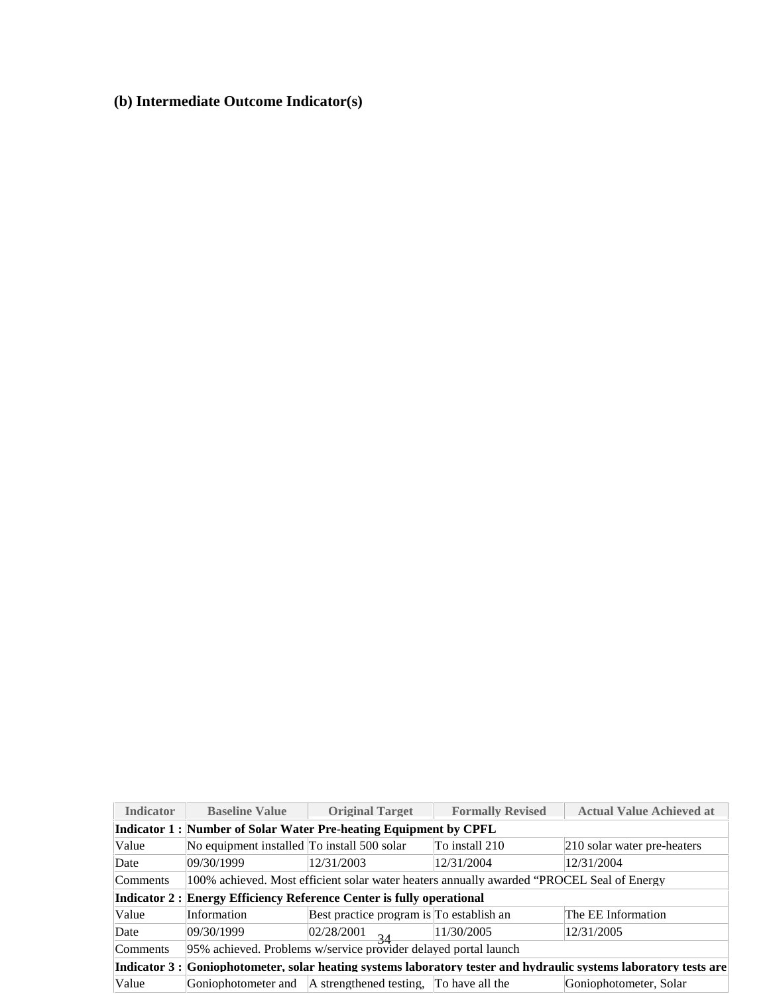**(b) Intermediate Outcome Indicator(s)** 

| <b>Indicator</b>                                                 | <b>Baseline Value</b>                                                                                             | <b>Original Target</b>                                                | <b>Formally Revised</b>                                                                   | <b>Actual Value Achieved at</b> |  |  |  |  |
|------------------------------------------------------------------|-------------------------------------------------------------------------------------------------------------------|-----------------------------------------------------------------------|-------------------------------------------------------------------------------------------|---------------------------------|--|--|--|--|
| Indicator 1: Number of Solar Water Pre-heating Equipment by CPFL |                                                                                                                   |                                                                       |                                                                                           |                                 |  |  |  |  |
| Value                                                            | No equipment installed To install 500 solar                                                                       |                                                                       | To install 210                                                                            | 210 solar water pre-heaters     |  |  |  |  |
| Date                                                             | 09/30/1999                                                                                                        | 12/31/2003                                                            | 12/31/2004                                                                                | 12/31/2004                      |  |  |  |  |
| Comments                                                         |                                                                                                                   |                                                                       | 100% achieved. Most efficient solar water heaters annually awarded "PROCEL Seal of Energy |                                 |  |  |  |  |
|                                                                  |                                                                                                                   | Indicator 2 : Energy Efficiency Reference Center is fully operational |                                                                                           |                                 |  |  |  |  |
| Value                                                            | Information                                                                                                       | Best practice program is To establish an                              |                                                                                           | The EE Information              |  |  |  |  |
| Date                                                             | 09/30/1999                                                                                                        | 02/28/2001<br>$-34$                                                   | 11/30/2005                                                                                | 12/31/2005                      |  |  |  |  |
| Comments                                                         | 95% achieved. Problems w/service provider delayed portal launch                                                   |                                                                       |                                                                                           |                                 |  |  |  |  |
|                                                                  | Indicator 3 : Goniophotometer, solar heating systems laboratory tester and hydraulic systems laboratory tests are |                                                                       |                                                                                           |                                 |  |  |  |  |
| Value                                                            |                                                                                                                   | Goniophotometer and A strengthened testing, To have all the           |                                                                                           | Goniophotometer, Solar          |  |  |  |  |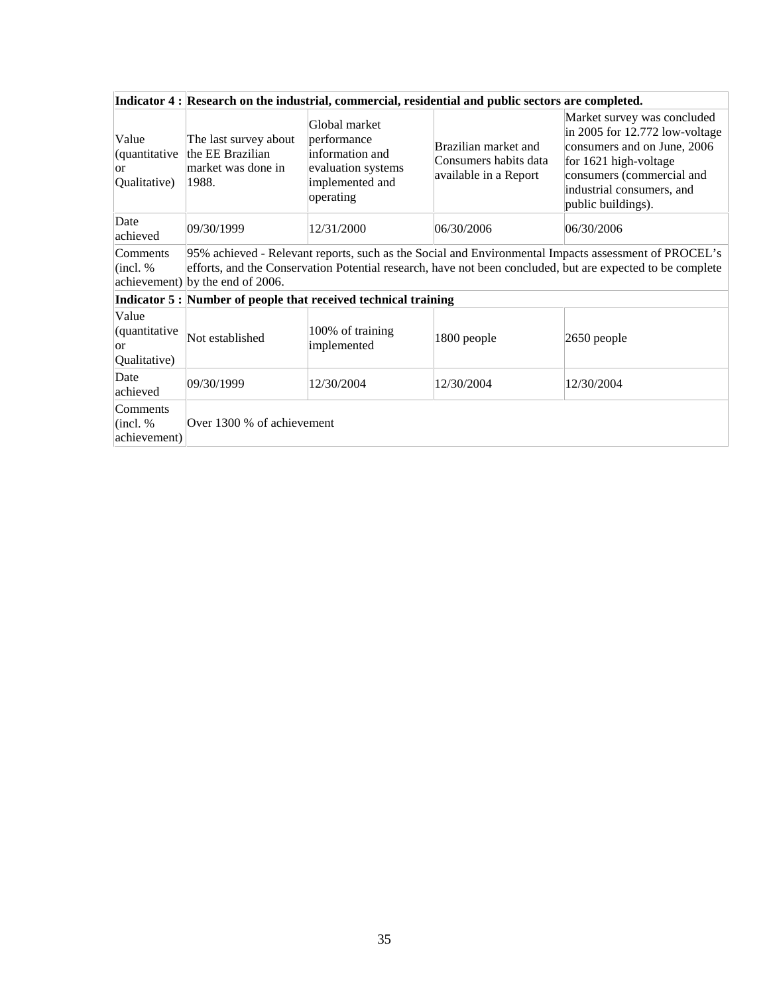|                                               | Indicator 4 : Research on the industrial, commercial, residential and public sectors are completed.                                                                                                                                                    |                                                                                                       |                                                                        |                                                                                                                                                                                                       |  |  |  |
|-----------------------------------------------|--------------------------------------------------------------------------------------------------------------------------------------------------------------------------------------------------------------------------------------------------------|-------------------------------------------------------------------------------------------------------|------------------------------------------------------------------------|-------------------------------------------------------------------------------------------------------------------------------------------------------------------------------------------------------|--|--|--|
| Value<br>(quantitative<br>lor<br>Qualitative) | The last survey about<br>the EE Brazilian<br>market was done in<br>1988.                                                                                                                                                                               | Global market<br>performance<br>information and<br>evaluation systems<br>implemented and<br>operating | Brazilian market and<br>Consumers habits data<br>available in a Report | Market survey was concluded<br>in 2005 for 12.772 low-voltage<br>consumers and on June, 2006<br>for 1621 high-voltage<br>consumers (commercial and<br>industrial consumers, and<br>public buildings). |  |  |  |
| Date<br>achieved                              | 09/30/1999                                                                                                                                                                                                                                             | 12/31/2000                                                                                            | 06/30/2006                                                             | 06/30/2006                                                                                                                                                                                            |  |  |  |
| Comments<br>(incl. %                          | 95% achieved - Relevant reports, such as the Social and Environmental Impacts assessment of PROCEL's<br>efforts, and the Conservation Potential research, have not been concluded, but are expected to be complete<br>achievement) by the end of 2006. |                                                                                                       |                                                                        |                                                                                                                                                                                                       |  |  |  |
|                                               |                                                                                                                                                                                                                                                        | Indicator 5 : Number of people that received technical training                                       |                                                                        |                                                                                                                                                                                                       |  |  |  |
| Value<br>(quantitative<br>lor<br>Qualitative) | Not established                                                                                                                                                                                                                                        | 100% of training<br>implemented                                                                       | 1800 people                                                            | 2650 people                                                                                                                                                                                           |  |  |  |
| Date<br>achieved                              | 09/30/1999                                                                                                                                                                                                                                             | 12/30/2004                                                                                            | 12/30/2004                                                             | 12/30/2004                                                                                                                                                                                            |  |  |  |
| Comments<br>$ $ (incl. %)<br>achievement)     | Over 1300 % of achievement                                                                                                                                                                                                                             |                                                                                                       |                                                                        |                                                                                                                                                                                                       |  |  |  |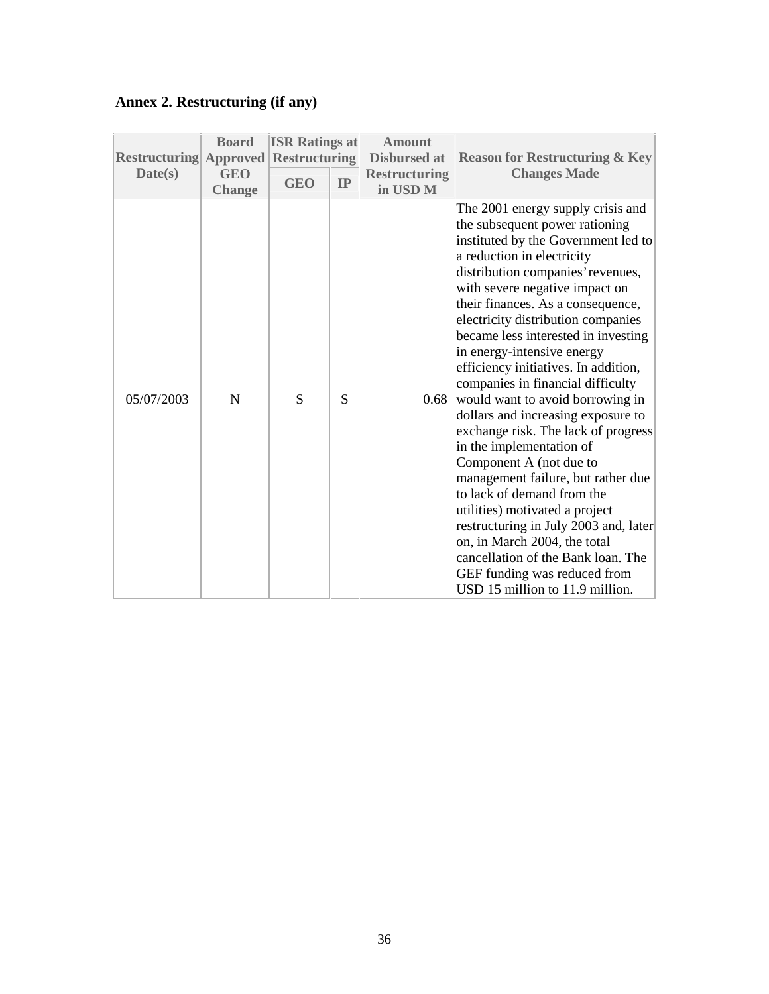# **Annex 2. Restructuring (if any)**

| <b>Restructuring</b><br>Date(s) | <b>Board</b><br><b>Approved</b><br><b>GEO</b> | <b>ISR Ratings at</b><br><b>Restructuring</b><br><b>GEO</b> | IP | <b>Amount</b><br><b>Disbursed at</b><br><b>Restructuring</b> | <b>Reason for Restructuring &amp; Key</b><br><b>Changes Made</b>                                                                                                                                                                                                                                                                                                                                                                                                                                                                                                                                                                                                                                                                                                                                                                                                                                             |
|---------------------------------|-----------------------------------------------|-------------------------------------------------------------|----|--------------------------------------------------------------|--------------------------------------------------------------------------------------------------------------------------------------------------------------------------------------------------------------------------------------------------------------------------------------------------------------------------------------------------------------------------------------------------------------------------------------------------------------------------------------------------------------------------------------------------------------------------------------------------------------------------------------------------------------------------------------------------------------------------------------------------------------------------------------------------------------------------------------------------------------------------------------------------------------|
|                                 | <b>Change</b>                                 |                                                             |    | in USD <sub>M</sub>                                          |                                                                                                                                                                                                                                                                                                                                                                                                                                                                                                                                                                                                                                                                                                                                                                                                                                                                                                              |
| 05/07/2003                      | N                                             | S                                                           | S  | 0.68                                                         | The 2001 energy supply crisis and<br>the subsequent power rationing<br>instituted by the Government led to<br>a reduction in electricity<br>distribution companies' revenues,<br>with severe negative impact on<br>their finances. As a consequence,<br>electricity distribution companies<br>became less interested in investing<br>in energy-intensive energy<br>efficiency initiatives. In addition,<br>companies in financial difficulty<br>would want to avoid borrowing in<br>dollars and increasing exposure to<br>exchange risk. The lack of progress<br>in the implementation of<br>Component A (not due to<br>management failure, but rather due<br>to lack of demand from the<br>utilities) motivated a project<br>restructuring in July 2003 and, later<br>on, in March 2004, the total<br>cancellation of the Bank loan. The<br>GEF funding was reduced from<br>USD 15 million to 11.9 million. |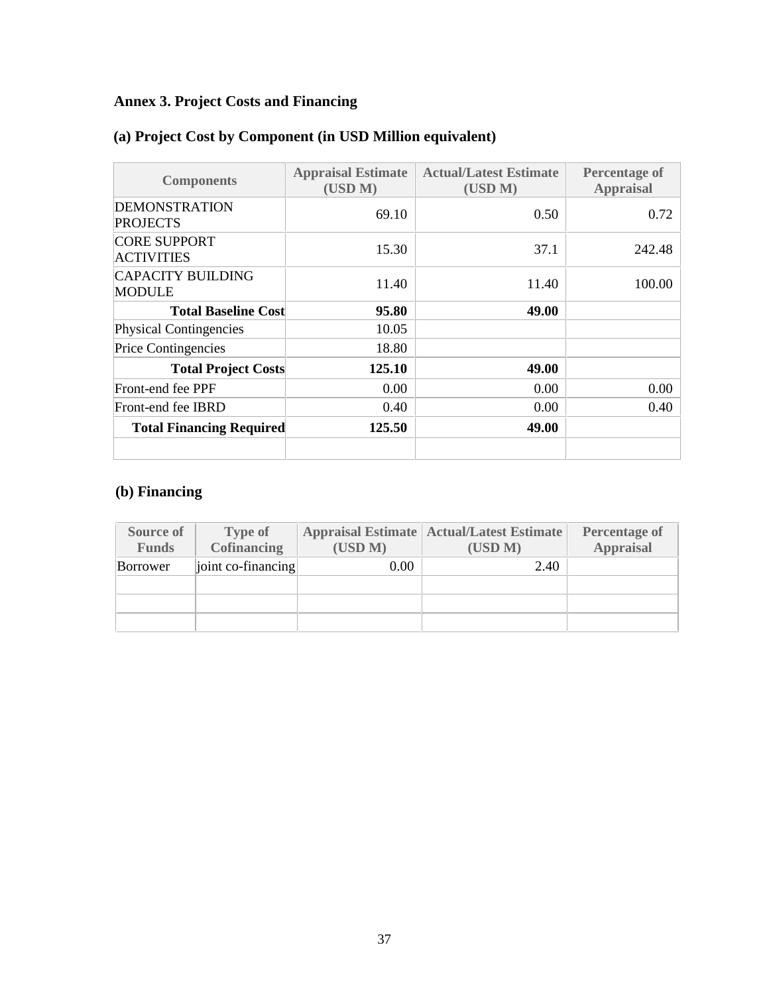# **Annex 3. Project Costs and Financing**

| <b>Components</b>                         | <b>Appraisal Estimate</b><br>(USD M) | <b>Actual/Latest Estimate</b><br>(USD M) | <b>Percentage of</b><br><b>Appraisal</b> |
|-------------------------------------------|--------------------------------------|------------------------------------------|------------------------------------------|
| <b>DEMONSTRATION</b><br><b>PROJECTS</b>   | 69.10                                | 0.50                                     | 0.72                                     |
| <b>CORE SUPPORT</b><br><b>ACTIVITIES</b>  | 15.30                                | 37.1                                     | 242.48                                   |
| <b>CAPACITY BUILDING</b><br><b>MODULE</b> | 11.40                                | 11.40                                    | 100.00                                   |
| <b>Total Baseline Cost</b>                | 95.80                                | 49.00                                    |                                          |
| Physical Contingencies                    | 10.05                                |                                          |                                          |
| <b>Price Contingencies</b>                | 18.80                                |                                          |                                          |
| <b>Total Project Costs</b>                | 125.10                               | 49.00                                    |                                          |
| Front-end fee PPF                         | 0.00                                 | 0.00                                     | 0.00                                     |
| Front-end fee IBRD                        | 0.40                                 | 0.00                                     | 0.40                                     |
| <b>Total Financing Required</b>           | 125.50                               | 49.00                                    |                                          |
|                                           |                                      |                                          |                                          |

## **(a) Project Cost by Component (in USD Million equivalent)**

# **(b) Financing**

| Source of<br><b>Funds</b> | <b>Type of</b><br><b>Cofinancing</b> | (USD M) | <b>Appraisal Estimate   Actual/Latest Estimate</b><br>(USD M) | <b>Percentage of</b><br><b>Appraisal</b> |
|---------------------------|--------------------------------------|---------|---------------------------------------------------------------|------------------------------------------|
| Borrower                  | joint co-financing                   | 0.00    | 2.40                                                          |                                          |
|                           |                                      |         |                                                               |                                          |
|                           |                                      |         |                                                               |                                          |
|                           |                                      |         |                                                               |                                          |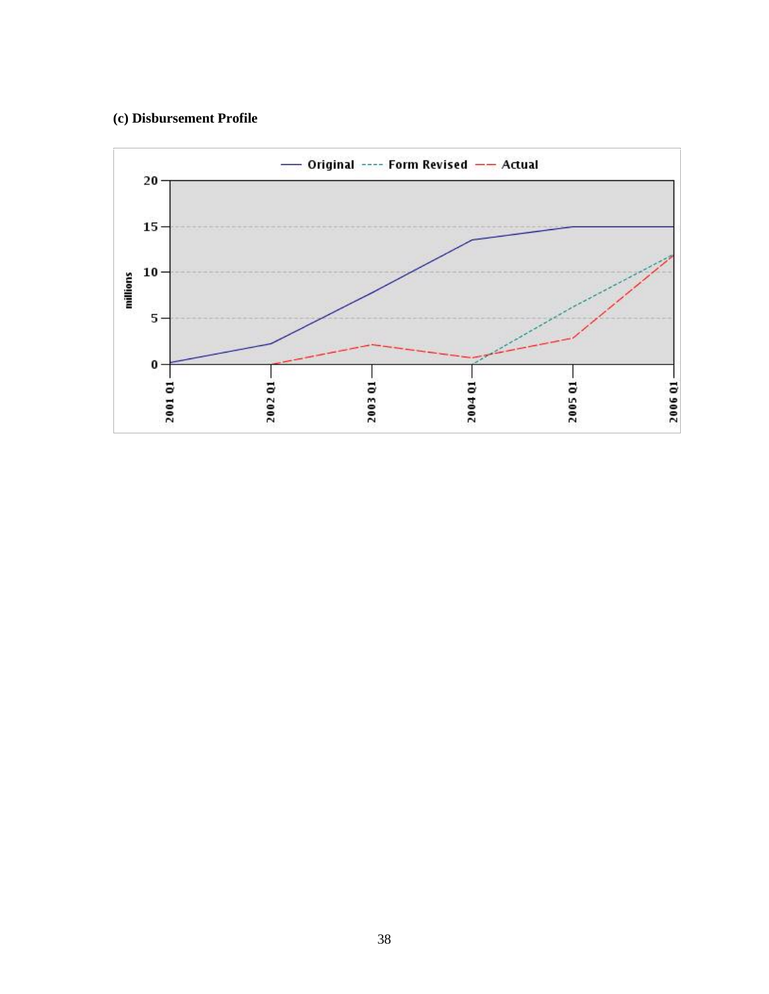## **(c) Disbursement Profile**

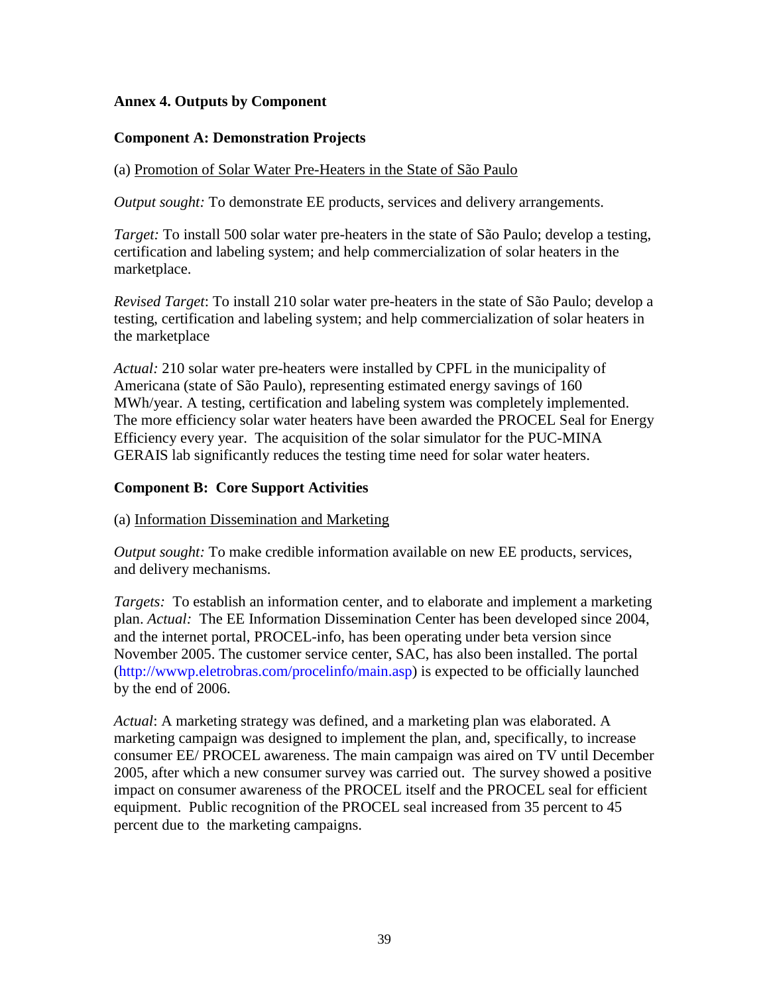## **Annex 4. Outputs by Component**

## **Component A: Demonstration Projects**

## (a) Promotion of Solar Water Pre-Heaters in the State of São Paulo

*Output sought:* To demonstrate EE products, services and delivery arrangements.

*Target:* To install 500 solar water pre-heaters in the state of São Paulo; develop a testing, certification and labeling system; and help commercialization of solar heaters in the marketplace.

*Revised Target*: To install 210 solar water pre-heaters in the state of São Paulo; develop a testing, certification and labeling system; and help commercialization of solar heaters in the marketplace

*Actual:* 210 solar water pre-heaters were installed by CPFL in the municipality of Americana (state of São Paulo), representing estimated energy savings of 160 MWh/year. A testing, certification and labeling system was completely implemented. The more efficiency solar water heaters have been awarded the PROCEL Seal for Energy Efficiency every year. The acquisition of the solar simulator for the PUC-MINA GERAIS lab significantly reduces the testing time need for solar water heaters.

## **Component B: Core Support Activities**

#### (a) Information Dissemination and Marketing

*Output sought:* To make credible information available on new EE products, services, and delivery mechanisms.

*Targets:* To establish an information center, and to elaborate and implement a marketing plan. *Actual:* The EE Information Dissemination Center has been developed since 2004, and the internet portal, PROCEL-info, has been operating under beta version since November 2005. The customer service center, SAC, has also been installed. The portal (http://wwwp.eletrobras.com/procelinfo/main.asp) is expected to be officially launched by the end of 2006.

*Actual*: A marketing strategy was defined, and a marketing plan was elaborated. A marketing campaign was designed to implement the plan, and, specifically, to increase consumer EE/ PROCEL awareness. The main campaign was aired on TV until December 2005, after which a new consumer survey was carried out. The survey showed a positive impact on consumer awareness of the PROCEL itself and the PROCEL seal for efficient equipment. Public recognition of the PROCEL seal increased from 35 percent to 45 percent due to the marketing campaigns.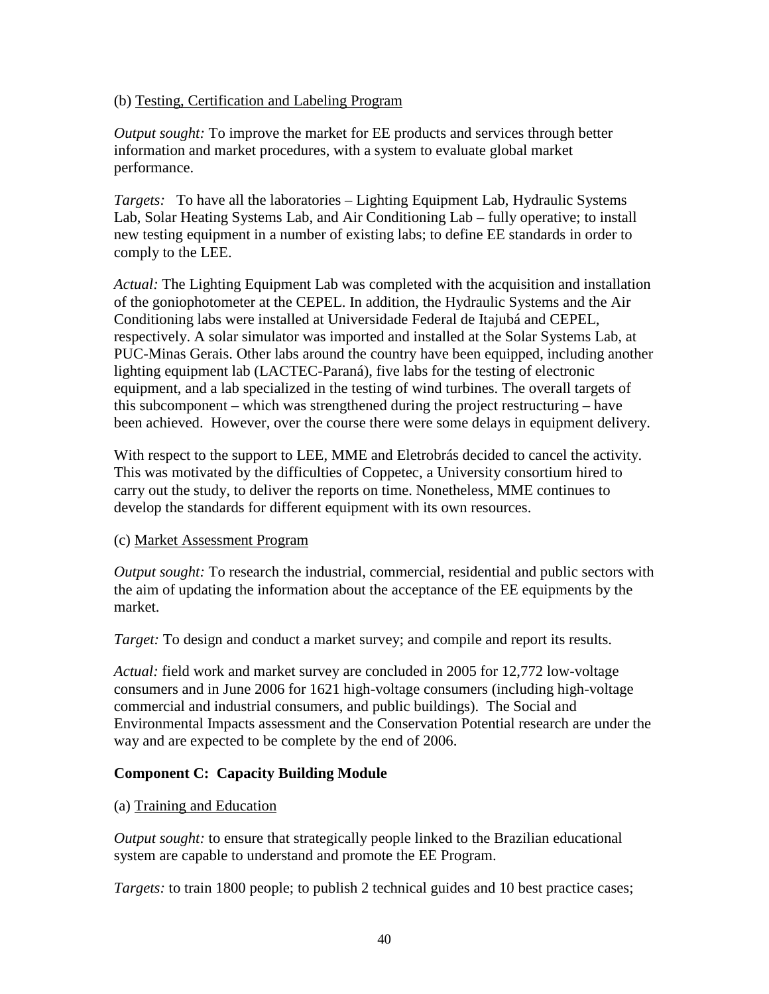## (b) Testing, Certification and Labeling Program

*Output sought:* To improve the market for EE products and services through better information and market procedures, with a system to evaluate global market performance.

*Targets:* To have all the laboratories – Lighting Equipment Lab, Hydraulic Systems Lab, Solar Heating Systems Lab, and Air Conditioning Lab – fully operative; to install new testing equipment in a number of existing labs; to define EE standards in order to comply to the LEE.

*Actual:* The Lighting Equipment Lab was completed with the acquisition and installation of the goniophotometer at the CEPEL. In addition, the Hydraulic Systems and the Air Conditioning labs were installed at Universidade Federal de Itajubá and CEPEL, respectively. A solar simulator was imported and installed at the Solar Systems Lab, at PUC-Minas Gerais. Other labs around the country have been equipped, including another lighting equipment lab (LACTEC-Paraná), five labs for the testing of electronic equipment, and a lab specialized in the testing of wind turbines. The overall targets of this subcomponent – which was strengthened during the project restructuring – have been achieved. However, over the course there were some delays in equipment delivery.

With respect to the support to LEE, MME and Eletrobrás decided to cancel the activity. This was motivated by the difficulties of Coppetec, a University consortium hired to carry out the study, to deliver the reports on time. Nonetheless, MME continues to develop the standards for different equipment with its own resources.

#### (c) Market Assessment Program

*Output sought:* To research the industrial, commercial, residential and public sectors with the aim of updating the information about the acceptance of the EE equipments by the market.

*Target:* To design and conduct a market survey; and compile and report its results.

*Actual:* field work and market survey are concluded in 2005 for 12,772 low-voltage consumers and in June 2006 for 1621 high-voltage consumers (including high-voltage commercial and industrial consumers, and public buildings). The Social and Environmental Impacts assessment and the Conservation Potential research are under the way and are expected to be complete by the end of 2006.

#### **Component C: Capacity Building Module**

#### (a) Training and Education

*Output sought:* to ensure that strategically people linked to the Brazilian educational system are capable to understand and promote the EE Program.

*Targets:* to train 1800 people; to publish 2 technical guides and 10 best practice cases;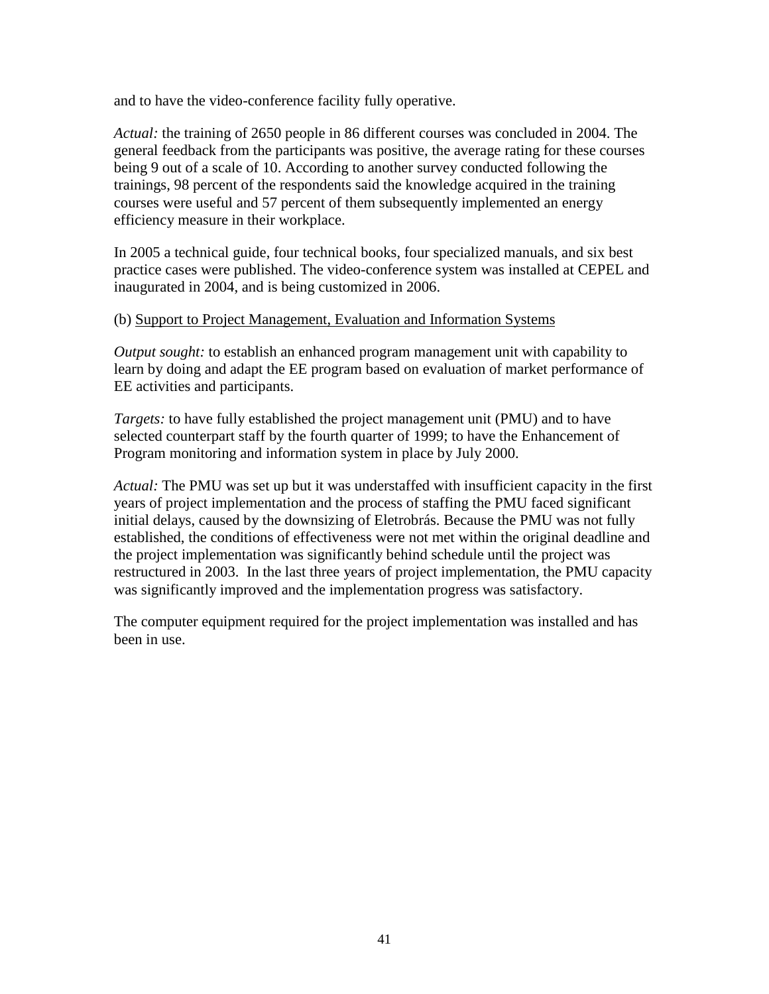and to have the video-conference facility fully operative.

*Actual:* the training of 2650 people in 86 different courses was concluded in 2004. The general feedback from the participants was positive, the average rating for these courses being 9 out of a scale of 10. According to another survey conducted following the trainings, 98 percent of the respondents said the knowledge acquired in the training courses were useful and 57 percent of them subsequently implemented an energy efficiency measure in their workplace.

In 2005 a technical guide, four technical books, four specialized manuals, and six best practice cases were published. The video-conference system was installed at CEPEL and inaugurated in 2004, and is being customized in 2006.

#### (b) Support to Project Management, Evaluation and Information Systems

*Output sought:* to establish an enhanced program management unit with capability to learn by doing and adapt the EE program based on evaluation of market performance of EE activities and participants.

*Targets:* to have fully established the project management unit (PMU) and to have selected counterpart staff by the fourth quarter of 1999; to have the Enhancement of Program monitoring and information system in place by July 2000.

*Actual:* The PMU was set up but it was understaffed with insufficient capacity in the first years of project implementation and the process of staffing the PMU faced significant initial delays, caused by the downsizing of Eletrobrás. Because the PMU was not fully established, the conditions of effectiveness were not met within the original deadline and the project implementation was significantly behind schedule until the project was restructured in 2003. In the last three years of project implementation, the PMU capacity was significantly improved and the implementation progress was satisfactory.

The computer equipment required for the project implementation was installed and has been in use.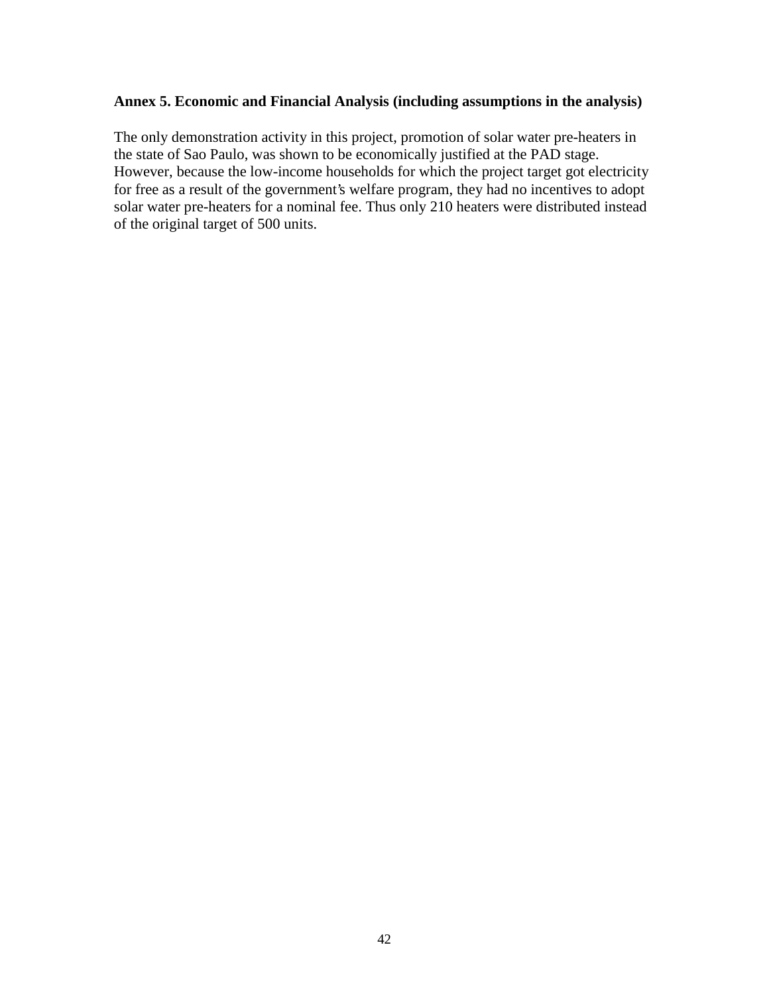## **Annex 5. Economic and Financial Analysis (including assumptions in the analysis)**

The only demonstration activity in this project, promotion of solar water pre-heaters in the state of Sao Paulo, was shown to be economically justified at the PAD stage. However, because the low-income households for which the project target got electricity for free as a result of the government's welfare program, they had no incentives to adopt solar water pre-heaters for a nominal fee. Thus only 210 heaters were distributed instead of the original target of 500 units.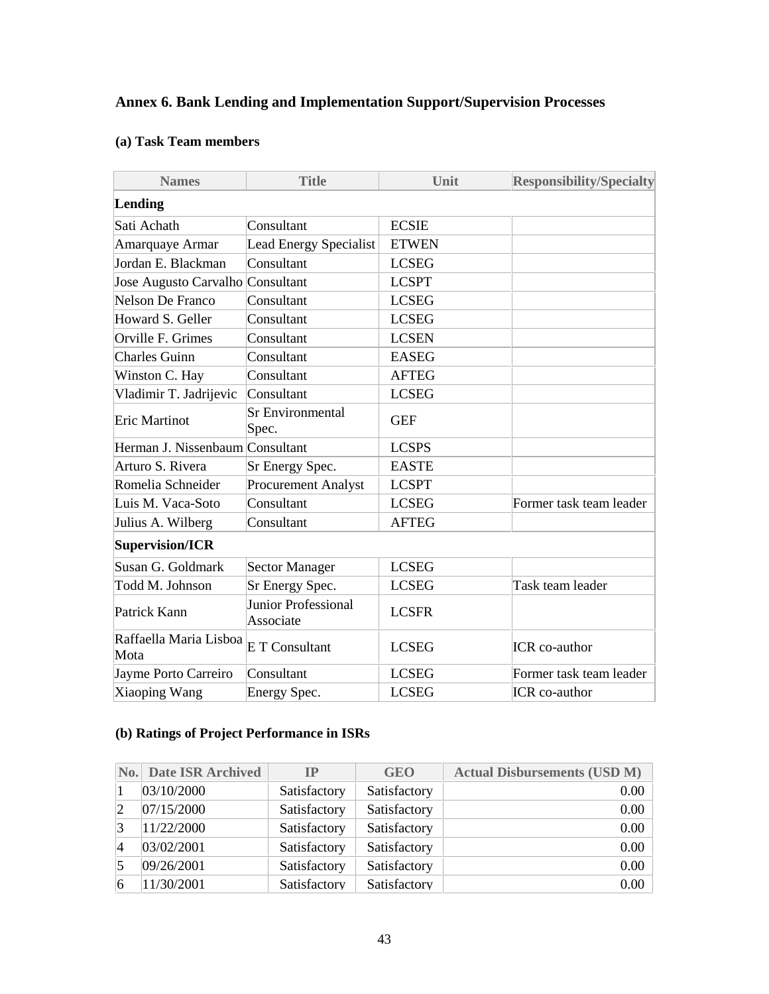## **Annex 6. Bank Lending and Implementation Support/Supervision Processes**

## **(a) Task Team members**

| <b>Names</b>                     | <b>Title</b>                     | Unit         | <b>Responsibility/Specialty</b> |
|----------------------------------|----------------------------------|--------------|---------------------------------|
| Lending                          |                                  |              |                                 |
| Sati Achath                      | Consultant                       | <b>ECSIE</b> |                                 |
| Amarquaye Armar                  | <b>Lead Energy Specialist</b>    | <b>ETWEN</b> |                                 |
| Jordan E. Blackman               | Consultant                       | <b>LCSEG</b> |                                 |
| Jose Augusto Carvalho Consultant |                                  | <b>LCSPT</b> |                                 |
| Nelson De Franco                 | Consultant                       | <b>LCSEG</b> |                                 |
| Howard S. Geller                 | Consultant                       | <b>LCSEG</b> |                                 |
| Orville F. Grimes                | Consultant                       | <b>LCSEN</b> |                                 |
| <b>Charles Guinn</b>             | Consultant                       | <b>EASEG</b> |                                 |
| Winston C. Hay                   | Consultant                       | <b>AFTEG</b> |                                 |
| Vladimir T. Jadrijevic           | Consultant                       | <b>LCSEG</b> |                                 |
| Eric Martinot                    | Sr Environmental<br>Spec.        | <b>GEF</b>   |                                 |
| Herman J. Nissenbaum Consultant  |                                  | <b>LCSPS</b> |                                 |
| Arturo S. Rivera                 | Sr Energy Spec.                  | <b>EASTE</b> |                                 |
| Romelia Schneider                | Procurement Analyst              | <b>LCSPT</b> |                                 |
| Luis M. Vaca-Soto                | Consultant                       | <b>LCSEG</b> | Former task team leader         |
| Julius A. Wilberg                | Consultant                       | <b>AFTEG</b> |                                 |
| Supervision/ICR                  |                                  |              |                                 |
| Susan G. Goldmark                | <b>Sector Manager</b>            | <b>LCSEG</b> |                                 |
| Todd M. Johnson                  | Sr Energy Spec.                  | <b>LCSEG</b> | Task team leader                |
| Patrick Kann                     | Junior Professional<br>Associate | <b>LCSFR</b> |                                 |
| Raffaella Maria Lisboa<br>Mota   | E T Consultant                   | <b>LCSEG</b> | ICR co-author                   |
| Jayme Porto Carreiro             | Consultant                       | <b>LCSEG</b> | Former task team leader         |
| Xiaoping Wang                    | Energy Spec.                     | <b>LCSEG</b> | ICR co-author                   |

## **(b) Ratings of Project Performance in ISRs**

| $\bf{No.}$     | <b>Date ISR Archived</b> | ĪР           | <b>GEO</b>   | <b>Actual Disbursements (USD M)</b> |
|----------------|--------------------------|--------------|--------------|-------------------------------------|
|                | 03/10/2000               | Satisfactory | Satisfactory | 0.00                                |
| $\overline{2}$ | 07/15/2000               | Satisfactory | Satisfactory | 0.00                                |
| 13             | 11/22/2000               | Satisfactory | Satisfactory | 0.00                                |
| $\vert 4$      | 03/02/2001               | Satisfactory | Satisfactory | 0.00                                |
| 15             | 09/26/2001               | Satisfactory | Satisfactory | 0.00                                |
| 6              | 11/30/2001               | Satisfactory | Satisfactory | 0.00                                |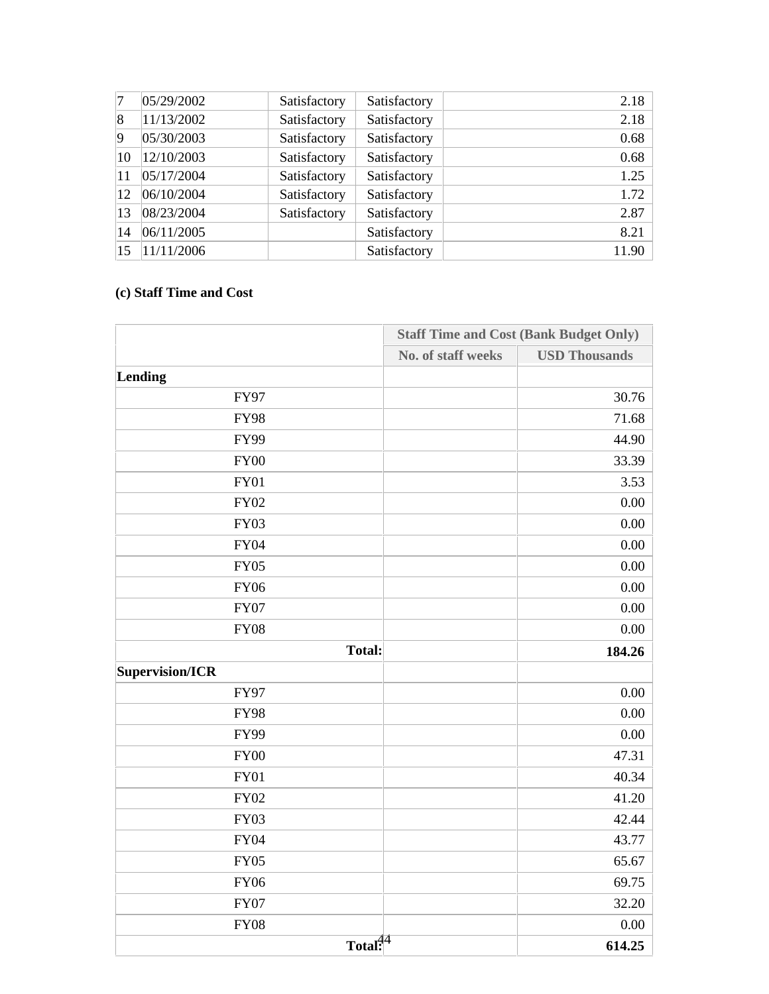| 17        | 05/29/2002 | Satisfactory | Satisfactory | 2.18  |
|-----------|------------|--------------|--------------|-------|
| $\vert 8$ | 11/13/2002 | Satisfactory | Satisfactory | 2.18  |
| $\vert$ 9 | 05/30/2003 | Satisfactory | Satisfactory | 0.68  |
| 10        | 12/10/2003 | Satisfactory | Satisfactory | 0.68  |
| 11        | 05/17/2004 | Satisfactory | Satisfactory | 1.25  |
| 12        | 06/10/2004 | Satisfactory | Satisfactory | 1.72  |
| 13        | 08/23/2004 | Satisfactory | Satisfactory | 2.87  |
| 14        | 06/11/2005 |              | Satisfactory | 8.21  |
| 15        | 11/11/2006 |              | Satisfactory | 11.90 |

## **(c) Staff Time and Cost**

|                 |                     | <b>Staff Time and Cost (Bank Budget Only)</b> |  |
|-----------------|---------------------|-----------------------------------------------|--|
|                 | No. of staff weeks  | <b>USD Thousands</b>                          |  |
| Lending         |                     |                                               |  |
| <b>FY97</b>     |                     | 30.76                                         |  |
| <b>FY98</b>     |                     | 71.68                                         |  |
| <b>FY99</b>     |                     | 44.90                                         |  |
| <b>FY00</b>     |                     | 33.39                                         |  |
| FY01            |                     | 3.53                                          |  |
| <b>FY02</b>     |                     | 0.00                                          |  |
| <b>FY03</b>     |                     | 0.00                                          |  |
| <b>FY04</b>     |                     | 0.00                                          |  |
| <b>FY05</b>     |                     | 0.00                                          |  |
| <b>FY06</b>     |                     | 0.00                                          |  |
| <b>FY07</b>     |                     | 0.00                                          |  |
| <b>FY08</b>     |                     | 0.00                                          |  |
| <b>Total:</b>   |                     | 184.26                                        |  |
| Supervision/ICR |                     |                                               |  |
| <b>FY97</b>     |                     | 0.00                                          |  |
| <b>FY98</b>     |                     | 0.00                                          |  |
| <b>FY99</b>     |                     | 0.00                                          |  |
| <b>FY00</b>     |                     | 47.31                                         |  |
| FY01            |                     | 40.34                                         |  |
| <b>FY02</b>     |                     | 41.20                                         |  |
| <b>FY03</b>     |                     | 42.44                                         |  |
| <b>FY04</b>     |                     | 43.77                                         |  |
| <b>FY05</b>     |                     | 65.67                                         |  |
| <b>FY06</b>     |                     | 69.75                                         |  |
| <b>FY07</b>     |                     | 32.20                                         |  |
| <b>FY08</b>     |                     | 0.00                                          |  |
|                 | Total <sup>44</sup> | 614.25                                        |  |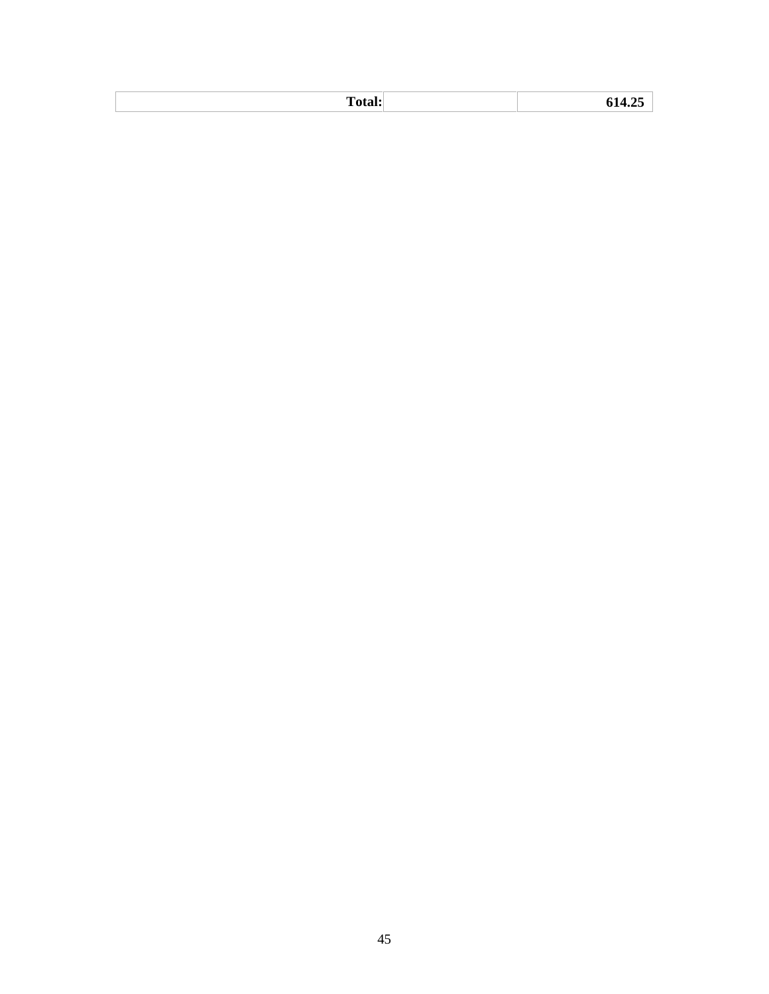| <b>.</b><br>$\mathbf{L}$ |  |
|--------------------------|--|
|                          |  |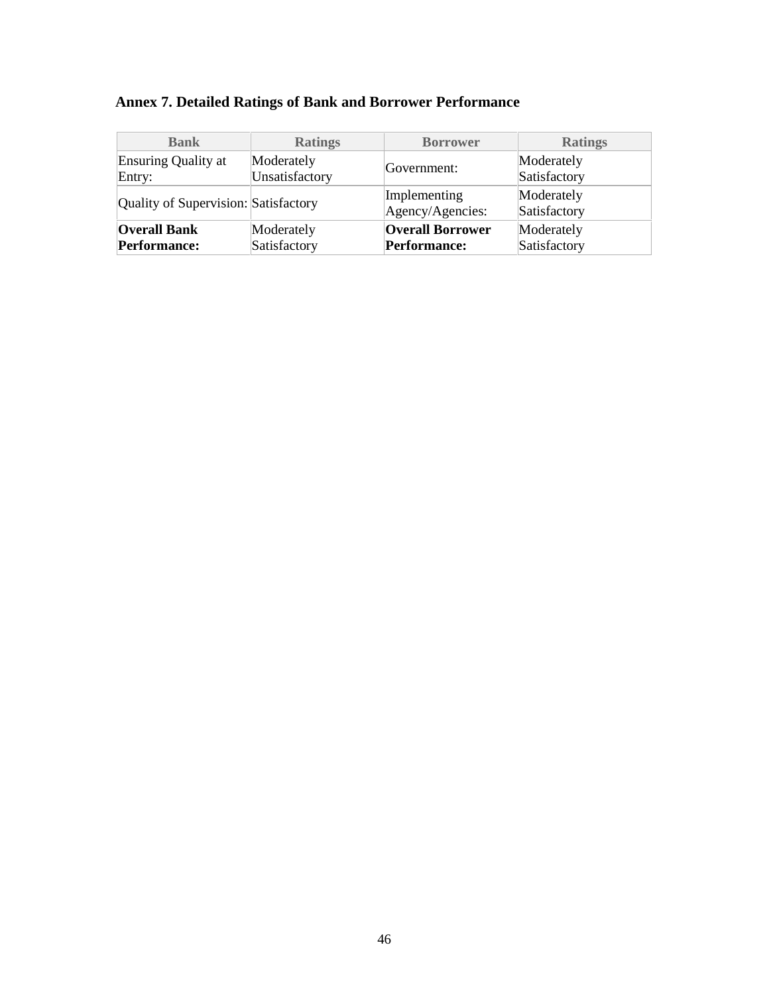| <b>Bank</b>                          | <b>Ratings</b> | <b>Borrower</b>                  | <b>Ratings</b>             |
|--------------------------------------|----------------|----------------------------------|----------------------------|
| Ensuring Quality at                  | Moderately     | Government:                      | Moderately                 |
| Entry:                               | Unsatisfactory |                                  | Satisfactory               |
| Quality of Supervision: Satisfactory |                | Implementing<br>Agency/Agencies: | Moderately<br>Satisfactory |
| <b>Overall Bank</b>                  | Moderately     | <b>Overall Borrower</b>          | Moderately                 |
| Performance:                         | Satisfactory   | <b>Performance:</b>              | Satisfactory               |

## **Annex 7. Detailed Ratings of Bank and Borrower Performance**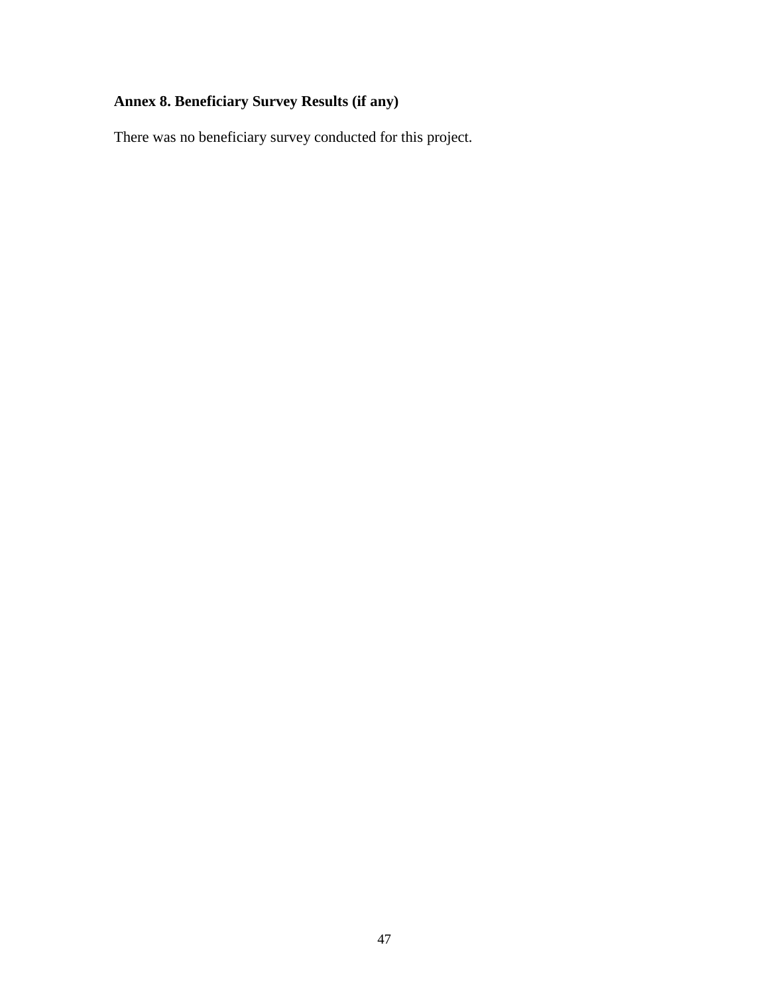# **Annex 8. Beneficiary Survey Results (if any)**

There was no beneficiary survey conducted for this project.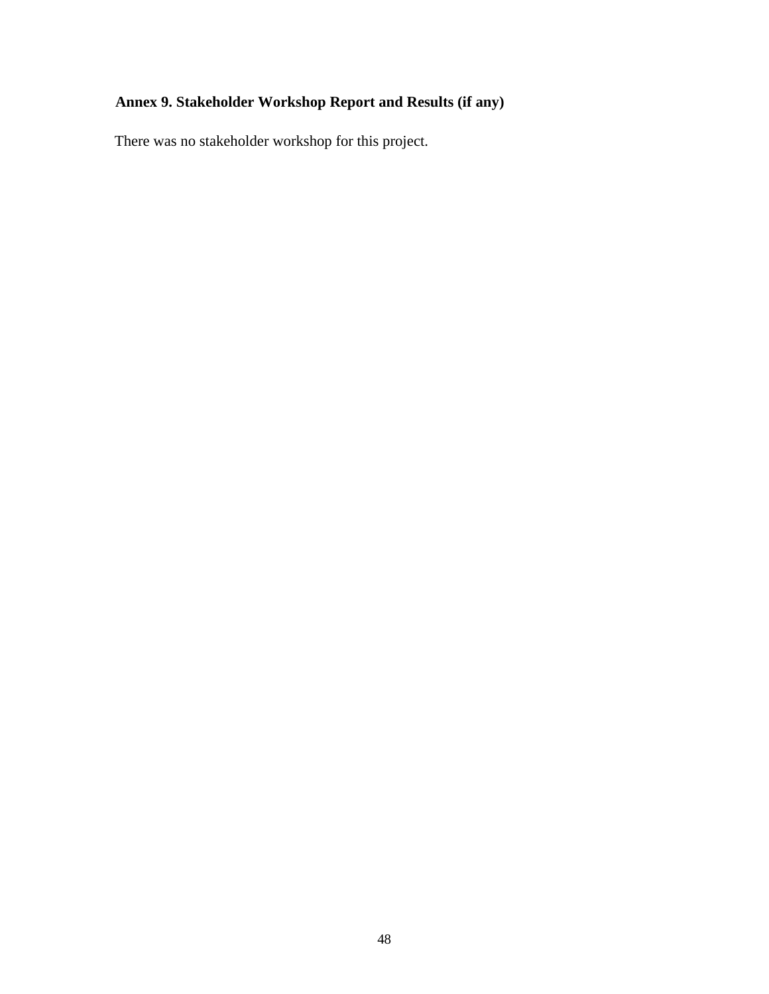# **Annex 9. Stakeholder Workshop Report and Results (if any)**

There was no stakeholder workshop for this project.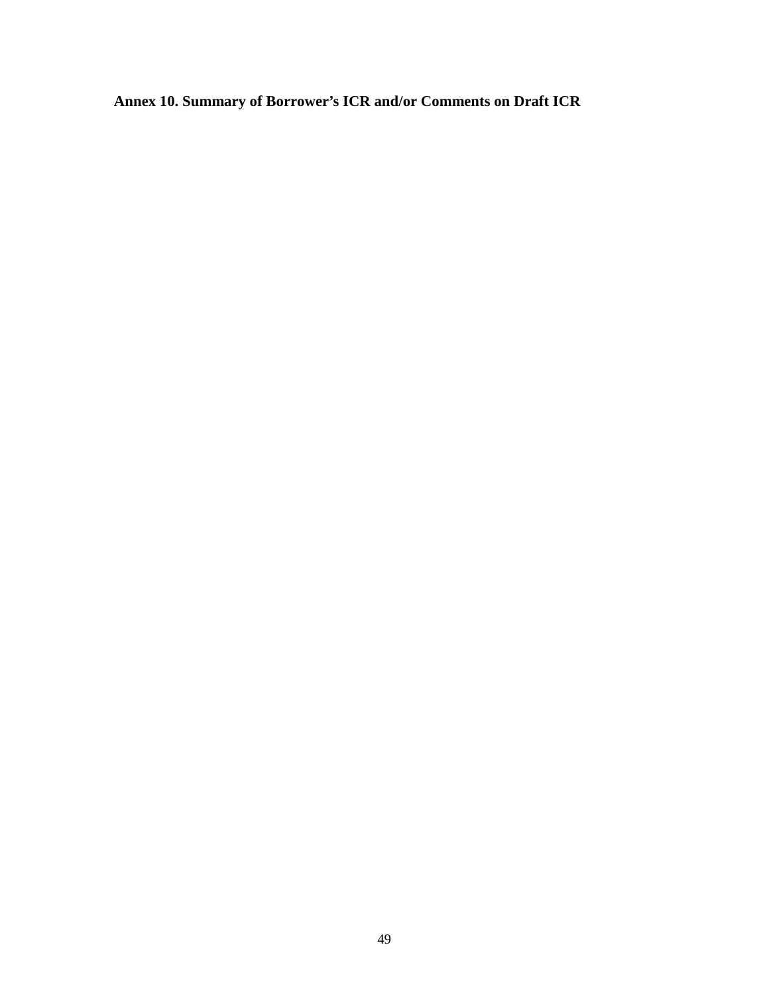**Annex 10. Summary of Borrower's ICR and/or Comments on Draft ICR**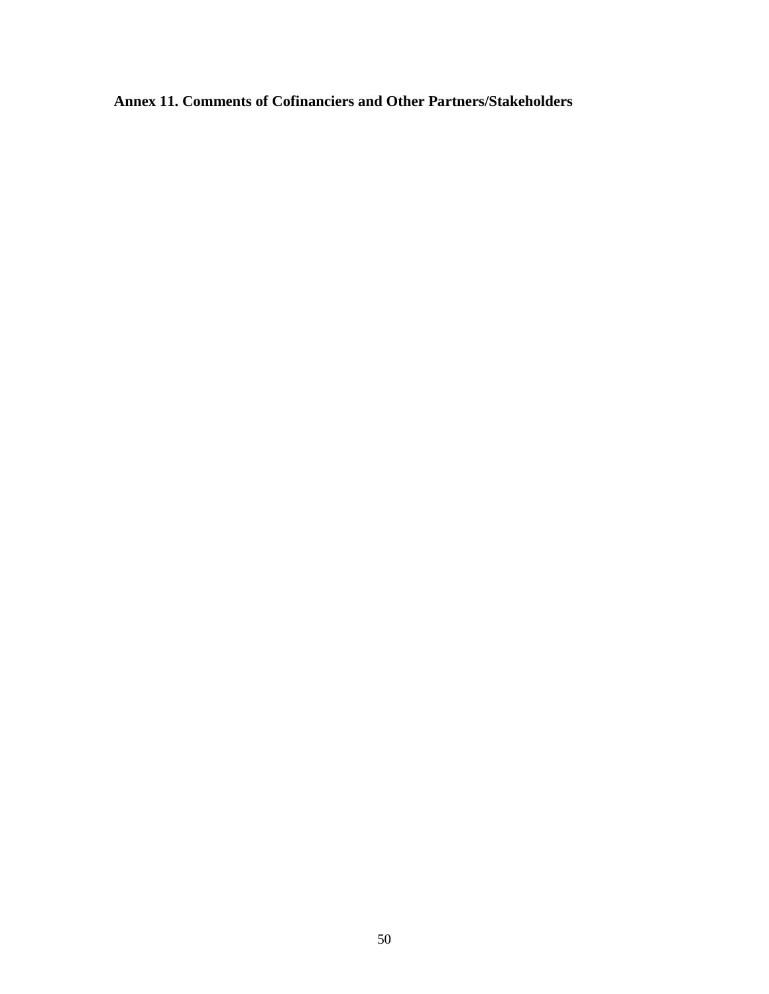**Annex 11. Comments of Cofinanciers and Other Partners/Stakeholders**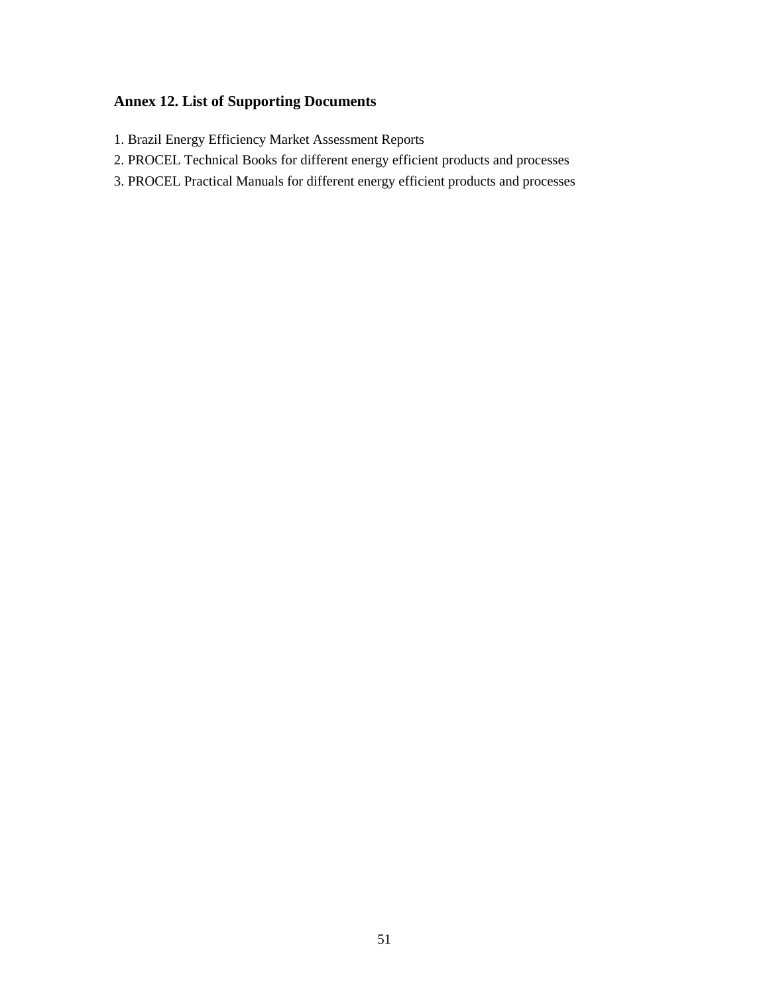## **Annex 12. List of Supporting Documents**

- 1. Brazil Energy Efficiency Market Assessment Reports
- 2. PROCEL Technical Books for different energy efficient products and processes
- 3. PROCEL Practical Manuals for different energy efficient products and processes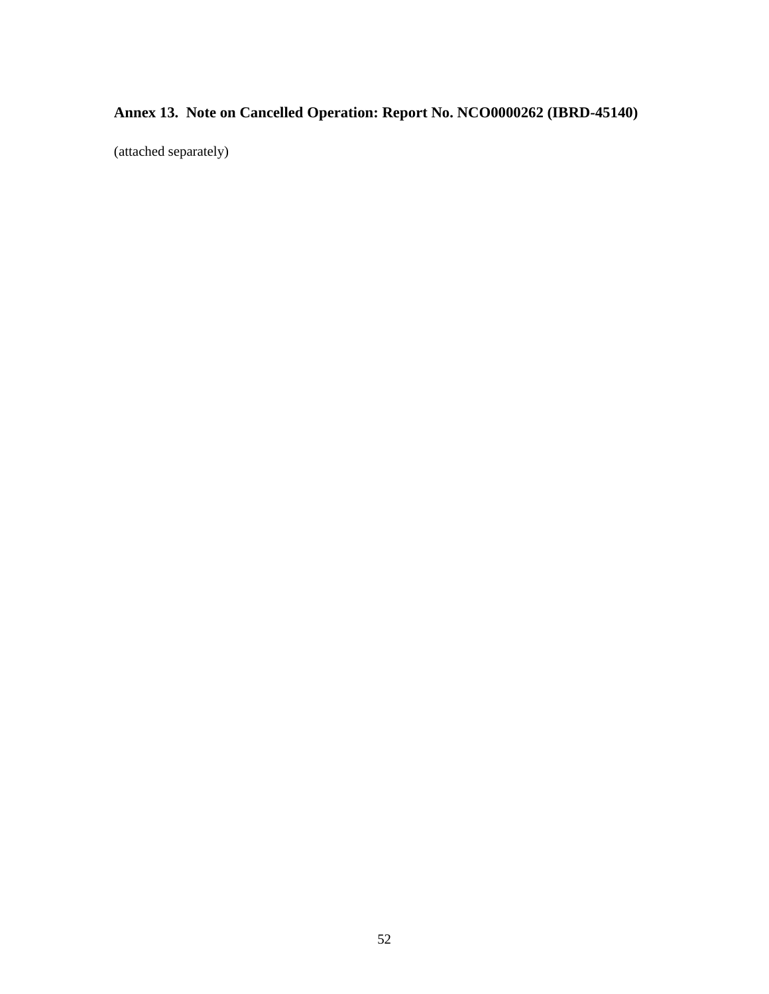# **Annex 13. Note on Cancelled Operation: Report No. NCO0000262 (IBRD-45140)**

(attached separately)